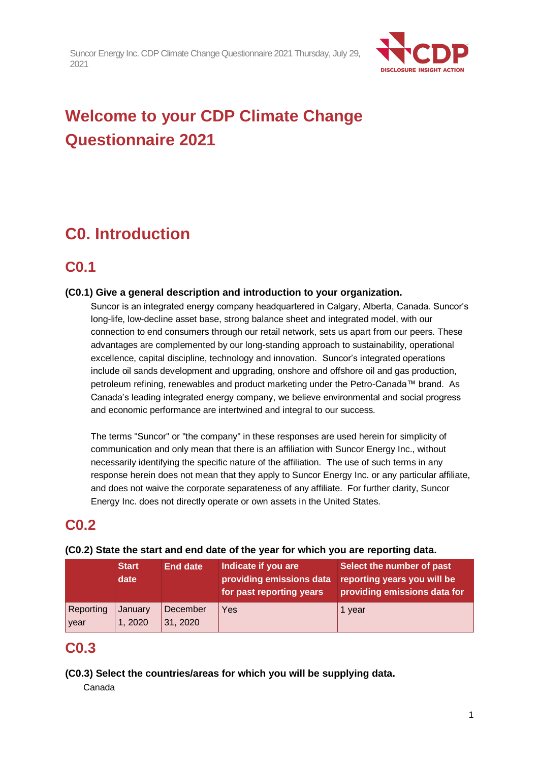

# **Welcome to your CDP Climate Change Questionnaire 2021**

# **C0. Introduction**

# **C0.1**

### **(C0.1) Give a general description and introduction to your organization.**

Suncor is an integrated energy company headquartered in Calgary, Alberta, Canada. Suncor's long-life, low-decline asset base, strong balance sheet and integrated model, with our connection to end consumers through our retail network, sets us apart from our peers. These advantages are complemented by our long-standing approach to sustainability, operational excellence, capital discipline, technology and innovation. Suncor's integrated operations include oil sands development and upgrading, onshore and offshore oil and gas production, petroleum refining, renewables and product marketing under the Petro-Canada™ brand. As Canada's leading integrated energy company, we believe environmental and social progress and economic performance are intertwined and integral to our success.

The terms "Suncor" or "the company" in these responses are used herein for simplicity of communication and only mean that there is an affiliation with Suncor Energy Inc., without necessarily identifying the specific nature of the affiliation. The use of such terms in any response herein does not mean that they apply to Suncor Energy Inc. or any particular affiliate, and does not waive the corporate separateness of any affiliate. For further clarity, Suncor Energy Inc. does not directly operate or own assets in the United States.

# **C0.2**

|                   | <b>Start</b><br>date | <b>End date</b>      | Indicate if you are<br>providing emissions data<br>for past reporting years | Select the number of past<br>reporting years you will be<br>providing emissions data for |
|-------------------|----------------------|----------------------|-----------------------------------------------------------------------------|------------------------------------------------------------------------------------------|
| Reporting<br>year | January<br>, 2020    | December<br>31, 2020 | Yes                                                                         | 1 year                                                                                   |

### **(C0.2) State the start and end date of the year for which you are reporting data.**

# **C0.3**

### **(C0.3) Select the countries/areas for which you will be supplying data.**

Canada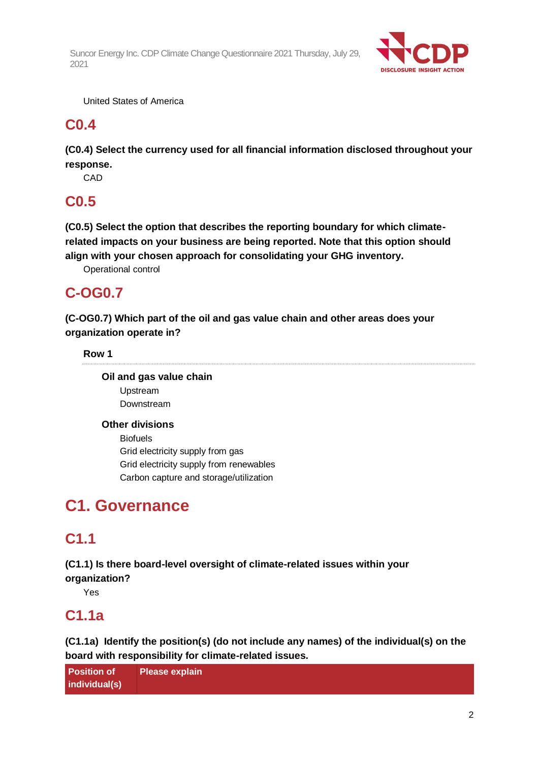

United States of America

# **C0.4**

**(C0.4) Select the currency used for all financial information disclosed throughout your response.**

**CAD** 

# **C0.5**

**(C0.5) Select the option that describes the reporting boundary for which climaterelated impacts on your business are being reported. Note that this option should align with your chosen approach for consolidating your GHG inventory.**

Operational control

# **C-OG0.7**

**(C-OG0.7) Which part of the oil and gas value chain and other areas does your organization operate in?**

### **Row 1**

**Oil and gas value chain**

Upstream Downstream

### **Other divisions**

Biofuels Grid electricity supply from gas Grid electricity supply from renewables Carbon capture and storage/utilization

# **C1. Governance**

# **C1.1**

**(C1.1) Is there board-level oversight of climate-related issues within your** 

**organization?**

Yes

# **C1.1a**

**(C1.1a) Identify the position(s) (do not include any names) of the individual(s) on the board with responsibility for climate-related issues.**

**Position of individual(s) Please explain**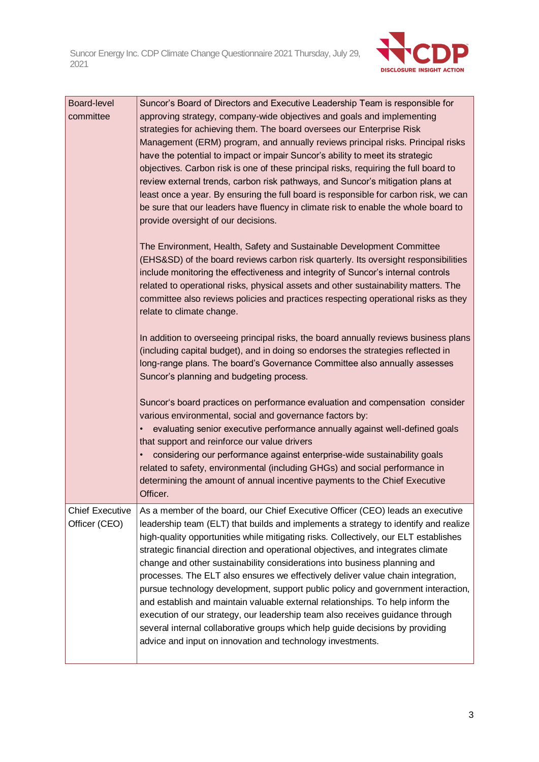

| Board-level<br>committee                | Suncor's Board of Directors and Executive Leadership Team is responsible for<br>approving strategy, company-wide objectives and goals and implementing<br>strategies for achieving them. The board oversees our Enterprise Risk<br>Management (ERM) program, and annually reviews principal risks. Principal risks<br>have the potential to impact or impair Suncor's ability to meet its strategic<br>objectives. Carbon risk is one of these principal risks, requiring the full board to<br>review external trends, carbon risk pathways, and Suncor's mitigation plans at<br>least once a year. By ensuring the full board is responsible for carbon risk, we can<br>be sure that our leaders have fluency in climate risk to enable the whole board to<br>provide oversight of our decisions.                                                                                                                      |
|-----------------------------------------|-------------------------------------------------------------------------------------------------------------------------------------------------------------------------------------------------------------------------------------------------------------------------------------------------------------------------------------------------------------------------------------------------------------------------------------------------------------------------------------------------------------------------------------------------------------------------------------------------------------------------------------------------------------------------------------------------------------------------------------------------------------------------------------------------------------------------------------------------------------------------------------------------------------------------|
|                                         | The Environment, Health, Safety and Sustainable Development Committee<br>(EHS&SD) of the board reviews carbon risk quarterly. Its oversight responsibilities<br>include monitoring the effectiveness and integrity of Suncor's internal controls<br>related to operational risks, physical assets and other sustainability matters. The<br>committee also reviews policies and practices respecting operational risks as they<br>relate to climate change.                                                                                                                                                                                                                                                                                                                                                                                                                                                              |
|                                         | In addition to overseeing principal risks, the board annually reviews business plans<br>(including capital budget), and in doing so endorses the strategies reflected in<br>long-range plans. The board's Governance Committee also annually assesses<br>Suncor's planning and budgeting process.                                                                                                                                                                                                                                                                                                                                                                                                                                                                                                                                                                                                                       |
|                                         | Suncor's board practices on performance evaluation and compensation consider<br>various environmental, social and governance factors by:<br>evaluating senior executive performance annually against well-defined goals<br>that support and reinforce our value drivers<br>considering our performance against enterprise-wide sustainability goals<br>related to safety, environmental (including GHGs) and social performance in<br>determining the amount of annual incentive payments to the Chief Executive<br>Officer.                                                                                                                                                                                                                                                                                                                                                                                            |
| <b>Chief Executive</b><br>Officer (CEO) | As a member of the board, our Chief Executive Officer (CEO) leads an executive<br>leadership team (ELT) that builds and implements a strategy to identify and realize<br>high-quality opportunities while mitigating risks. Collectively, our ELT establishes<br>strategic financial direction and operational objectives, and integrates climate<br>change and other sustainability considerations into business planning and<br>processes. The ELT also ensures we effectively deliver value chain integration,<br>pursue technology development, support public policy and government interaction,<br>and establish and maintain valuable external relationships. To help inform the<br>execution of our strategy, our leadership team also receives guidance through<br>several internal collaborative groups which help guide decisions by providing<br>advice and input on innovation and technology investments. |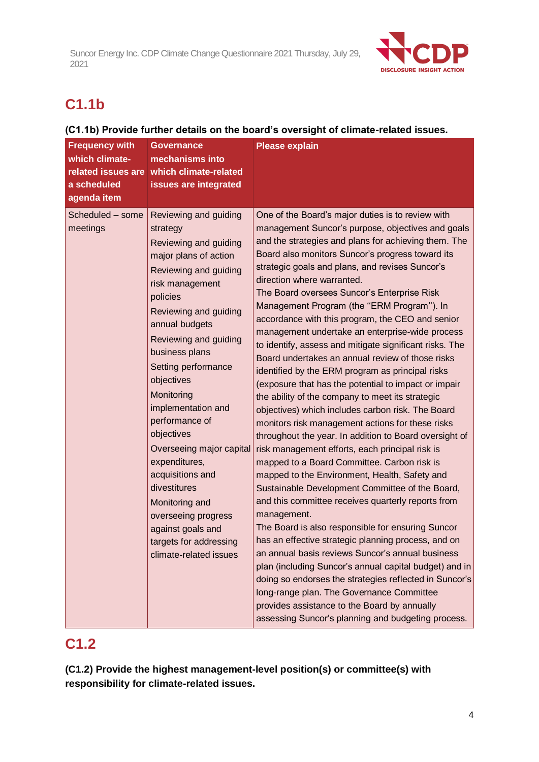

# **C1.1b**

### **(C1.1b) Provide further details on the board's oversight of climate-related issues.**

| <b>Frequency with</b><br>which climate-<br>related issues are<br>a scheduled<br>agenda item | Governance<br>mechanisms into<br>which climate-related<br>issues are integrated                                                                                                                                                                                                                                                                                                                                                                                                                                                               | <b>Please explain</b>                                                                                                                                                                                                                                                                                                                                                                                                                                                                                                                                                                                                                                                                                                                                                                                                                                                                                                                                                                                                                                                                                                                                                                                                                                                                                                                                                                                                                                                                                                                                                                                                                                                       |
|---------------------------------------------------------------------------------------------|-----------------------------------------------------------------------------------------------------------------------------------------------------------------------------------------------------------------------------------------------------------------------------------------------------------------------------------------------------------------------------------------------------------------------------------------------------------------------------------------------------------------------------------------------|-----------------------------------------------------------------------------------------------------------------------------------------------------------------------------------------------------------------------------------------------------------------------------------------------------------------------------------------------------------------------------------------------------------------------------------------------------------------------------------------------------------------------------------------------------------------------------------------------------------------------------------------------------------------------------------------------------------------------------------------------------------------------------------------------------------------------------------------------------------------------------------------------------------------------------------------------------------------------------------------------------------------------------------------------------------------------------------------------------------------------------------------------------------------------------------------------------------------------------------------------------------------------------------------------------------------------------------------------------------------------------------------------------------------------------------------------------------------------------------------------------------------------------------------------------------------------------------------------------------------------------------------------------------------------------|
| Scheduled - some<br>meetings                                                                | Reviewing and guiding<br>strategy<br>Reviewing and guiding<br>major plans of action<br>Reviewing and guiding<br>risk management<br>policies<br>Reviewing and guiding<br>annual budgets<br>Reviewing and guiding<br>business plans<br>Setting performance<br>objectives<br>Monitoring<br>implementation and<br>performance of<br>objectives<br>Overseeing major capital<br>expenditures,<br>acquisitions and<br>divestitures<br>Monitoring and<br>overseeing progress<br>against goals and<br>targets for addressing<br>climate-related issues | One of the Board's major duties is to review with<br>management Suncor's purpose, objectives and goals<br>and the strategies and plans for achieving them. The<br>Board also monitors Suncor's progress toward its<br>strategic goals and plans, and revises Suncor's<br>direction where warranted.<br>The Board oversees Suncor's Enterprise Risk<br>Management Program (the "ERM Program"). In<br>accordance with this program, the CEO and senior<br>management undertake an enterprise-wide process<br>to identify, assess and mitigate significant risks. The<br>Board undertakes an annual review of those risks<br>identified by the ERM program as principal risks<br>(exposure that has the potential to impact or impair<br>the ability of the company to meet its strategic<br>objectives) which includes carbon risk. The Board<br>monitors risk management actions for these risks<br>throughout the year. In addition to Board oversight of<br>risk management efforts, each principal risk is<br>mapped to a Board Committee. Carbon risk is<br>mapped to the Environment, Health, Safety and<br>Sustainable Development Committee of the Board,<br>and this committee receives quarterly reports from<br>management.<br>The Board is also responsible for ensuring Suncor<br>has an effective strategic planning process, and on<br>an annual basis reviews Suncor's annual business<br>plan (including Suncor's annual capital budget) and in<br>doing so endorses the strategies reflected in Suncor's<br>long-range plan. The Governance Committee<br>provides assistance to the Board by annually<br>assessing Suncor's planning and budgeting process. |

# **C1.2**

**(C1.2) Provide the highest management-level position(s) or committee(s) with responsibility for climate-related issues.**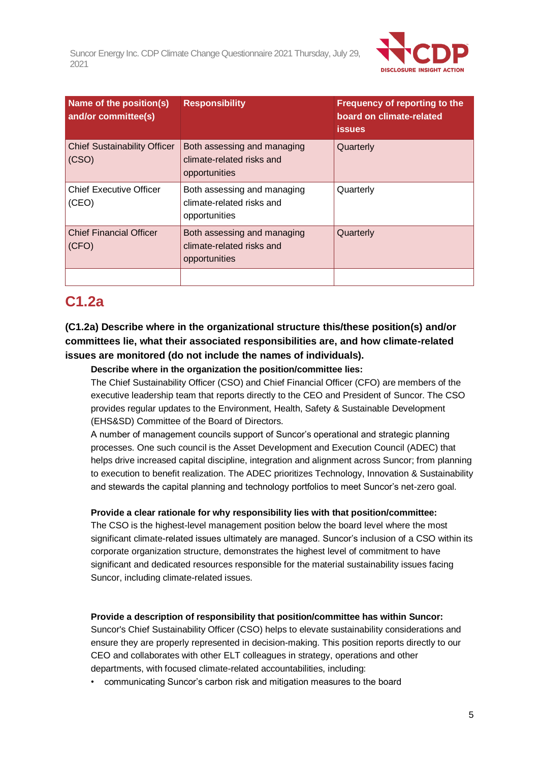

| Name of the position(s)<br><b>Responsibility</b><br>and/or committee(s) |                                                                           | Frequency of reporting to the<br>board on climate-related<br><b>issues</b> |
|-------------------------------------------------------------------------|---------------------------------------------------------------------------|----------------------------------------------------------------------------|
| <b>Chief Sustainability Officer</b><br>(CSO)                            | Both assessing and managing<br>climate-related risks and<br>opportunities | Quarterly                                                                  |
| <b>Chief Executive Officer</b><br>(CEO)                                 | Both assessing and managing<br>climate-related risks and<br>opportunities | Quarterly                                                                  |
| <b>Chief Financial Officer</b><br>(CFO)                                 | Both assessing and managing<br>climate-related risks and<br>opportunities | Quarterly                                                                  |
|                                                                         |                                                                           |                                                                            |

# **C1.2a**

## **(C1.2a) Describe where in the organizational structure this/these position(s) and/or committees lie, what their associated responsibilities are, and how climate-related issues are monitored (do not include the names of individuals).**

### **Describe where in the organization the position/committee lies:**

The Chief Sustainability Officer (CSO) and Chief Financial Officer (CFO) are members of the executive leadership team that reports directly to the CEO and President of Suncor. The CSO provides regular updates to the Environment, Health, Safety & Sustainable Development (EHS&SD) Committee of the Board of Directors.

A number of management councils support of Suncor's operational and strategic planning processes. One such council is the Asset Development and Execution Council (ADEC) that helps drive increased capital discipline, integration and alignment across Suncor; from planning to execution to benefit realization. The ADEC prioritizes Technology, Innovation & Sustainability and stewards the capital planning and technology portfolios to meet Suncor's net-zero goal.

### **Provide a clear rationale for why responsibility lies with that position/committee:**

The CSO is the highest-level management position below the board level where the most significant climate-related issues ultimately are managed. Suncor's inclusion of a CSO within its corporate organization structure, demonstrates the highest level of commitment to have significant and dedicated resources responsible for the material sustainability issues facing Suncor, including climate-related issues.

### **Provide a description of responsibility that position/committee has within Suncor:**

Suncor's Chief Sustainability Officer (CSO) helps to elevate sustainability considerations and ensure they are properly represented in decision-making. This position reports directly to our CEO and collaborates with other ELT colleagues in strategy, operations and other departments, with focused climate-related accountabilities, including:

• communicating Suncor's carbon risk and mitigation measures to the board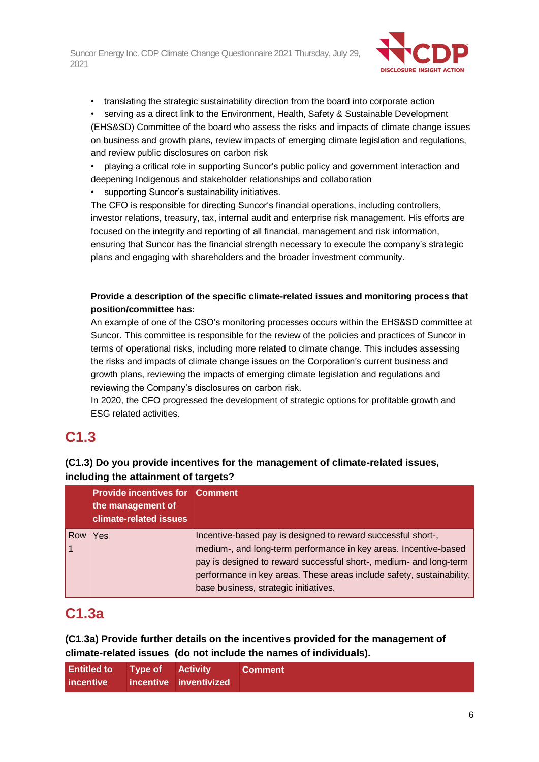

• translating the strategic sustainability direction from the board into corporate action

• serving as a direct link to the Environment, Health, Safety & Sustainable Development (EHS&SD) Committee of the board who assess the risks and impacts of climate change issues on business and growth plans, review impacts of emerging climate legislation and regulations, and review public disclosures on carbon risk

• playing a critical role in supporting Suncor's public policy and government interaction and deepening Indigenous and stakeholder relationships and collaboration

supporting Suncor's sustainability initiatives.

The CFO is responsible for directing Suncor's financial operations, including controllers, investor relations, treasury, tax, internal audit and enterprise risk management. His efforts are focused on the integrity and reporting of all financial, management and risk information, ensuring that Suncor has the financial strength necessary to execute the company's strategic plans and engaging with shareholders and the broader investment community.

### **Provide a description of the specific climate-related issues and monitoring process that position/committee has:**

An example of one of the CSO's monitoring processes occurs within the EHS&SD committee at Suncor. This committee is responsible for the review of the policies and practices of Suncor in terms of operational risks, including more related to climate change. This includes assessing the risks and impacts of climate change issues on the Corporation's current business and growth plans, reviewing the impacts of emerging climate legislation and regulations and reviewing the Company's disclosures on carbon risk.

In 2020, the CFO progressed the development of strategic options for profitable growth and ESG related activities.

# **C1.3**

### **(C1.3) Do you provide incentives for the management of climate-related issues, including the attainment of targets?**

|     | <b>Provide incentives for Comment</b><br>the management of<br>climate-related issues |                                                                                                                                                                                                                                                                                                                          |
|-----|--------------------------------------------------------------------------------------|--------------------------------------------------------------------------------------------------------------------------------------------------------------------------------------------------------------------------------------------------------------------------------------------------------------------------|
| Row | Yes                                                                                  | Incentive-based pay is designed to reward successful short-,<br>medium-, and long-term performance in key areas. Incentive-based<br>pay is designed to reward successful short-, medium- and long-term<br>performance in key areas. These areas include safety, sustainability,<br>base business, strategic initiatives. |

# **C1.3a**

**(C1.3a) Provide further details on the incentives provided for the management of climate-related issues (do not include the names of individuals).**

| <b>Entitled to</b> Type of Activity |  | <b>Comment</b> |
|-------------------------------------|--|----------------|
| incentive incentive inventivized    |  |                |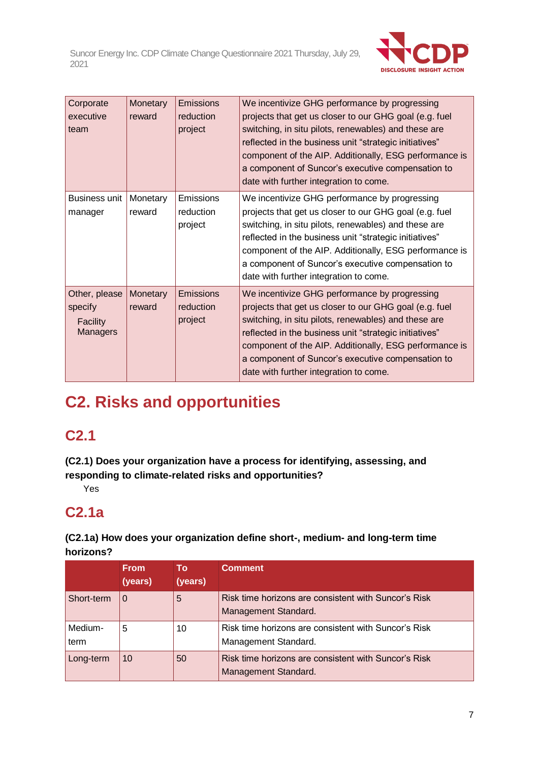

| Corporate<br>executive<br>team                          | Monetary<br>reward | Emissions<br>reduction<br>project        | We incentivize GHG performance by progressing<br>projects that get us closer to our GHG goal (e.g. fuel<br>switching, in situ pilots, renewables) and these are<br>reflected in the business unit "strategic initiatives"<br>component of the AIP. Additionally, ESG performance is<br>a component of Suncor's executive compensation to<br>date with further integration to come. |
|---------------------------------------------------------|--------------------|------------------------------------------|------------------------------------------------------------------------------------------------------------------------------------------------------------------------------------------------------------------------------------------------------------------------------------------------------------------------------------------------------------------------------------|
| Business unit<br>manager                                | Monetary<br>reward | <b>Emissions</b><br>reduction<br>project | We incentivize GHG performance by progressing<br>projects that get us closer to our GHG goal (e.g. fuel<br>switching, in situ pilots, renewables) and these are<br>reflected in the business unit "strategic initiatives"<br>component of the AIP. Additionally, ESG performance is<br>a component of Suncor's executive compensation to<br>date with further integration to come. |
| Other, please<br>specify<br>Facility<br><b>Managers</b> | Monetary<br>reward | Emissions<br>reduction<br>project        | We incentivize GHG performance by progressing<br>projects that get us closer to our GHG goal (e.g. fuel<br>switching, in situ pilots, renewables) and these are<br>reflected in the business unit "strategic initiatives"<br>component of the AIP. Additionally, ESG performance is<br>a component of Suncor's executive compensation to<br>date with further integration to come. |

# **C2. Risks and opportunities**

# **C2.1**

**(C2.1) Does your organization have a process for identifying, assessing, and responding to climate-related risks and opportunities?**

Yes

# **C2.1a**

**(C2.1a) How does your organization define short-, medium- and long-term time horizons?**

|                 | <b>From</b><br>(years) | Τо<br>(years) | <b>Comment</b>                                                               |
|-----------------|------------------------|---------------|------------------------------------------------------------------------------|
| Short-term      | $\Omega$               | 5             | Risk time horizons are consistent with Suncor's Risk<br>Management Standard. |
| Medium-<br>term | 5                      | 10            | Risk time horizons are consistent with Suncor's Risk<br>Management Standard. |
| Long-term       | 10                     | 50            | Risk time horizons are consistent with Suncor's Risk<br>Management Standard. |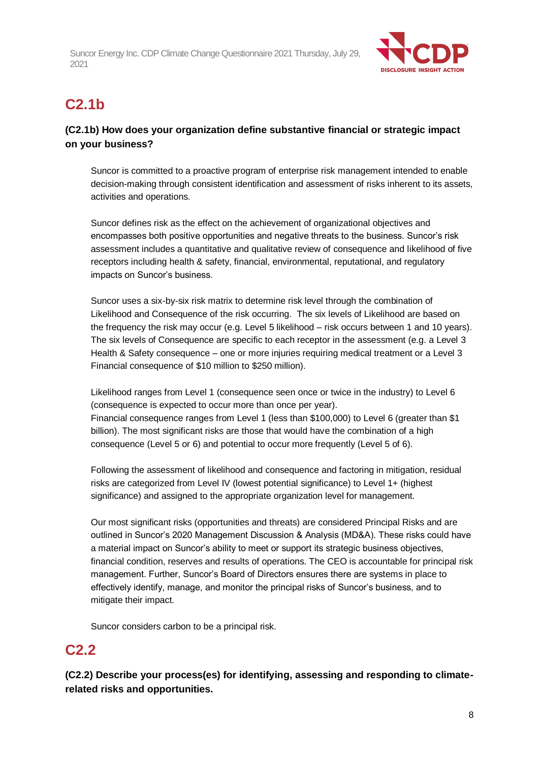

# **C2.1b**

## **(C2.1b) How does your organization define substantive financial or strategic impact on your business?**

Suncor is committed to a proactive program of enterprise risk management intended to enable decision-making through consistent identification and assessment of risks inherent to its assets, activities and operations.

Suncor defines risk as the effect on the achievement of organizational objectives and encompasses both positive opportunities and negative threats to the business. Suncor's risk assessment includes a quantitative and qualitative review of consequence and likelihood of five receptors including health & safety, financial, environmental, reputational, and regulatory impacts on Suncor's business.

Suncor uses a six-by-six risk matrix to determine risk level through the combination of Likelihood and Consequence of the risk occurring. The six levels of Likelihood are based on the frequency the risk may occur (e.g. Level 5 likelihood – risk occurs between 1 and 10 years). The six levels of Consequence are specific to each receptor in the assessment (e.g. a Level 3 Health & Safety consequence – one or more injuries requiring medical treatment or a Level 3 Financial consequence of \$10 million to \$250 million).

Likelihood ranges from Level 1 (consequence seen once or twice in the industry) to Level 6 (consequence is expected to occur more than once per year). Financial consequence ranges from Level 1 (less than \$100,000) to Level 6 (greater than \$1 billion). The most significant risks are those that would have the combination of a high consequence (Level 5 or 6) and potential to occur more frequently (Level 5 of 6).

Following the assessment of likelihood and consequence and factoring in mitigation, residual risks are categorized from Level IV (lowest potential significance) to Level 1+ (highest significance) and assigned to the appropriate organization level for management.

Our most significant risks (opportunities and threats) are considered Principal Risks and are outlined in Suncor's 2020 Management Discussion & Analysis (MD&A). These risks could have a material impact on Suncor's ability to meet or support its strategic business objectives, financial condition, reserves and results of operations. The CEO is accountable for principal risk management. Further, Suncor's Board of Directors ensures there are systems in place to effectively identify, manage, and monitor the principal risks of Suncor's business, and to mitigate their impact.

Suncor considers carbon to be a principal risk.

# **C2.2**

**(C2.2) Describe your process(es) for identifying, assessing and responding to climaterelated risks and opportunities.**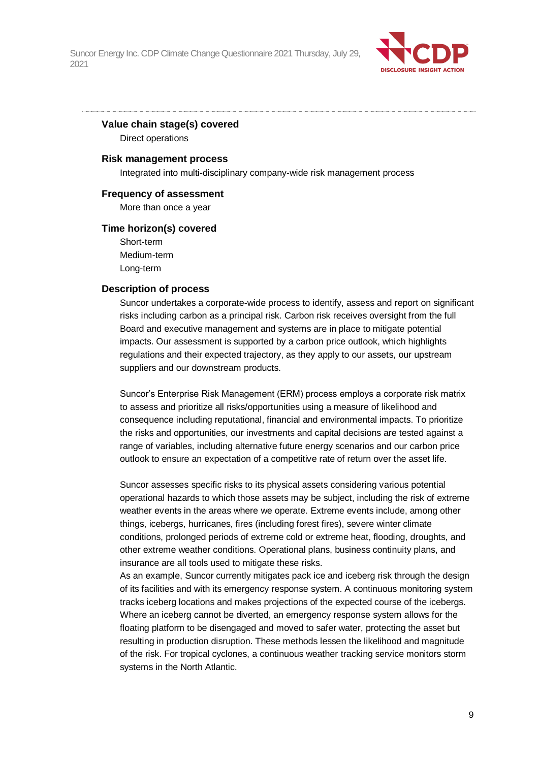

### **Value chain stage(s) covered**

Direct operations

### **Risk management process**

Integrated into multi-disciplinary company-wide risk management process

### **Frequency of assessment**

More than once a year

### **Time horizon(s) covered**

Short-term Medium-term Long-term

### **Description of process**

Suncor undertakes a corporate-wide process to identify, assess and report on significant risks including carbon as a principal risk. Carbon risk receives oversight from the full Board and executive management and systems are in place to mitigate potential impacts. Our assessment is supported by a carbon price outlook, which highlights regulations and their expected trajectory, as they apply to our assets, our upstream suppliers and our downstream products.

Suncor's Enterprise Risk Management (ERM) process employs a corporate risk matrix to assess and prioritize all risks/opportunities using a measure of likelihood and consequence including reputational, financial and environmental impacts. To prioritize the risks and opportunities, our investments and capital decisions are tested against a range of variables, including alternative future energy scenarios and our carbon price outlook to ensure an expectation of a competitive rate of return over the asset life.

Suncor assesses specific risks to its physical assets considering various potential operational hazards to which those assets may be subject, including the risk of extreme weather events in the areas where we operate. Extreme events include, among other things, icebergs, hurricanes, fires (including forest fires), severe winter climate conditions, prolonged periods of extreme cold or extreme heat, flooding, droughts, and other extreme weather conditions. Operational plans, business continuity plans, and insurance are all tools used to mitigate these risks.

As an example, Suncor currently mitigates pack ice and iceberg risk through the design of its facilities and with its emergency response system. A continuous monitoring system tracks iceberg locations and makes projections of the expected course of the icebergs. Where an iceberg cannot be diverted, an emergency response system allows for the floating platform to be disengaged and moved to safer water, protecting the asset but resulting in production disruption. These methods lessen the likelihood and magnitude of the risk. For tropical cyclones, a continuous weather tracking service monitors storm systems in the North Atlantic.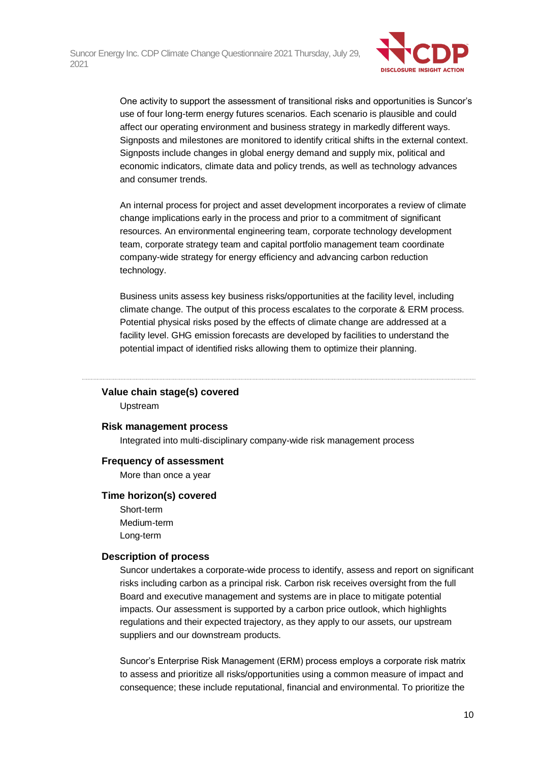

One activity to support the assessment of transitional risks and opportunities is Suncor's use of four long-term energy futures scenarios. Each scenario is plausible and could affect our operating environment and business strategy in markedly different ways. Signposts and milestones are monitored to identify critical shifts in the external context. Signposts include changes in global energy demand and supply mix, political and economic indicators, climate data and policy trends, as well as technology advances and consumer trends.

An internal process for project and asset development incorporates a review of climate change implications early in the process and prior to a commitment of significant resources. An environmental engineering team, corporate technology development team, corporate strategy team and capital portfolio management team coordinate company-wide strategy for energy efficiency and advancing carbon reduction technology.

Business units assess key business risks/opportunities at the facility level, including climate change. The output of this process escalates to the corporate & ERM process. Potential physical risks posed by the effects of climate change are addressed at a facility level. GHG emission forecasts are developed by facilities to understand the potential impact of identified risks allowing them to optimize their planning.

### **Value chain stage(s) covered**

Upstream

### **Risk management process**

Integrated into multi-disciplinary company-wide risk management process

### **Frequency of assessment**

More than once a year

### **Time horizon(s) covered**

Short-term Medium-term Long-term

### **Description of process**

Suncor undertakes a corporate-wide process to identify, assess and report on significant risks including carbon as a principal risk. Carbon risk receives oversight from the full Board and executive management and systems are in place to mitigate potential impacts. Our assessment is supported by a carbon price outlook, which highlights regulations and their expected trajectory, as they apply to our assets, our upstream suppliers and our downstream products.

Suncor's Enterprise Risk Management (ERM) process employs a corporate risk matrix to assess and prioritize all risks/opportunities using a common measure of impact and consequence; these include reputational, financial and environmental. To prioritize the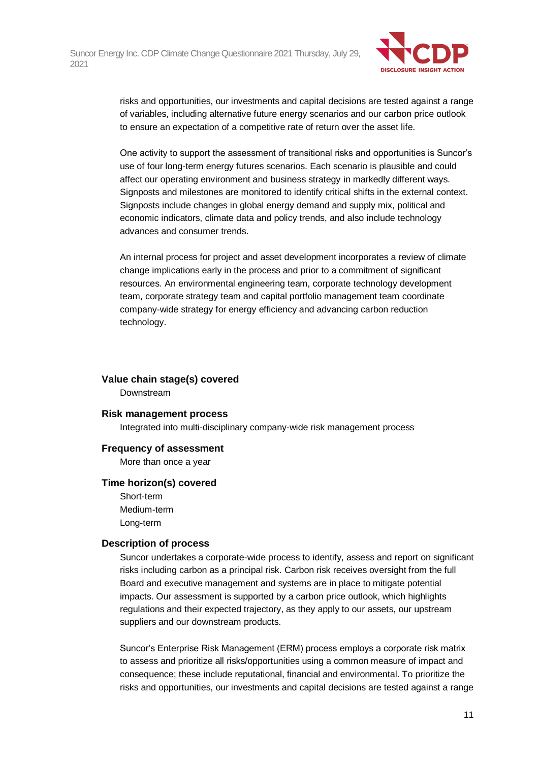

risks and opportunities, our investments and capital decisions are tested against a range of variables, including alternative future energy scenarios and our carbon price outlook to ensure an expectation of a competitive rate of return over the asset life.

One activity to support the assessment of transitional risks and opportunities is Suncor's use of four long-term energy futures scenarios. Each scenario is plausible and could affect our operating environment and business strategy in markedly different ways. Signposts and milestones are monitored to identify critical shifts in the external context. Signposts include changes in global energy demand and supply mix, political and economic indicators, climate data and policy trends, and also include technology advances and consumer trends.

An internal process for project and asset development incorporates a review of climate change implications early in the process and prior to a commitment of significant resources. An environmental engineering team, corporate technology development team, corporate strategy team and capital portfolio management team coordinate company-wide strategy for energy efficiency and advancing carbon reduction technology.

### **Value chain stage(s) covered**

Downstream

#### **Risk management process**

Integrated into multi-disciplinary company-wide risk management process

### **Frequency of assessment**

More than once a year

### **Time horizon(s) covered**

Short-term Medium-term Long-term

### **Description of process**

Suncor undertakes a corporate-wide process to identify, assess and report on significant risks including carbon as a principal risk. Carbon risk receives oversight from the full Board and executive management and systems are in place to mitigate potential impacts. Our assessment is supported by a carbon price outlook, which highlights regulations and their expected trajectory, as they apply to our assets, our upstream suppliers and our downstream products.

Suncor's Enterprise Risk Management (ERM) process employs a corporate risk matrix to assess and prioritize all risks/opportunities using a common measure of impact and consequence; these include reputational, financial and environmental. To prioritize the risks and opportunities, our investments and capital decisions are tested against a range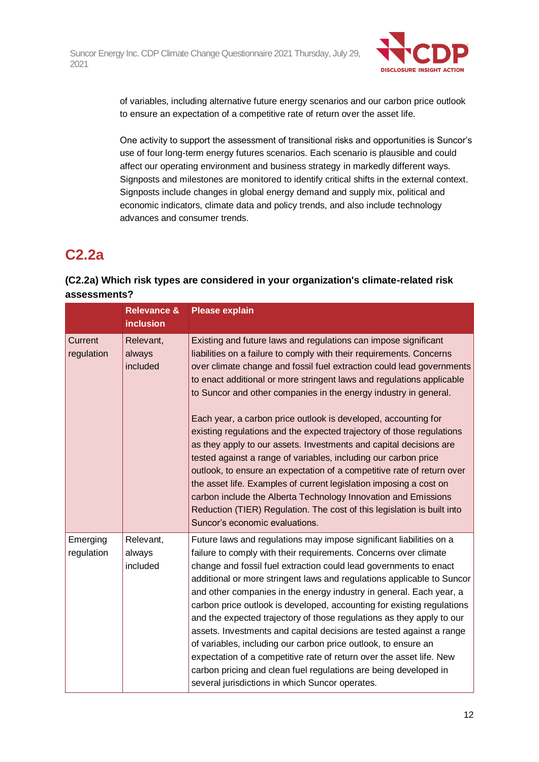

of variables, including alternative future energy scenarios and our carbon price outlook to ensure an expectation of a competitive rate of return over the asset life.

One activity to support the assessment of transitional risks and opportunities is Suncor's use of four long-term energy futures scenarios. Each scenario is plausible and could affect our operating environment and business strategy in markedly different ways. Signposts and milestones are monitored to identify critical shifts in the external context. Signposts include changes in global energy demand and supply mix, political and economic indicators, climate data and policy trends, and also include technology advances and consumer trends.

# **C2.2a**

## **(C2.2a) Which risk types are considered in your organization's climate-related risk assessments?**

|                        | <b>Relevance &amp;</b><br><b>inclusion</b> | <b>Please explain</b>                                                                                                                                                                                                                                                                                                                                                                                                                                                                                                                                                                                                                                                                                                                                                                                                                                                                                                                                                            |
|------------------------|--------------------------------------------|----------------------------------------------------------------------------------------------------------------------------------------------------------------------------------------------------------------------------------------------------------------------------------------------------------------------------------------------------------------------------------------------------------------------------------------------------------------------------------------------------------------------------------------------------------------------------------------------------------------------------------------------------------------------------------------------------------------------------------------------------------------------------------------------------------------------------------------------------------------------------------------------------------------------------------------------------------------------------------|
| Current<br>regulation  | Relevant,<br>always<br>included            | Existing and future laws and regulations can impose significant<br>liabilities on a failure to comply with their requirements. Concerns<br>over climate change and fossil fuel extraction could lead governments<br>to enact additional or more stringent laws and regulations applicable<br>to Suncor and other companies in the energy industry in general.<br>Each year, a carbon price outlook is developed, accounting for<br>existing regulations and the expected trajectory of those regulations<br>as they apply to our assets. Investments and capital decisions are<br>tested against a range of variables, including our carbon price<br>outlook, to ensure an expectation of a competitive rate of return over<br>the asset life. Examples of current legislation imposing a cost on<br>carbon include the Alberta Technology Innovation and Emissions<br>Reduction (TIER) Regulation. The cost of this legislation is built into<br>Suncor's economic evaluations. |
| Emerging<br>regulation | Relevant,<br>always<br>included            | Future laws and regulations may impose significant liabilities on a<br>failure to comply with their requirements. Concerns over climate<br>change and fossil fuel extraction could lead governments to enact<br>additional or more stringent laws and regulations applicable to Suncor<br>and other companies in the energy industry in general. Each year, a<br>carbon price outlook is developed, accounting for existing regulations<br>and the expected trajectory of those regulations as they apply to our<br>assets. Investments and capital decisions are tested against a range<br>of variables, including our carbon price outlook, to ensure an<br>expectation of a competitive rate of return over the asset life. New<br>carbon pricing and clean fuel regulations are being developed in<br>several jurisdictions in which Suncor operates.                                                                                                                        |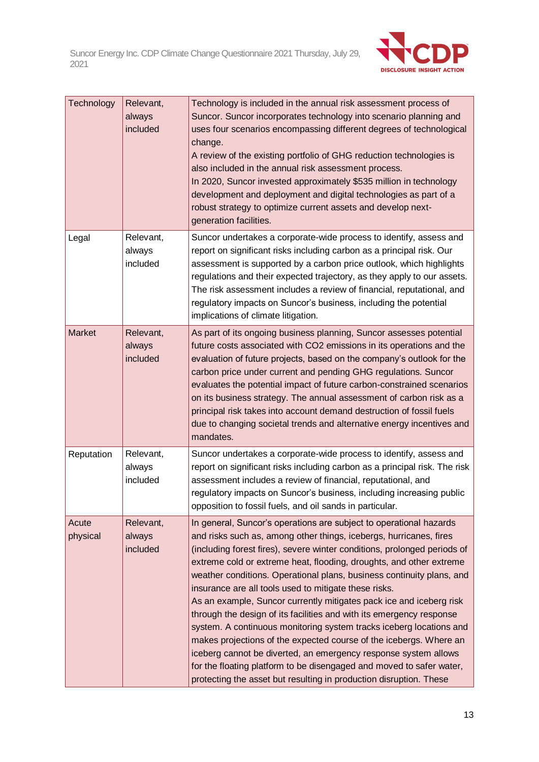

| Technology        | Relevant,<br>always<br>included | Technology is included in the annual risk assessment process of<br>Suncor. Suncor incorporates technology into scenario planning and<br>uses four scenarios encompassing different degrees of technological<br>change.<br>A review of the existing portfolio of GHG reduction technologies is<br>also included in the annual risk assessment process.<br>In 2020, Suncor invested approximately \$535 million in technology<br>development and deployment and digital technologies as part of a<br>robust strategy to optimize current assets and develop next-<br>generation facilities.                                                                                                                                                                                                                                                                                                                                                  |
|-------------------|---------------------------------|--------------------------------------------------------------------------------------------------------------------------------------------------------------------------------------------------------------------------------------------------------------------------------------------------------------------------------------------------------------------------------------------------------------------------------------------------------------------------------------------------------------------------------------------------------------------------------------------------------------------------------------------------------------------------------------------------------------------------------------------------------------------------------------------------------------------------------------------------------------------------------------------------------------------------------------------|
| Legal             | Relevant,<br>always<br>included | Suncor undertakes a corporate-wide process to identify, assess and<br>report on significant risks including carbon as a principal risk. Our<br>assessment is supported by a carbon price outlook, which highlights<br>regulations and their expected trajectory, as they apply to our assets.<br>The risk assessment includes a review of financial, reputational, and<br>regulatory impacts on Suncor's business, including the potential<br>implications of climate litigation.                                                                                                                                                                                                                                                                                                                                                                                                                                                          |
| <b>Market</b>     | Relevant,<br>always<br>included | As part of its ongoing business planning, Suncor assesses potential<br>future costs associated with CO2 emissions in its operations and the<br>evaluation of future projects, based on the company's outlook for the<br>carbon price under current and pending GHG regulations. Suncor<br>evaluates the potential impact of future carbon-constrained scenarios<br>on its business strategy. The annual assessment of carbon risk as a<br>principal risk takes into account demand destruction of fossil fuels<br>due to changing societal trends and alternative energy incentives and<br>mandates.                                                                                                                                                                                                                                                                                                                                       |
| Reputation        | Relevant,<br>always<br>included | Suncor undertakes a corporate-wide process to identify, assess and<br>report on significant risks including carbon as a principal risk. The risk<br>assessment includes a review of financial, reputational, and<br>regulatory impacts on Suncor's business, including increasing public<br>opposition to fossil fuels, and oil sands in particular.                                                                                                                                                                                                                                                                                                                                                                                                                                                                                                                                                                                       |
| Acute<br>physical | Relevant,<br>always<br>included | In general, Suncor's operations are subject to operational hazards<br>and risks such as, among other things, icebergs, hurricanes, fires<br>(including forest fires), severe winter conditions, prolonged periods of<br>extreme cold or extreme heat, flooding, droughts, and other extreme<br>weather conditions. Operational plans, business continuity plans, and<br>insurance are all tools used to mitigate these risks.<br>As an example, Suncor currently mitigates pack ice and iceberg risk<br>through the design of its facilities and with its emergency response<br>system. A continuous monitoring system tracks iceberg locations and<br>makes projections of the expected course of the icebergs. Where an<br>iceberg cannot be diverted, an emergency response system allows<br>for the floating platform to be disengaged and moved to safer water,<br>protecting the asset but resulting in production disruption. These |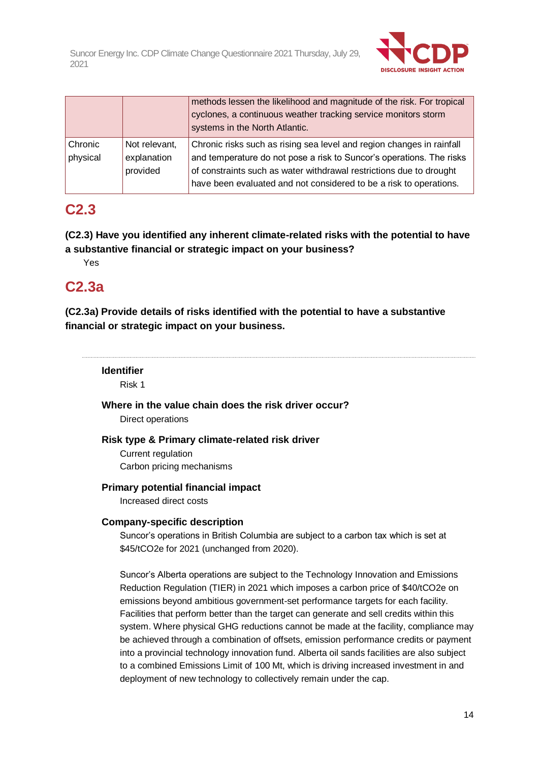

|                     |                                          | methods lessen the likelihood and magnitude of the risk. For tropical<br>cyclones, a continuous weather tracking service monitors storm<br>systems in the North Atlantic.                                                                                                                  |
|---------------------|------------------------------------------|--------------------------------------------------------------------------------------------------------------------------------------------------------------------------------------------------------------------------------------------------------------------------------------------|
| Chronic<br>physical | Not relevant,<br>explanation<br>provided | Chronic risks such as rising sea level and region changes in rainfall<br>and temperature do not pose a risk to Suncor's operations. The risks<br>of constraints such as water withdrawal restrictions due to drought<br>have been evaluated and not considered to be a risk to operations. |

# **C2.3**

**(C2.3) Have you identified any inherent climate-related risks with the potential to have a substantive financial or strategic impact on your business?**

Yes

# **C2.3a**

**(C2.3a) Provide details of risks identified with the potential to have a substantive financial or strategic impact on your business.**

### **Identifier**

Risk 1

### **Where in the value chain does the risk driver occur?**

Direct operations

### **Risk type & Primary climate-related risk driver**

Current regulation Carbon pricing mechanisms

### **Primary potential financial impact**

Increased direct costs

### **Company-specific description**

Suncor's operations in British Columbia are subject to a carbon tax which is set at \$45/tCO2e for 2021 (unchanged from 2020).

Suncor's Alberta operations are subject to the Technology Innovation and Emissions Reduction Regulation (TIER) in 2021 which imposes a carbon price of \$40/tCO2e on emissions beyond ambitious government-set performance targets for each facility. Facilities that perform better than the target can generate and sell credits within this system. Where physical GHG reductions cannot be made at the facility, compliance may be achieved through a combination of offsets, emission performance credits or payment into a provincial technology innovation fund. Alberta oil sands facilities are also subject to a combined Emissions Limit of 100 Mt, which is driving increased investment in and deployment of new technology to collectively remain under the cap.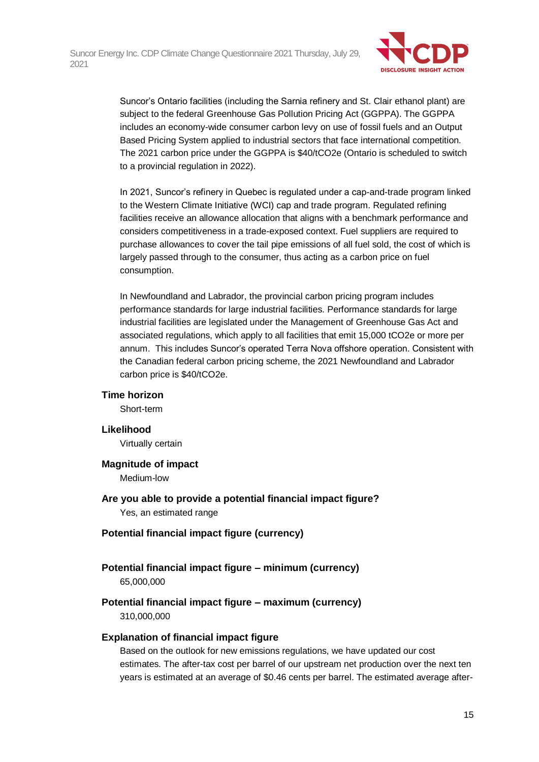

Suncor's Ontario facilities (including the Sarnia refinery and St. Clair ethanol plant) are subject to the federal Greenhouse Gas Pollution Pricing Act (GGPPA). The GGPPA includes an economy-wide consumer carbon levy on use of fossil fuels and an Output Based Pricing System applied to industrial sectors that face international competition. The 2021 carbon price under the GGPPA is \$40/tCO2e (Ontario is scheduled to switch to a provincial regulation in 2022).

In 2021, Suncor's refinery in Quebec is regulated under a cap-and-trade program linked to the Western Climate Initiative (WCI) cap and trade program. Regulated refining facilities receive an allowance allocation that aligns with a benchmark performance and considers competitiveness in a trade-exposed context. Fuel suppliers are required to purchase allowances to cover the tail pipe emissions of all fuel sold, the cost of which is largely passed through to the consumer, thus acting as a carbon price on fuel consumption.

In Newfoundland and Labrador, the provincial carbon pricing program includes performance standards for large industrial facilities. Performance standards for large industrial facilities are legislated under the Management of Greenhouse Gas Act and associated regulations, which apply to all facilities that emit 15,000 tCO2e or more per annum. This includes Suncor's operated Terra Nova offshore operation. Consistent with the Canadian federal carbon pricing scheme, the 2021 Newfoundland and Labrador carbon price is \$40/tCO2e.

### **Time horizon**

Short-term

### **Likelihood**

Virtually certain

### **Magnitude of impact**

Medium-low

**Are you able to provide a potential financial impact figure?** Yes, an estimated range

### **Potential financial impact figure (currency)**

### **Potential financial impact figure – minimum (currency)** 65,000,000

## **Potential financial impact figure – maximum (currency)**

310,000,000

### **Explanation of financial impact figure**

Based on the outlook for new emissions regulations, we have updated our cost estimates. The after-tax cost per barrel of our upstream net production over the next ten years is estimated at an average of \$0.46 cents per barrel. The estimated average after-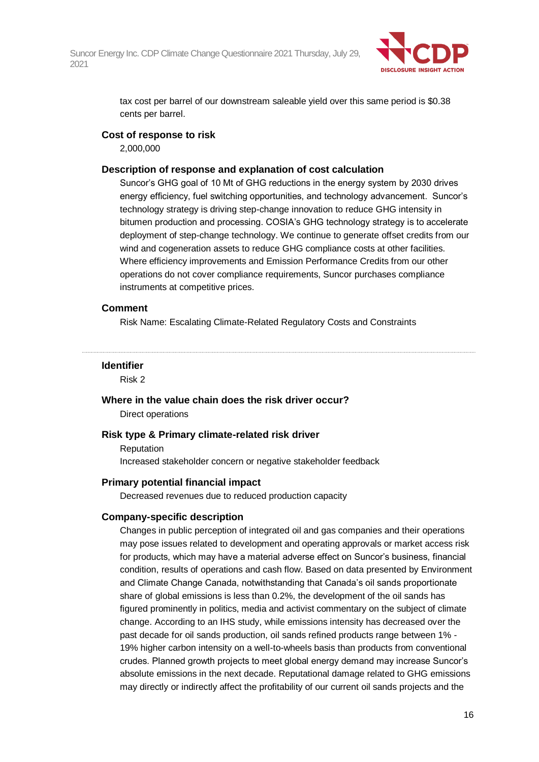

tax cost per barrel of our downstream saleable yield over this same period is \$0.38 cents per barrel.

### **Cost of response to risk**

2,000,000

### **Description of response and explanation of cost calculation**

Suncor's GHG goal of 10 Mt of GHG reductions in the energy system by 2030 drives energy efficiency, fuel switching opportunities, and technology advancement. Suncor's technology strategy is driving step-change innovation to reduce GHG intensity in bitumen production and processing. COSIA's GHG technology strategy is to accelerate deployment of step-change technology. We continue to generate offset credits from our wind and cogeneration assets to reduce GHG compliance costs at other facilities. Where efficiency improvements and Emission Performance Credits from our other operations do not cover compliance requirements, Suncor purchases compliance instruments at competitive prices.

#### **Comment**

Risk Name: Escalating Climate-Related Regulatory Costs and Constraints

#### **Identifier**

Risk 2

### **Where in the value chain does the risk driver occur?**

Direct operations

### **Risk type & Primary climate-related risk driver**

Reputation Increased stakeholder concern or negative stakeholder feedback

#### **Primary potential financial impact**

Decreased revenues due to reduced production capacity

### **Company-specific description**

Changes in public perception of integrated oil and gas companies and their operations may pose issues related to development and operating approvals or market access risk for products, which may have a material adverse effect on Suncor's business, financial condition, results of operations and cash flow. Based on data presented by Environment and Climate Change Canada, notwithstanding that Canada's oil sands proportionate share of global emissions is less than 0.2%, the development of the oil sands has figured prominently in politics, media and activist commentary on the subject of climate change. According to an IHS study, while emissions intensity has decreased over the past decade for oil sands production, oil sands refined products range between 1% - 19% higher carbon intensity on a well-to-wheels basis than products from conventional crudes. Planned growth projects to meet global energy demand may increase Suncor's absolute emissions in the next decade. Reputational damage related to GHG emissions may directly or indirectly affect the profitability of our current oil sands projects and the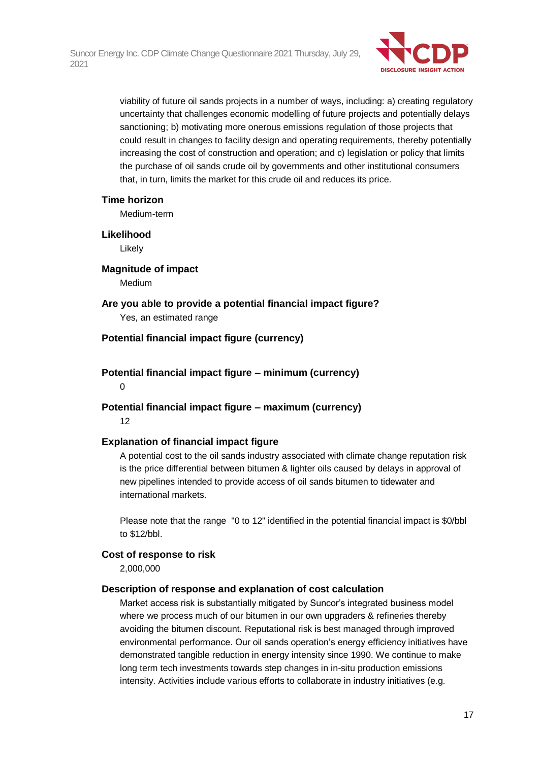

viability of future oil sands projects in a number of ways, including: a) creating regulatory uncertainty that challenges economic modelling of future projects and potentially delays sanctioning; b) motivating more onerous emissions regulation of those projects that could result in changes to facility design and operating requirements, thereby potentially increasing the cost of construction and operation; and c) legislation or policy that limits the purchase of oil sands crude oil by governments and other institutional consumers that, in turn, limits the market for this crude oil and reduces its price.

### **Time horizon**

Medium-term

### **Likelihood**

Likely

### **Magnitude of impact**

Medium

### **Are you able to provide a potential financial impact figure?** Yes, an estimated range

### **Potential financial impact figure (currency)**

# **Potential financial impact figure – minimum (currency)**

 $\Omega$ 

### **Potential financial impact figure – maximum (currency)** 12

### **Explanation of financial impact figure**

A potential cost to the oil sands industry associated with climate change reputation risk is the price differential between bitumen & lighter oils caused by delays in approval of new pipelines intended to provide access of oil sands bitumen to tidewater and international markets.

Please note that the range "0 to 12" identified in the potential financial impact is \$0/bbl to \$12/bbl.

### **Cost of response to risk**

2,000,000

### **Description of response and explanation of cost calculation**

Market access risk is substantially mitigated by Suncor's integrated business model where we process much of our bitumen in our own upgraders & refineries thereby avoiding the bitumen discount. Reputational risk is best managed through improved environmental performance. Our oil sands operation's energy efficiency initiatives have demonstrated tangible reduction in energy intensity since 1990. We continue to make long term tech investments towards step changes in in-situ production emissions intensity. Activities include various efforts to collaborate in industry initiatives (e.g.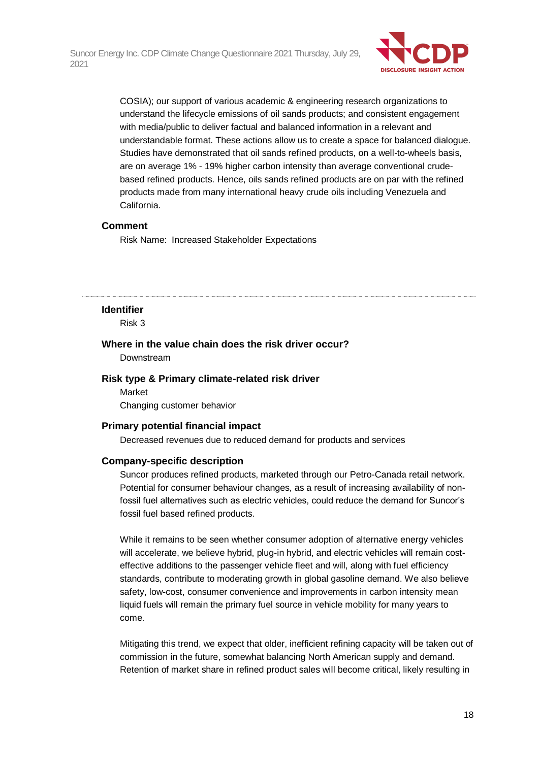

COSIA); our support of various academic & engineering research organizations to understand the lifecycle emissions of oil sands products; and consistent engagement with media/public to deliver factual and balanced information in a relevant and understandable format. These actions allow us to create a space for balanced dialogue. Studies have demonstrated that oil sands refined products, on a well-to-wheels basis, are on average 1% - 19% higher carbon intensity than average conventional crudebased refined products. Hence, oils sands refined products are on par with the refined products made from many international heavy crude oils including Venezuela and California.

### **Comment**

Risk Name: Increased Stakeholder Expectations

#### **Identifier**

Risk 3

### **Where in the value chain does the risk driver occur?**

Downstream

#### **Risk type & Primary climate-related risk driver**

Market Changing customer behavior

#### **Primary potential financial impact**

Decreased revenues due to reduced demand for products and services

#### **Company-specific description**

Suncor produces refined products, marketed through our Petro-Canada retail network. Potential for consumer behaviour changes, as a result of increasing availability of nonfossil fuel alternatives such as electric vehicles, could reduce the demand for Suncor's fossil fuel based refined products.

While it remains to be seen whether consumer adoption of alternative energy vehicles will accelerate, we believe hybrid, plug-in hybrid, and electric vehicles will remain costeffective additions to the passenger vehicle fleet and will, along with fuel efficiency standards, contribute to moderating growth in global gasoline demand. We also believe safety, low-cost, consumer convenience and improvements in carbon intensity mean liquid fuels will remain the primary fuel source in vehicle mobility for many years to come.

Mitigating this trend, we expect that older, inefficient refining capacity will be taken out of commission in the future, somewhat balancing North American supply and demand. Retention of market share in refined product sales will become critical, likely resulting in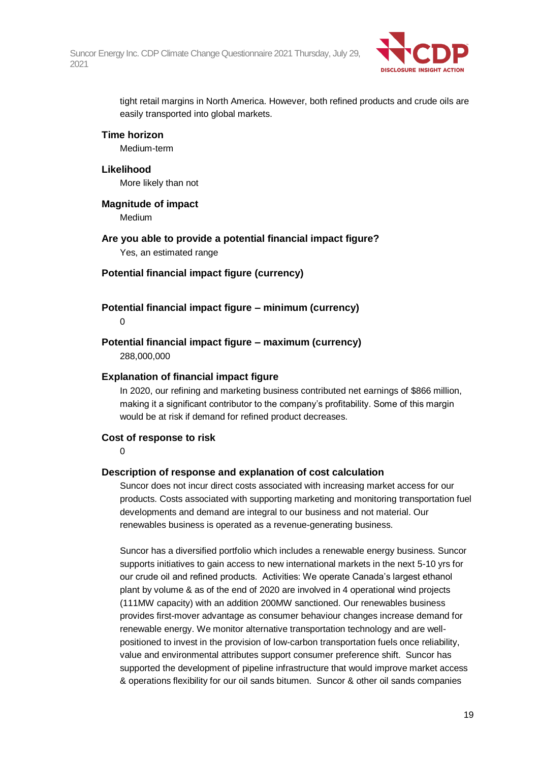

tight retail margins in North America. However, both refined products and crude oils are easily transported into global markets.

### **Time horizon**

Medium-term

### **Likelihood**

More likely than not

**Magnitude of impact**

Medium

**Are you able to provide a potential financial impact figure?** Yes, an estimated range

### **Potential financial impact figure (currency)**

### **Potential financial impact figure – minimum (currency)**

0

### **Potential financial impact figure – maximum (currency)**

288,000,000

### **Explanation of financial impact figure**

In 2020, our refining and marketing business contributed net earnings of \$866 million, making it a significant contributor to the company's profitability. Some of this margin would be at risk if demand for refined product decreases.

### **Cost of response to risk**

 $\Omega$ 

### **Description of response and explanation of cost calculation**

Suncor does not incur direct costs associated with increasing market access for our products. Costs associated with supporting marketing and monitoring transportation fuel developments and demand are integral to our business and not material. Our renewables business is operated as a revenue-generating business.

Suncor has a diversified portfolio which includes a renewable energy business. Suncor supports initiatives to gain access to new international markets in the next 5-10 yrs for our crude oil and refined products. Activities: We operate Canada's largest ethanol plant by volume & as of the end of 2020 are involved in 4 operational wind projects (111MW capacity) with an addition 200MW sanctioned. Our renewables business provides first-mover advantage as consumer behaviour changes increase demand for renewable energy. We monitor alternative transportation technology and are wellpositioned to invest in the provision of low-carbon transportation fuels once reliability, value and environmental attributes support consumer preference shift. Suncor has supported the development of pipeline infrastructure that would improve market access & operations flexibility for our oil sands bitumen. Suncor & other oil sands companies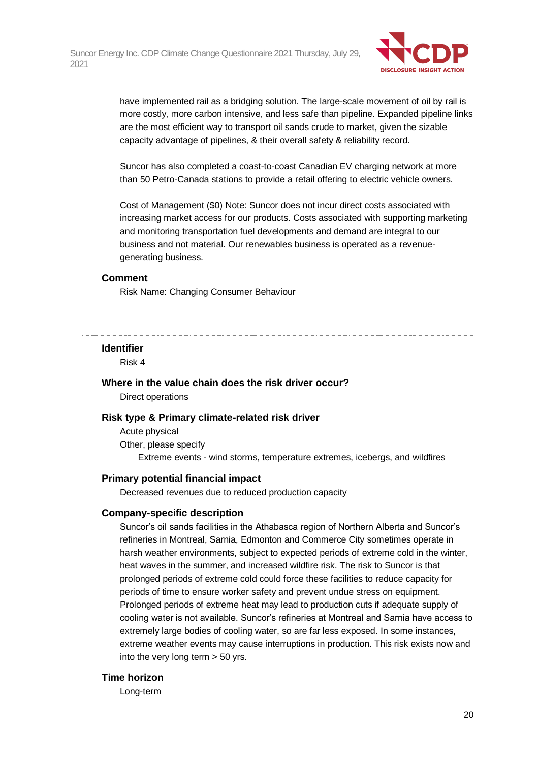

have implemented rail as a bridging solution. The large-scale movement of oil by rail is more costly, more carbon intensive, and less safe than pipeline. Expanded pipeline links are the most efficient way to transport oil sands crude to market, given the sizable capacity advantage of pipelines, & their overall safety & reliability record.

Suncor has also completed a coast-to-coast Canadian EV charging network at more than 50 Petro-Canada stations to provide a retail offering to electric vehicle owners.

Cost of Management (\$0) Note: Suncor does not incur direct costs associated with increasing market access for our products. Costs associated with supporting marketing and monitoring transportation fuel developments and demand are integral to our business and not material. Our renewables business is operated as a revenuegenerating business.

### **Comment**

Risk Name: Changing Consumer Behaviour

#### **Identifier**

Risk 4

### **Where in the value chain does the risk driver occur?**

Direct operations

#### **Risk type & Primary climate-related risk driver**

Acute physical Other, please specify Extreme events - wind storms, temperature extremes, icebergs, and wildfires

#### **Primary potential financial impact**

Decreased revenues due to reduced production capacity

#### **Company-specific description**

Suncor's oil sands facilities in the Athabasca region of Northern Alberta and Suncor's refineries in Montreal, Sarnia, Edmonton and Commerce City sometimes operate in harsh weather environments, subject to expected periods of extreme cold in the winter, heat waves in the summer, and increased wildfire risk. The risk to Suncor is that prolonged periods of extreme cold could force these facilities to reduce capacity for periods of time to ensure worker safety and prevent undue stress on equipment. Prolonged periods of extreme heat may lead to production cuts if adequate supply of cooling water is not available. Suncor's refineries at Montreal and Sarnia have access to extremely large bodies of cooling water, so are far less exposed. In some instances, extreme weather events may cause interruptions in production. This risk exists now and into the very long term > 50 yrs.

#### **Time horizon**

Long-term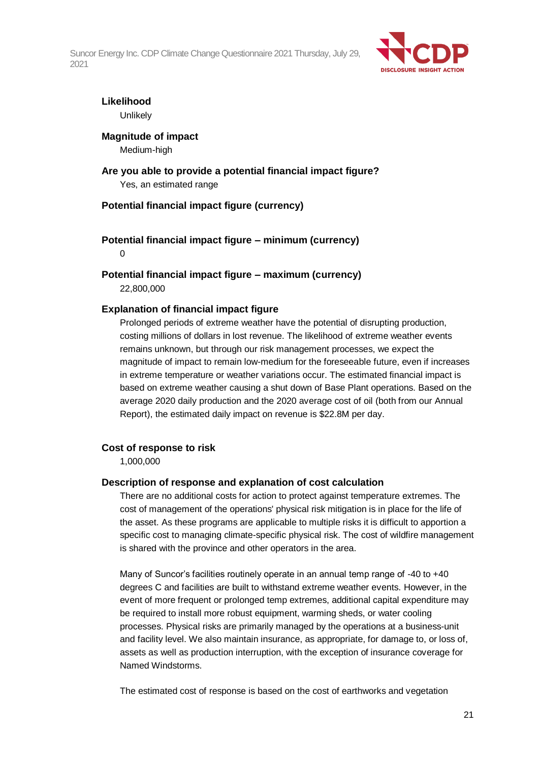

# **Likelihood**

Unlikely

# **Magnitude of impact**

Medium-high

### **Are you able to provide a potential financial impact figure?** Yes, an estimated range

### **Potential financial impact figure (currency)**

### **Potential financial impact figure – minimum (currency)** 0

**Potential financial impact figure – maximum (currency)** 22,800,000

### **Explanation of financial impact figure**

Prolonged periods of extreme weather have the potential of disrupting production, costing millions of dollars in lost revenue. The likelihood of extreme weather events remains unknown, but through our risk management processes, we expect the magnitude of impact to remain low-medium for the foreseeable future, even if increases in extreme temperature or weather variations occur. The estimated financial impact is based on extreme weather causing a shut down of Base Plant operations. Based on the average 2020 daily production and the 2020 average cost of oil (both from our Annual Report), the estimated daily impact on revenue is \$22.8M per day.

## **Cost of response to risk**

1,000,000

### **Description of response and explanation of cost calculation**

There are no additional costs for action to protect against temperature extremes. The cost of management of the operations' physical risk mitigation is in place for the life of the asset. As these programs are applicable to multiple risks it is difficult to apportion a specific cost to managing climate-specific physical risk. The cost of wildfire management is shared with the province and other operators in the area.

Many of Suncor's facilities routinely operate in an annual temp range of -40 to +40 degrees C and facilities are built to withstand extreme weather events. However, in the event of more frequent or prolonged temp extremes, additional capital expenditure may be required to install more robust equipment, warming sheds, or water cooling processes. Physical risks are primarily managed by the operations at a business-unit and facility level. We also maintain insurance, as appropriate, for damage to, or loss of, assets as well as production interruption, with the exception of insurance coverage for Named Windstorms.

The estimated cost of response is based on the cost of earthworks and vegetation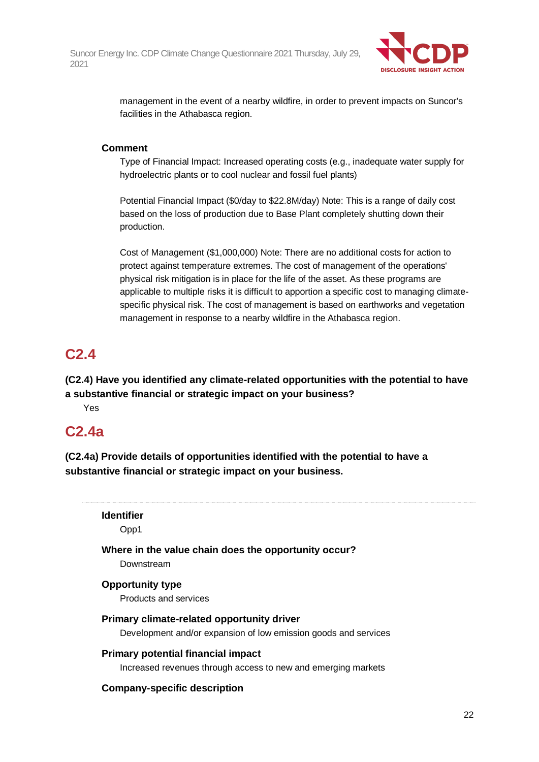

management in the event of a nearby wildfire, in order to prevent impacts on Suncor's facilities in the Athabasca region.

### **Comment**

Type of Financial Impact: Increased operating costs (e.g., inadequate water supply for hydroelectric plants or to cool nuclear and fossil fuel plants)

Potential Financial Impact (\$0/day to \$22.8M/day) Note: This is a range of daily cost based on the loss of production due to Base Plant completely shutting down their production.

Cost of Management (\$1,000,000) Note: There are no additional costs for action to protect against temperature extremes. The cost of management of the operations' physical risk mitigation is in place for the life of the asset. As these programs are applicable to multiple risks it is difficult to apportion a specific cost to managing climatespecific physical risk. The cost of management is based on earthworks and vegetation management in response to a nearby wildfire in the Athabasca region.

# **C2.4**

**(C2.4) Have you identified any climate-related opportunities with the potential to have a substantive financial or strategic impact on your business?**

Yes

## **C2.4a**

**(C2.4a) Provide details of opportunities identified with the potential to have a substantive financial or strategic impact on your business.**

**Identifier** Opp1

**Where in the value chain does the opportunity occur?**

Downstream

### **Opportunity type**

Products and services

### **Primary climate-related opportunity driver**

Development and/or expansion of low emission goods and services

### **Primary potential financial impact**

Increased revenues through access to new and emerging markets

### **Company-specific description**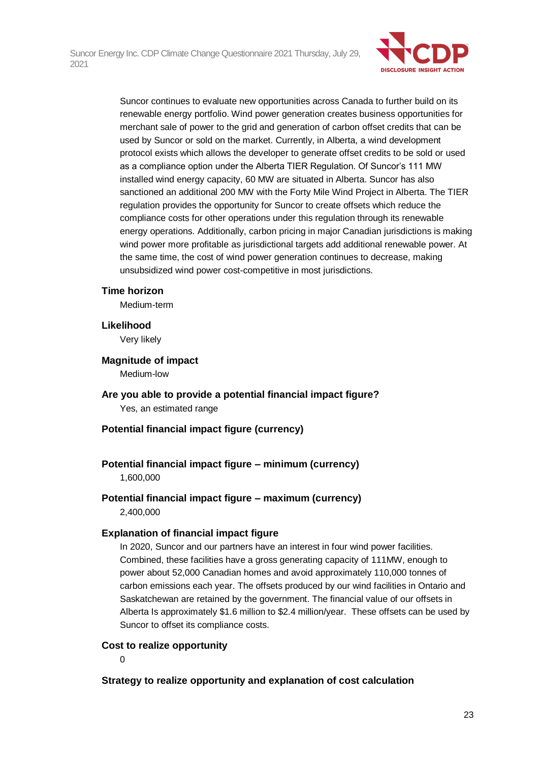

Suncor continues to evaluate new opportunities across Canada to further build on its renewable energy portfolio. Wind power generation creates business opportunities for merchant sale of power to the grid and generation of carbon offset credits that can be used by Suncor or sold on the market. Currently, in Alberta, a wind development protocol exists which allows the developer to generate offset credits to be sold or used as a compliance option under the Alberta TIER Regulation. Of Suncor's 111 MW installed wind energy capacity, 60 MW are situated in Alberta. Suncor has also sanctioned an additional 200 MW with the Forty Mile Wind Project in Alberta. The TIER regulation provides the opportunity for Suncor to create offsets which reduce the compliance costs for other operations under this regulation through its renewable energy operations. Additionally, carbon pricing in major Canadian jurisdictions is making wind power more profitable as jurisdictional targets add additional renewable power. At the same time, the cost of wind power generation continues to decrease, making unsubsidized wind power cost-competitive in most jurisdictions.

### **Time horizon**

Medium-term

### **Likelihood**

Very likely

### **Magnitude of impact**

Medium-low

**Are you able to provide a potential financial impact figure?** Yes, an estimated range

### **Potential financial impact figure (currency)**

### **Potential financial impact figure – minimum (currency)**

1,600,000

### **Potential financial impact figure – maximum (currency)** 2,400,000

### **Explanation of financial impact figure**

In 2020, Suncor and our partners have an interest in four wind power facilities. Combined, these facilities have a gross generating capacity of 111MW, enough to power about 52,000 Canadian homes and avoid approximately 110,000 tonnes of carbon emissions each year. The offsets produced by our wind facilities in Ontario and Saskatchewan are retained by the government. The financial value of our offsets in Alberta Is approximately \$1.6 million to \$2.4 million/year. These offsets can be used by Suncor to offset its compliance costs.

### **Cost to realize opportunity**

0

### **Strategy to realize opportunity and explanation of cost calculation**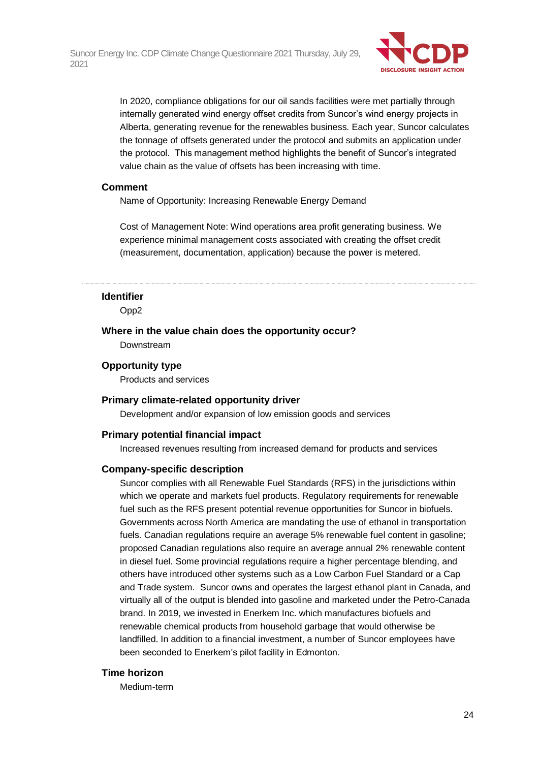

In 2020, compliance obligations for our oil sands facilities were met partially through internally generated wind energy offset credits from Suncor's wind energy projects in Alberta, generating revenue for the renewables business. Each year, Suncor calculates the tonnage of offsets generated under the protocol and submits an application under the protocol. This management method highlights the benefit of Suncor's integrated value chain as the value of offsets has been increasing with time.

### **Comment**

Name of Opportunity: Increasing Renewable Energy Demand

Cost of Management Note: Wind operations area profit generating business. We experience minimal management costs associated with creating the offset credit (measurement, documentation, application) because the power is metered.

#### **Identifier**

Opp2

### **Where in the value chain does the opportunity occur?** Downstream

**Opportunity type**

Products and services

### **Primary climate-related opportunity driver**

Development and/or expansion of low emission goods and services

### **Primary potential financial impact**

Increased revenues resulting from increased demand for products and services

#### **Company-specific description**

Suncor complies with all Renewable Fuel Standards (RFS) in the jurisdictions within which we operate and markets fuel products. Regulatory requirements for renewable fuel such as the RFS present potential revenue opportunities for Suncor in biofuels. Governments across North America are mandating the use of ethanol in transportation fuels. Canadian regulations require an average 5% renewable fuel content in gasoline; proposed Canadian regulations also require an average annual 2% renewable content in diesel fuel. Some provincial regulations require a higher percentage blending, and others have introduced other systems such as a Low Carbon Fuel Standard or a Cap and Trade system. Suncor owns and operates the largest ethanol plant in Canada, and virtually all of the output is blended into gasoline and marketed under the Petro-Canada brand. In 2019, we invested in Enerkem Inc. which manufactures biofuels and renewable chemical products from household garbage that would otherwise be landfilled. In addition to a financial investment, a number of Suncor employees have been seconded to Enerkem's pilot facility in Edmonton.

#### **Time horizon**

Medium-term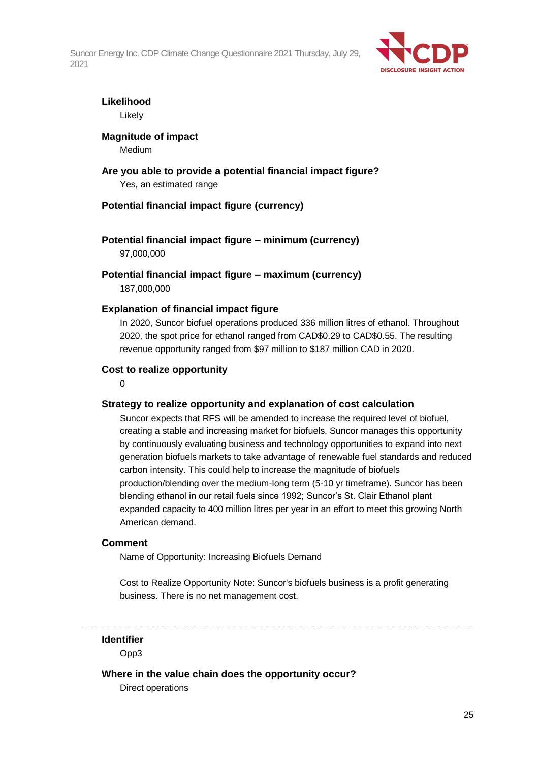

## **Likelihood**

Likely

### **Magnitude of impact**

Medium

### **Are you able to provide a potential financial impact figure?** Yes, an estimated range

### **Potential financial impact figure (currency)**

## **Potential financial impact figure – minimum (currency)**

97,000,000

**Potential financial impact figure – maximum (currency)** 187,000,000

### **Explanation of financial impact figure**

In 2020, Suncor biofuel operations produced 336 million litres of ethanol. Throughout 2020, the spot price for ethanol ranged from CAD\$0.29 to CAD\$0.55. The resulting revenue opportunity ranged from \$97 million to \$187 million CAD in 2020.

### **Cost to realize opportunity**

 $\Omega$ 

### **Strategy to realize opportunity and explanation of cost calculation**

Suncor expects that RFS will be amended to increase the required level of biofuel, creating a stable and increasing market for biofuels. Suncor manages this opportunity by continuously evaluating business and technology opportunities to expand into next generation biofuels markets to take advantage of renewable fuel standards and reduced carbon intensity. This could help to increase the magnitude of biofuels production/blending over the medium-long term (5-10 yr timeframe). Suncor has been blending ethanol in our retail fuels since 1992; Suncor's St. Clair Ethanol plant expanded capacity to 400 million litres per year in an effort to meet this growing North American demand.

### **Comment**

Name of Opportunity: Increasing Biofuels Demand

Cost to Realize Opportunity Note: Suncor's biofuels business is a profit generating business. There is no net management cost.

**Identifier**

Opp3

### **Where in the value chain does the opportunity occur?**

Direct operations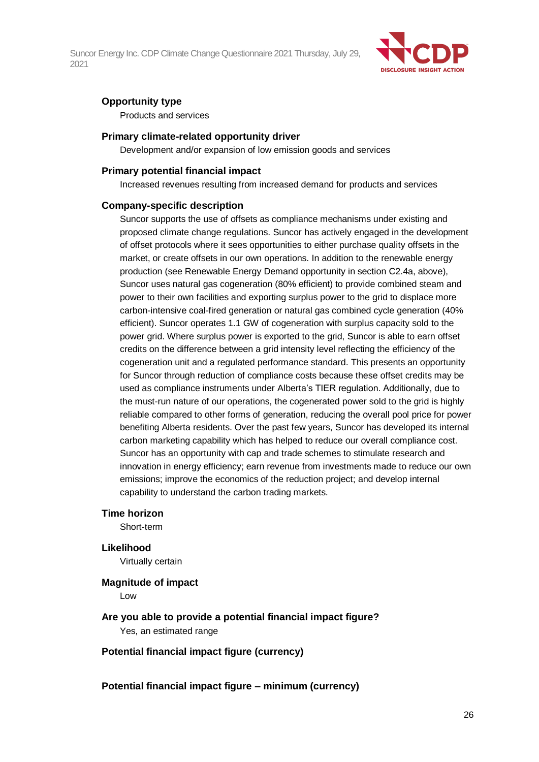

### **Opportunity type**

Products and services

### **Primary climate-related opportunity driver**

Development and/or expansion of low emission goods and services

### **Primary potential financial impact**

Increased revenues resulting from increased demand for products and services

### **Company-specific description**

Suncor supports the use of offsets as compliance mechanisms under existing and proposed climate change regulations. Suncor has actively engaged in the development of offset protocols where it sees opportunities to either purchase quality offsets in the market, or create offsets in our own operations. In addition to the renewable energy production (see Renewable Energy Demand opportunity in section C2.4a, above), Suncor uses natural gas cogeneration (80% efficient) to provide combined steam and power to their own facilities and exporting surplus power to the grid to displace more carbon-intensive coal-fired generation or natural gas combined cycle generation (40% efficient). Suncor operates 1.1 GW of cogeneration with surplus capacity sold to the power grid. Where surplus power is exported to the grid, Suncor is able to earn offset credits on the difference between a grid intensity level reflecting the efficiency of the cogeneration unit and a regulated performance standard. This presents an opportunity for Suncor through reduction of compliance costs because these offset credits may be used as compliance instruments under Alberta's TIER regulation. Additionally, due to the must-run nature of our operations, the cogenerated power sold to the grid is highly reliable compared to other forms of generation, reducing the overall pool price for power benefiting Alberta residents. Over the past few years, Suncor has developed its internal carbon marketing capability which has helped to reduce our overall compliance cost. Suncor has an opportunity with cap and trade schemes to stimulate research and innovation in energy efficiency; earn revenue from investments made to reduce our own emissions; improve the economics of the reduction project; and develop internal capability to understand the carbon trading markets.

### **Time horizon**

Short-term

### **Likelihood**

Virtually certain

## **Magnitude of impact**

Low

**Are you able to provide a potential financial impact figure?** Yes, an estimated range

### **Potential financial impact figure (currency)**

### **Potential financial impact figure – minimum (currency)**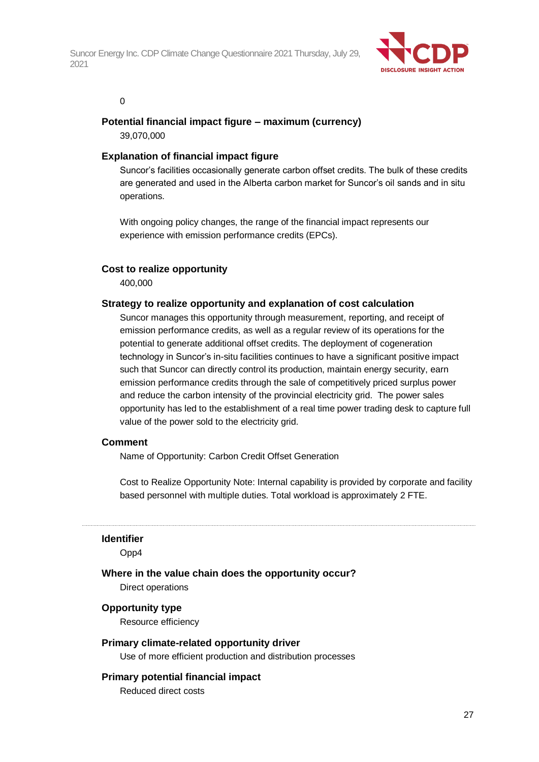

### 0

### **Potential financial impact figure – maximum (currency)**

39,070,000

### **Explanation of financial impact figure**

Suncor's facilities occasionally generate carbon offset credits. The bulk of these credits are generated and used in the Alberta carbon market for Suncor's oil sands and in situ operations.

With ongoing policy changes, the range of the financial impact represents our experience with emission performance credits (EPCs).

### **Cost to realize opportunity**

400,000

### **Strategy to realize opportunity and explanation of cost calculation**

Suncor manages this opportunity through measurement, reporting, and receipt of emission performance credits, as well as a regular review of its operations for the potential to generate additional offset credits. The deployment of cogeneration technology in Suncor's in-situ facilities continues to have a significant positive impact such that Suncor can directly control its production, maintain energy security, earn emission performance credits through the sale of competitively priced surplus power and reduce the carbon intensity of the provincial electricity grid. The power sales opportunity has led to the establishment of a real time power trading desk to capture full value of the power sold to the electricity grid.

### **Comment**

Name of Opportunity: Carbon Credit Offset Generation

Cost to Realize Opportunity Note: Internal capability is provided by corporate and facility based personnel with multiple duties. Total workload is approximately 2 FTE.

#### **Identifier**

Opp4

### **Where in the value chain does the opportunity occur?**

Direct operations

### **Opportunity type**

Resource efficiency

### **Primary climate-related opportunity driver**

Use of more efficient production and distribution processes

### **Primary potential financial impact**

Reduced direct costs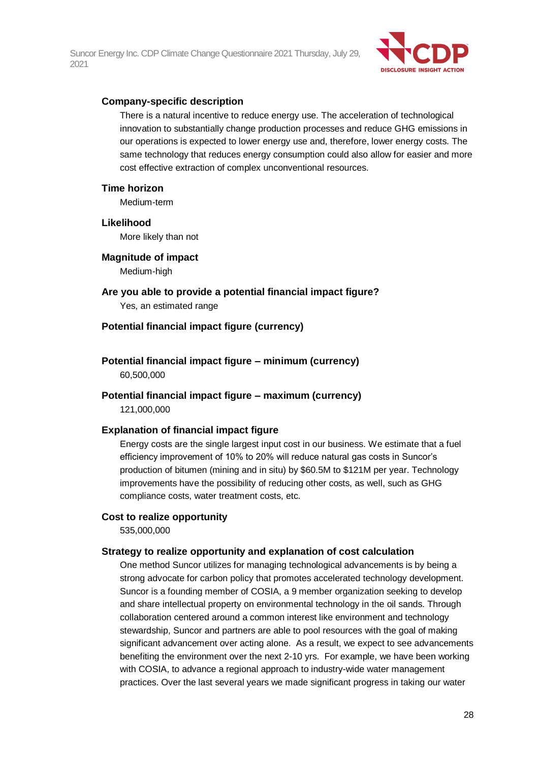

### **Company-specific description**

There is a natural incentive to reduce energy use. The acceleration of technological innovation to substantially change production processes and reduce GHG emissions in our operations is expected to lower energy use and, therefore, lower energy costs. The same technology that reduces energy consumption could also allow for easier and more cost effective extraction of complex unconventional resources.

### **Time horizon**

Medium-term

### **Likelihood**

More likely than not

**Magnitude of impact**

Medium-high

**Are you able to provide a potential financial impact figure?** Yes, an estimated range

### **Potential financial impact figure (currency)**

**Potential financial impact figure – minimum (currency)** 60,500,000

### **Potential financial impact figure – maximum (currency)**

121,000,000

### **Explanation of financial impact figure**

Energy costs are the single largest input cost in our business. We estimate that a fuel efficiency improvement of 10% to 20% will reduce natural gas costs in Suncor's production of bitumen (mining and in situ) by \$60.5M to \$121M per year. Technology improvements have the possibility of reducing other costs, as well, such as GHG compliance costs, water treatment costs, etc.

### **Cost to realize opportunity**

535,000,000

### **Strategy to realize opportunity and explanation of cost calculation**

One method Suncor utilizes for managing technological advancements is by being a strong advocate for carbon policy that promotes accelerated technology development. Suncor is a founding member of COSIA, a 9 member organization seeking to develop and share intellectual property on environmental technology in the oil sands. Through collaboration centered around a common interest like environment and technology stewardship, Suncor and partners are able to pool resources with the goal of making significant advancement over acting alone. As a result, we expect to see advancements benefiting the environment over the next 2-10 yrs. For example, we have been working with COSIA, to advance a regional approach to industry-wide water management practices. Over the last several years we made significant progress in taking our water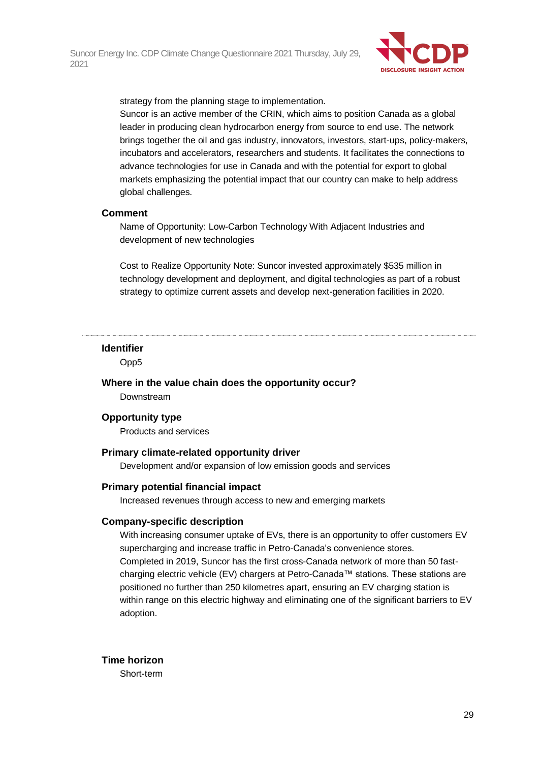

strategy from the planning stage to implementation.

Suncor is an active member of the CRIN, which aims to position Canada as a global leader in producing clean hydrocarbon energy from source to end use. The network brings together the oil and gas industry, innovators, investors, start-ups, policy-makers, incubators and accelerators, researchers and students. It facilitates the connections to advance technologies for use in Canada and with the potential for export to global markets emphasizing the potential impact that our country can make to help address global challenges.

### **Comment**

Name of Opportunity: Low-Carbon Technology With Adjacent Industries and development of new technologies

Cost to Realize Opportunity Note: Suncor invested approximately \$535 million in technology development and deployment, and digital technologies as part of a robust strategy to optimize current assets and develop next-generation facilities in 2020.

#### **Identifier**

Opp5

**Where in the value chain does the opportunity occur?**

Downstream

### **Opportunity type**

Products and services

### **Primary climate-related opportunity driver**

Development and/or expansion of low emission goods and services

#### **Primary potential financial impact**

Increased revenues through access to new and emerging markets

#### **Company-specific description**

With increasing consumer uptake of EVs, there is an opportunity to offer customers EV supercharging and increase traffic in Petro-Canada's convenience stores. Completed in 2019, Suncor has the first cross-Canada network of more than 50 fastcharging electric vehicle (EV) chargers at Petro-Canada™ stations. These stations are positioned no further than 250 kilometres apart, ensuring an EV charging station is within range on this electric highway and eliminating one of the significant barriers to EV adoption.

### **Time horizon**

Short-term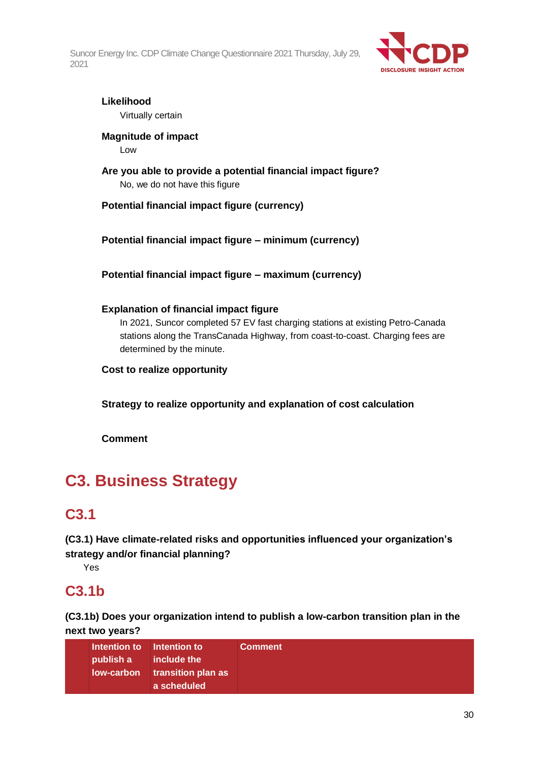

### **Likelihood** Virtually certain

**Magnitude of impact**

Low

**Are you able to provide a potential financial impact figure?** No, we do not have this figure

**Potential financial impact figure (currency)**

**Potential financial impact figure – minimum (currency)**

**Potential financial impact figure – maximum (currency)**

## **Explanation of financial impact figure**

In 2021, Suncor completed 57 EV fast charging stations at existing Petro-Canada stations along the TransCanada Highway, from coast-to-coast. Charging fees are determined by the minute.

**Cost to realize opportunity**

**Strategy to realize opportunity and explanation of cost calculation**

**Comment**

# **C3. Business Strategy**

# **C3.1**

**(C3.1) Have climate-related risks and opportunities influenced your organization's strategy and/or financial planning?**

Yes

# **C3.1b**

**(C3.1b) Does your organization intend to publish a low-carbon transition plan in the next two years?**

| a scheduled |  | Intention to Intention to<br>publish a | include the<br>low-carbon transition plan as | <b>Comment</b> |
|-------------|--|----------------------------------------|----------------------------------------------|----------------|
|-------------|--|----------------------------------------|----------------------------------------------|----------------|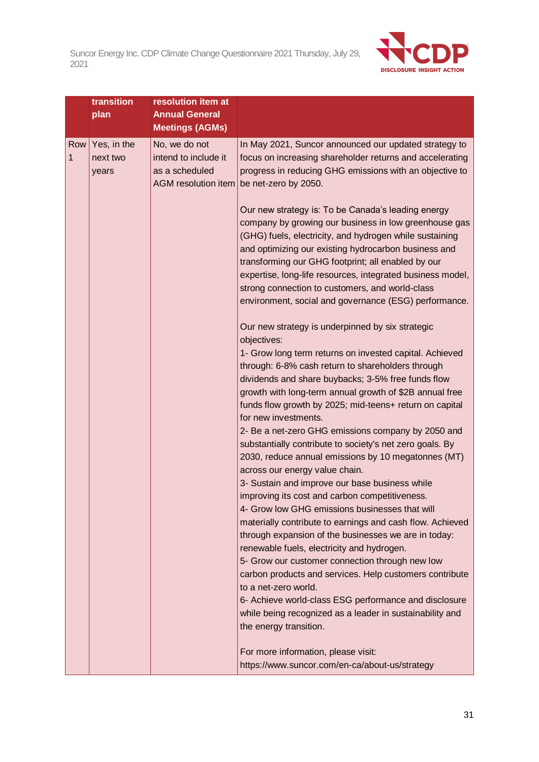

|                    | transition                       | resolution item at                                                                                                                       |                                                                                                                                                                                                                                                                                                                                                                                                                                                                                                                                                                                                                                                                                                                                                                                                                                                                                                                                                                                                                                                                                                                                                                                 |
|--------------------|----------------------------------|------------------------------------------------------------------------------------------------------------------------------------------|---------------------------------------------------------------------------------------------------------------------------------------------------------------------------------------------------------------------------------------------------------------------------------------------------------------------------------------------------------------------------------------------------------------------------------------------------------------------------------------------------------------------------------------------------------------------------------------------------------------------------------------------------------------------------------------------------------------------------------------------------------------------------------------------------------------------------------------------------------------------------------------------------------------------------------------------------------------------------------------------------------------------------------------------------------------------------------------------------------------------------------------------------------------------------------|
|                    | plan                             |                                                                                                                                          |                                                                                                                                                                                                                                                                                                                                                                                                                                                                                                                                                                                                                                                                                                                                                                                                                                                                                                                                                                                                                                                                                                                                                                                 |
|                    |                                  |                                                                                                                                          |                                                                                                                                                                                                                                                                                                                                                                                                                                                                                                                                                                                                                                                                                                                                                                                                                                                                                                                                                                                                                                                                                                                                                                                 |
| Row<br>$\mathbf 1$ | Yes, in the<br>next two<br>years | <b>Annual General</b><br><b>Meetings (AGMs)</b><br>No, we do not<br>intend to include it<br>as a scheduled<br><b>AGM</b> resolution item | In May 2021, Suncor announced our updated strategy to<br>focus on increasing shareholder returns and accelerating<br>progress in reducing GHG emissions with an objective to<br>be net-zero by 2050.<br>Our new strategy is: To be Canada's leading energy<br>company by growing our business in low greenhouse gas<br>(GHG) fuels, electricity, and hydrogen while sustaining<br>and optimizing our existing hydrocarbon business and<br>transforming our GHG footprint; all enabled by our<br>expertise, long-life resources, integrated business model,<br>strong connection to customers, and world-class<br>environment, social and governance (ESG) performance.<br>Our new strategy is underpinned by six strategic<br>objectives:<br>1- Grow long term returns on invested capital. Achieved<br>through: 6-8% cash return to shareholders through<br>dividends and share buybacks; 3-5% free funds flow<br>growth with long-term annual growth of \$2B annual free<br>funds flow growth by 2025; mid-teens+ return on capital<br>for new investments.<br>2- Be a net-zero GHG emissions company by 2050 and<br>substantially contribute to society's net zero goals. By |
|                    |                                  |                                                                                                                                          | 2030, reduce annual emissions by 10 megatonnes (MT)<br>across our energy value chain.<br>3- Sustain and improve our base business while<br>improving its cost and carbon competitiveness.<br>4- Grow low GHG emissions businesses that will<br>materially contribute to earnings and cash flow. Achieved<br>through expansion of the businesses we are in today:<br>renewable fuels, electricity and hydrogen.<br>5- Grow our customer connection through new low<br>carbon products and services. Help customers contribute<br>to a net-zero world.<br>6- Achieve world-class ESG performance and disclosure<br>while being recognized as a leader in sustainability and<br>the energy transition.<br>For more information, please visit:<br>https://www.suncor.com/en-ca/about-us/strategy                                                                                                                                                                                                                                                                                                                                                                                    |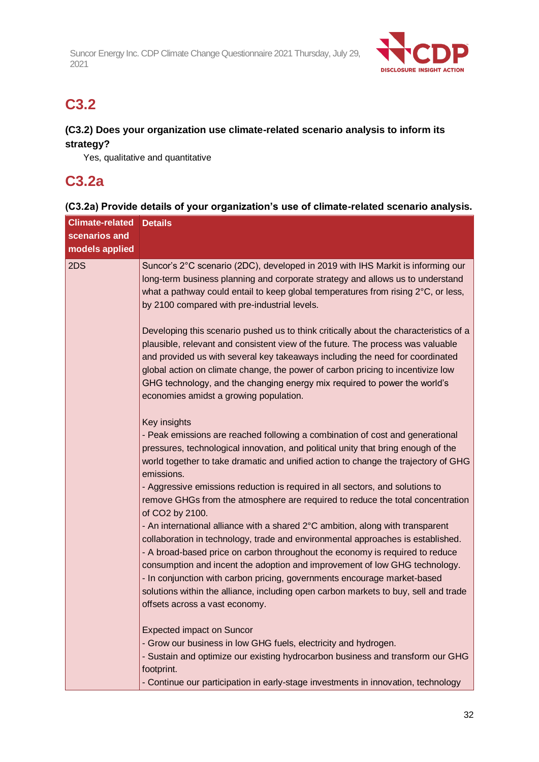

# **C3.2**

### **(C3.2) Does your organization use climate-related scenario analysis to inform its strategy?**

Yes, qualitative and quantitative

# **C3.2a**

## **(C3.2a) Provide details of your organization's use of climate-related scenario analysis.**

| <b>Climate-related</b>          | <b>Details</b>                                                                                                                                                                                                                                                                                                                                                                                                                                                                                                                                                                                                                                                                                                                                                                                                                                                                                                                                                                                                       |  |  |
|---------------------------------|----------------------------------------------------------------------------------------------------------------------------------------------------------------------------------------------------------------------------------------------------------------------------------------------------------------------------------------------------------------------------------------------------------------------------------------------------------------------------------------------------------------------------------------------------------------------------------------------------------------------------------------------------------------------------------------------------------------------------------------------------------------------------------------------------------------------------------------------------------------------------------------------------------------------------------------------------------------------------------------------------------------------|--|--|
| scenarios and<br>models applied |                                                                                                                                                                                                                                                                                                                                                                                                                                                                                                                                                                                                                                                                                                                                                                                                                                                                                                                                                                                                                      |  |  |
| 2DS                             | Suncor's 2°C scenario (2DC), developed in 2019 with IHS Markit is informing our<br>long-term business planning and corporate strategy and allows us to understand<br>what a pathway could entail to keep global temperatures from rising 2°C, or less,<br>by 2100 compared with pre-industrial levels.<br>Developing this scenario pushed us to think critically about the characteristics of a                                                                                                                                                                                                                                                                                                                                                                                                                                                                                                                                                                                                                      |  |  |
|                                 | plausible, relevant and consistent view of the future. The process was valuable<br>and provided us with several key takeaways including the need for coordinated<br>global action on climate change, the power of carbon pricing to incentivize low<br>GHG technology, and the changing energy mix required to power the world's<br>economies amidst a growing population.                                                                                                                                                                                                                                                                                                                                                                                                                                                                                                                                                                                                                                           |  |  |
|                                 | Key insights<br>- Peak emissions are reached following a combination of cost and generational<br>pressures, technological innovation, and political unity that bring enough of the<br>world together to take dramatic and unified action to change the trajectory of GHG<br>emissions.<br>- Aggressive emissions reduction is required in all sectors, and solutions to<br>remove GHGs from the atmosphere are required to reduce the total concentration<br>of CO2 by 2100.<br>- An international alliance with a shared 2°C ambition, along with transparent<br>collaboration in technology, trade and environmental approaches is established.<br>- A broad-based price on carbon throughout the economy is required to reduce<br>consumption and incent the adoption and improvement of low GHG technology.<br>- In conjunction with carbon pricing, governments encourage market-based<br>solutions within the alliance, including open carbon markets to buy, sell and trade<br>offsets across a vast economy. |  |  |
|                                 | <b>Expected impact on Suncor</b><br>- Grow our business in low GHG fuels, electricity and hydrogen.<br>- Sustain and optimize our existing hydrocarbon business and transform our GHG<br>footprint.<br>- Continue our participation in early-stage investments in innovation, technology                                                                                                                                                                                                                                                                                                                                                                                                                                                                                                                                                                                                                                                                                                                             |  |  |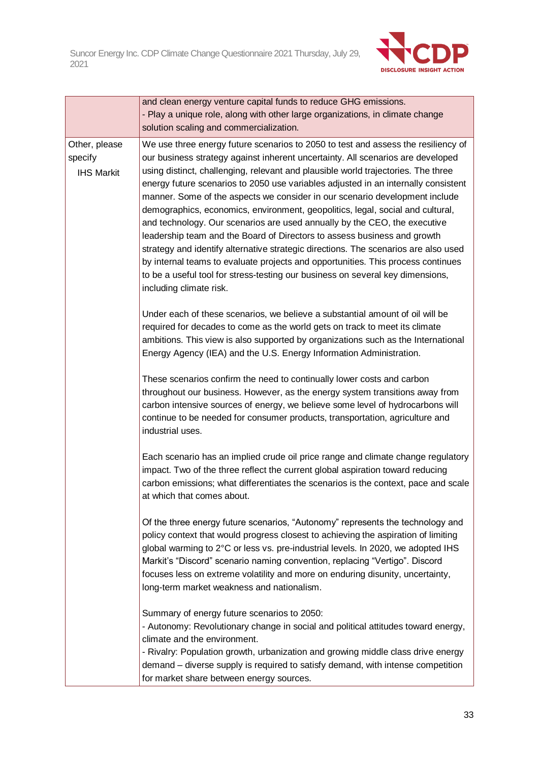

|                                               | and clean energy venture capital funds to reduce GHG emissions.<br>- Play a unique role, along with other large organizations, in climate change<br>solution scaling and commercialization.                                                                                                                                                                                                                                                                                                                                                                                                                                                                                                                                                                                                                                                                                                                                                                       |  |
|-----------------------------------------------|-------------------------------------------------------------------------------------------------------------------------------------------------------------------------------------------------------------------------------------------------------------------------------------------------------------------------------------------------------------------------------------------------------------------------------------------------------------------------------------------------------------------------------------------------------------------------------------------------------------------------------------------------------------------------------------------------------------------------------------------------------------------------------------------------------------------------------------------------------------------------------------------------------------------------------------------------------------------|--|
| Other, please<br>specify<br><b>IHS Markit</b> | We use three energy future scenarios to 2050 to test and assess the resiliency of<br>our business strategy against inherent uncertainty. All scenarios are developed<br>using distinct, challenging, relevant and plausible world trajectories. The three<br>energy future scenarios to 2050 use variables adjusted in an internally consistent<br>manner. Some of the aspects we consider in our scenario development include<br>demographics, economics, environment, geopolitics, legal, social and cultural,<br>and technology. Our scenarios are used annually by the CEO, the executive<br>leadership team and the Board of Directors to assess business and growth<br>strategy and identify alternative strategic directions. The scenarios are also used<br>by internal teams to evaluate projects and opportunities. This process continues<br>to be a useful tool for stress-testing our business on several key dimensions,<br>including climate risk. |  |
|                                               | Under each of these scenarios, we believe a substantial amount of oil will be<br>required for decades to come as the world gets on track to meet its climate<br>ambitions. This view is also supported by organizations such as the International<br>Energy Agency (IEA) and the U.S. Energy Information Administration.                                                                                                                                                                                                                                                                                                                                                                                                                                                                                                                                                                                                                                          |  |
|                                               | These scenarios confirm the need to continually lower costs and carbon<br>throughout our business. However, as the energy system transitions away from<br>carbon intensive sources of energy, we believe some level of hydrocarbons will<br>continue to be needed for consumer products, transportation, agriculture and<br>industrial uses.                                                                                                                                                                                                                                                                                                                                                                                                                                                                                                                                                                                                                      |  |
|                                               | Each scenario has an implied crude oil price range and climate change regulatory<br>impact. Two of the three reflect the current global aspiration toward reducing<br>carbon emissions; what differentiates the scenarios is the context, pace and scale<br>at which that comes about.                                                                                                                                                                                                                                                                                                                                                                                                                                                                                                                                                                                                                                                                            |  |
|                                               | Of the three energy future scenarios, "Autonomy" represents the technology and<br>policy context that would progress closest to achieving the aspiration of limiting<br>global warming to 2°C or less vs. pre-industrial levels. In 2020, we adopted IHS<br>Markit's "Discord" scenario naming convention, replacing "Vertigo". Discord<br>focuses less on extreme volatility and more on enduring disunity, uncertainty,<br>long-term market weakness and nationalism.                                                                                                                                                                                                                                                                                                                                                                                                                                                                                           |  |
|                                               | Summary of energy future scenarios to 2050:<br>- Autonomy: Revolutionary change in social and political attitudes toward energy,<br>climate and the environment.<br>- Rivalry: Population growth, urbanization and growing middle class drive energy<br>demand – diverse supply is required to satisfy demand, with intense competition<br>for market share between energy sources.                                                                                                                                                                                                                                                                                                                                                                                                                                                                                                                                                                               |  |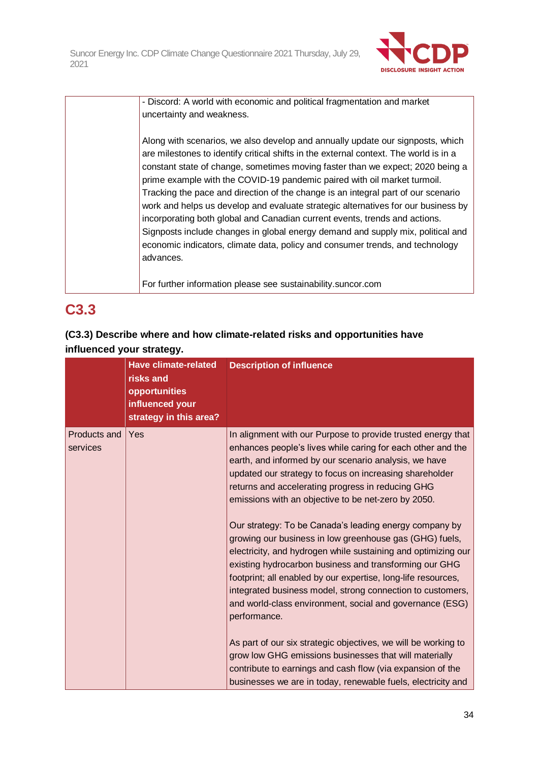

- Discord: A world with economic and political fragmentation and market uncertainty and weakness.

Along with scenarios, we also develop and annually update our signposts, which are milestones to identify critical shifts in the external context. The world is in a constant state of change, sometimes moving faster than we expect; 2020 being a prime example with the COVID-19 pandemic paired with oil market turmoil. Tracking the pace and direction of the change is an integral part of our scenario work and helps us develop and evaluate strategic alternatives for our business by incorporating both global and Canadian current events, trends and actions. Signposts include changes in global energy demand and supply mix, political and economic indicators, climate data, policy and consumer trends, and technology advances.

For further information please see sustainability.suncor.com

# **C3.3**

## **(C3.3) Describe where and how climate-related risks and opportunities have influenced your strategy.**

|                          | <b>Have climate-related</b><br>risks and<br>opportunities<br>influenced your<br>strategy in this area? | <b>Description of influence</b>                                                                                                                                                                                                                                                                                                                                                                                                                                                                                                                                                                                                                                                                                                                                                                                                                                                                                                                                                                                                                                                  |
|--------------------------|--------------------------------------------------------------------------------------------------------|----------------------------------------------------------------------------------------------------------------------------------------------------------------------------------------------------------------------------------------------------------------------------------------------------------------------------------------------------------------------------------------------------------------------------------------------------------------------------------------------------------------------------------------------------------------------------------------------------------------------------------------------------------------------------------------------------------------------------------------------------------------------------------------------------------------------------------------------------------------------------------------------------------------------------------------------------------------------------------------------------------------------------------------------------------------------------------|
| Products and<br>services | Yes                                                                                                    | In alignment with our Purpose to provide trusted energy that<br>enhances people's lives while caring for each other and the<br>earth, and informed by our scenario analysis, we have<br>updated our strategy to focus on increasing shareholder<br>returns and accelerating progress in reducing GHG<br>emissions with an objective to be net-zero by 2050.<br>Our strategy: To be Canada's leading energy company by<br>growing our business in low greenhouse gas (GHG) fuels,<br>electricity, and hydrogen while sustaining and optimizing our<br>existing hydrocarbon business and transforming our GHG<br>footprint; all enabled by our expertise, long-life resources,<br>integrated business model, strong connection to customers,<br>and world-class environment, social and governance (ESG)<br>performance.<br>As part of our six strategic objectives, we will be working to<br>grow low GHG emissions businesses that will materially<br>contribute to earnings and cash flow (via expansion of the<br>businesses we are in today, renewable fuels, electricity and |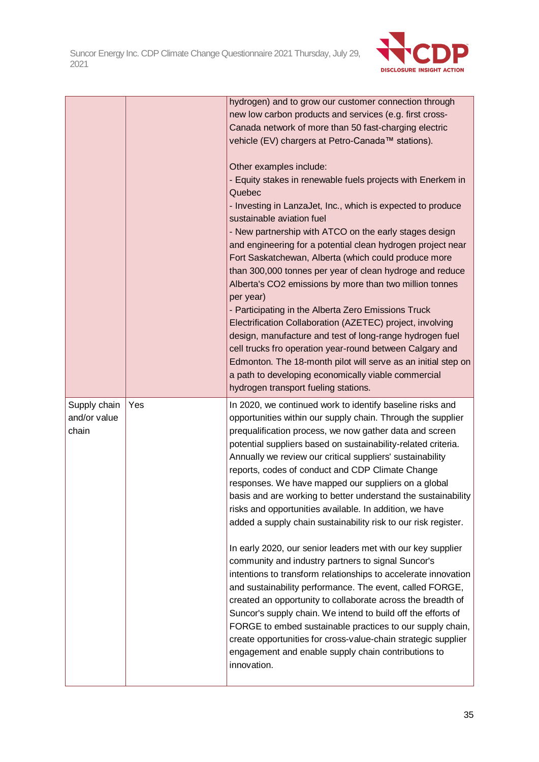

|                                       |     | hydrogen) and to grow our customer connection through<br>new low carbon products and services (e.g. first cross-<br>Canada network of more than 50 fast-charging electric<br>vehicle (EV) chargers at Petro-Canada™ stations).<br>Other examples include:<br>- Equity stakes in renewable fuels projects with Enerkem in<br>Quebec<br>- Investing in LanzaJet, Inc., which is expected to produce<br>sustainable aviation fuel<br>- New partnership with ATCO on the early stages design<br>and engineering for a potential clean hydrogen project near<br>Fort Saskatchewan, Alberta (which could produce more<br>than 300,000 tonnes per year of clean hydroge and reduce<br>Alberta's CO2 emissions by more than two million tonnes<br>per year)<br>- Participating in the Alberta Zero Emissions Truck<br>Electrification Collaboration (AZETEC) project, involving<br>design, manufacture and test of long-range hydrogen fuel<br>cell trucks fro operation year-round between Calgary and<br>Edmonton. The 18-month pilot will serve as an initial step on<br>a path to developing economically viable commercial<br>hydrogen transport fueling stations.                                                  |
|---------------------------------------|-----|------------------------------------------------------------------------------------------------------------------------------------------------------------------------------------------------------------------------------------------------------------------------------------------------------------------------------------------------------------------------------------------------------------------------------------------------------------------------------------------------------------------------------------------------------------------------------------------------------------------------------------------------------------------------------------------------------------------------------------------------------------------------------------------------------------------------------------------------------------------------------------------------------------------------------------------------------------------------------------------------------------------------------------------------------------------------------------------------------------------------------------------------------------------------------------------------------------------|
| Supply chain<br>and/or value<br>chain | Yes | In 2020, we continued work to identify baseline risks and<br>opportunities within our supply chain. Through the supplier<br>prequalification process, we now gather data and screen<br>potential suppliers based on sustainability-related criteria.<br>Annually we review our critical suppliers' sustainability<br>reports, codes of conduct and CDP Climate Change<br>responses. We have mapped our suppliers on a global<br>basis and are working to better understand the sustainability<br>risks and opportunities available. In addition, we have<br>added a supply chain sustainability risk to our risk register.<br>In early 2020, our senior leaders met with our key supplier<br>community and industry partners to signal Suncor's<br>intentions to transform relationships to accelerate innovation<br>and sustainability performance. The event, called FORGE,<br>created an opportunity to collaborate across the breadth of<br>Suncor's supply chain. We intend to build off the efforts of<br>FORGE to embed sustainable practices to our supply chain,<br>create opportunities for cross-value-chain strategic supplier<br>engagement and enable supply chain contributions to<br>innovation. |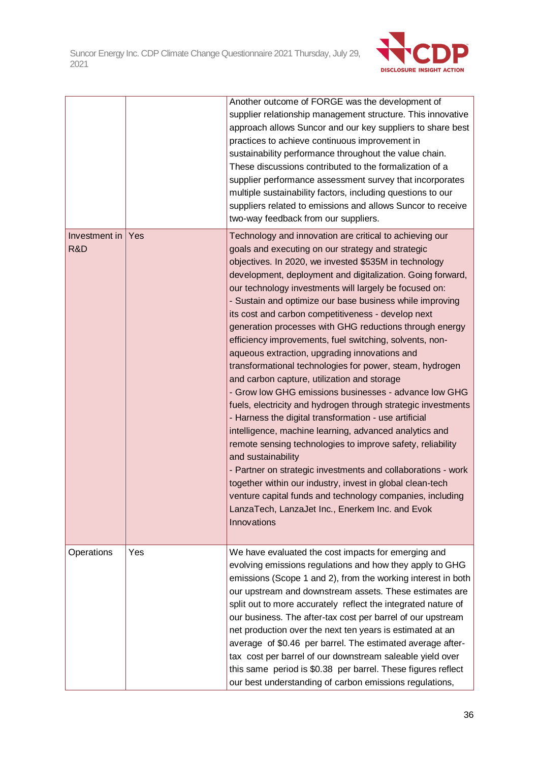

|                      |     | Another outcome of FORGE was the development of<br>supplier relationship management structure. This innovative<br>approach allows Suncor and our key suppliers to share best<br>practices to achieve continuous improvement in<br>sustainability performance throughout the value chain.<br>These discussions contributed to the formalization of a<br>supplier performance assessment survey that incorporates<br>multiple sustainability factors, including questions to our<br>suppliers related to emissions and allows Suncor to receive<br>two-way feedback from our suppliers.                                                                                                                                                                                                                                                                                                                                                                                                                                                                                                                                                                                                                                                                                                          |
|----------------------|-----|------------------------------------------------------------------------------------------------------------------------------------------------------------------------------------------------------------------------------------------------------------------------------------------------------------------------------------------------------------------------------------------------------------------------------------------------------------------------------------------------------------------------------------------------------------------------------------------------------------------------------------------------------------------------------------------------------------------------------------------------------------------------------------------------------------------------------------------------------------------------------------------------------------------------------------------------------------------------------------------------------------------------------------------------------------------------------------------------------------------------------------------------------------------------------------------------------------------------------------------------------------------------------------------------|
| Investment in<br>R&D | Yes | Technology and innovation are critical to achieving our<br>goals and executing on our strategy and strategic<br>objectives. In 2020, we invested \$535M in technology<br>development, deployment and digitalization. Going forward,<br>our technology investments will largely be focused on:<br>- Sustain and optimize our base business while improving<br>its cost and carbon competitiveness - develop next<br>generation processes with GHG reductions through energy<br>efficiency improvements, fuel switching, solvents, non-<br>aqueous extraction, upgrading innovations and<br>transformational technologies for power, steam, hydrogen<br>and carbon capture, utilization and storage<br>- Grow low GHG emissions businesses - advance low GHG<br>fuels, electricity and hydrogen through strategic investments<br>- Harness the digital transformation - use artificial<br>intelligence, machine learning, advanced analytics and<br>remote sensing technologies to improve safety, reliability<br>and sustainability<br>- Partner on strategic investments and collaborations - work<br>together within our industry, invest in global clean-tech<br>venture capital funds and technology companies, including<br>LanzaTech, LanzaJet Inc., Enerkem Inc. and Evok<br>Innovations |
| Operations           | Yes | We have evaluated the cost impacts for emerging and<br>evolving emissions regulations and how they apply to GHG<br>emissions (Scope 1 and 2), from the working interest in both<br>our upstream and downstream assets. These estimates are<br>split out to more accurately reflect the integrated nature of<br>our business. The after-tax cost per barrel of our upstream<br>net production over the next ten years is estimated at an<br>average of \$0.46 per barrel. The estimated average after-<br>tax cost per barrel of our downstream saleable yield over<br>this same period is \$0.38 per barrel. These figures reflect<br>our best understanding of carbon emissions regulations,                                                                                                                                                                                                                                                                                                                                                                                                                                                                                                                                                                                                  |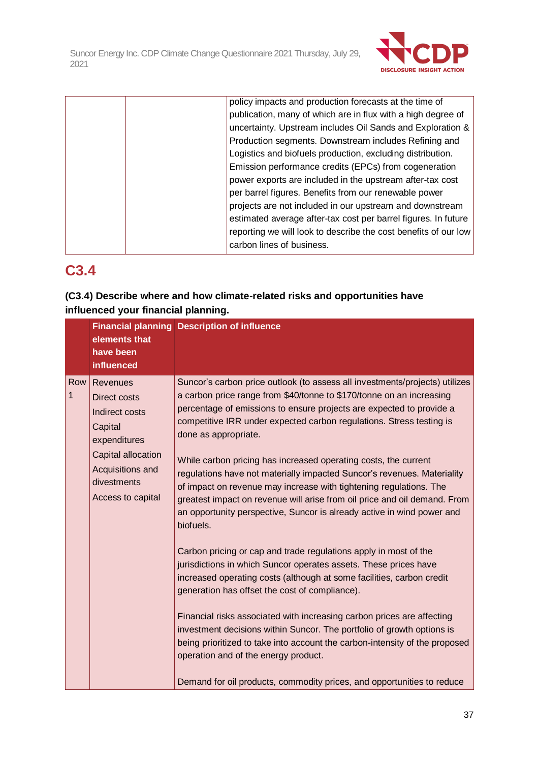

|  | policy impacts and production forecasts at the time of          |
|--|-----------------------------------------------------------------|
|  | publication, many of which are in flux with a high degree of    |
|  | uncertainty. Upstream includes Oil Sands and Exploration &      |
|  | Production segments. Downstream includes Refining and           |
|  | Logistics and biofuels production, excluding distribution.      |
|  | Emission performance credits (EPCs) from cogeneration           |
|  | power exports are included in the upstream after-tax cost       |
|  | per barrel figures. Benefits from our renewable power           |
|  | projects are not included in our upstream and downstream        |
|  | estimated average after-tax cost per barrel figures. In future  |
|  | reporting we will look to describe the cost benefits of our low |
|  | carbon lines of business.                                       |
|  |                                                                 |

## **C3.4**

## **(C3.4) Describe where and how climate-related risks and opportunities have influenced your financial planning.**

|          | elements that<br>have been<br>influenced                                                                                                            | <b>Financial planning Description of influence</b>                                                                                                                                                                                                                                                                                                                                                                                                                                                                                                                                                                                                                                                                                                                                                                                                                                                                                                                                                                                                                                                                                                                                                                                                                                                                                          |
|----------|-----------------------------------------------------------------------------------------------------------------------------------------------------|---------------------------------------------------------------------------------------------------------------------------------------------------------------------------------------------------------------------------------------------------------------------------------------------------------------------------------------------------------------------------------------------------------------------------------------------------------------------------------------------------------------------------------------------------------------------------------------------------------------------------------------------------------------------------------------------------------------------------------------------------------------------------------------------------------------------------------------------------------------------------------------------------------------------------------------------------------------------------------------------------------------------------------------------------------------------------------------------------------------------------------------------------------------------------------------------------------------------------------------------------------------------------------------------------------------------------------------------|
| Row<br>1 | Revenues<br>Direct costs<br>Indirect costs<br>Capital<br>expenditures<br>Capital allocation<br>Acquisitions and<br>divestments<br>Access to capital | Suncor's carbon price outlook (to assess all investments/projects) utilizes<br>a carbon price range from \$40/tonne to \$170/tonne on an increasing<br>percentage of emissions to ensure projects are expected to provide a<br>competitive IRR under expected carbon regulations. Stress testing is<br>done as appropriate.<br>While carbon pricing has increased operating costs, the current<br>regulations have not materially impacted Suncor's revenues. Materiality<br>of impact on revenue may increase with tightening regulations. The<br>greatest impact on revenue will arise from oil price and oil demand. From<br>an opportunity perspective, Suncor is already active in wind power and<br>biofuels.<br>Carbon pricing or cap and trade regulations apply in most of the<br>jurisdictions in which Suncor operates assets. These prices have<br>increased operating costs (although at some facilities, carbon credit<br>generation has offset the cost of compliance).<br>Financial risks associated with increasing carbon prices are affecting<br>investment decisions within Suncor. The portfolio of growth options is<br>being prioritized to take into account the carbon-intensity of the proposed<br>operation and of the energy product.<br>Demand for oil products, commodity prices, and opportunities to reduce |
|          |                                                                                                                                                     |                                                                                                                                                                                                                                                                                                                                                                                                                                                                                                                                                                                                                                                                                                                                                                                                                                                                                                                                                                                                                                                                                                                                                                                                                                                                                                                                             |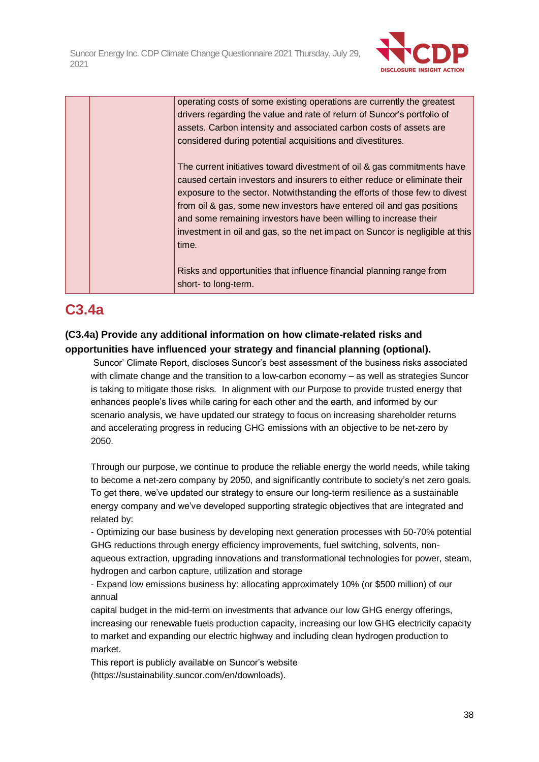

|  | operating costs of some existing operations are currently the greatest       |
|--|------------------------------------------------------------------------------|
|  | drivers regarding the value and rate of return of Suncor's portfolio of      |
|  | assets. Carbon intensity and associated carbon costs of assets are           |
|  | considered during potential acquisitions and divestitures.                   |
|  | The current initiatives toward divestment of oil & gas commitments have      |
|  | caused certain investors and insurers to either reduce or eliminate their    |
|  | exposure to the sector. Notwithstanding the efforts of those few to divest   |
|  | from oil & gas, some new investors have entered oil and gas positions        |
|  | and some remaining investors have been willing to increase their             |
|  | investment in oil and gas, so the net impact on Suncor is negligible at this |
|  | time.                                                                        |
|  | Risks and opportunities that influence financial planning range from         |
|  | short- to long-term.                                                         |

## **C3.4a**

## **(C3.4a) Provide any additional information on how climate-related risks and opportunities have influenced your strategy and financial planning (optional).**

Suncor' Climate Report, discloses Suncor's best assessment of the business risks associated with climate change and the transition to a low-carbon economy – as well as strategies Suncor is taking to mitigate those risks. In alignment with our Purpose to provide trusted energy that enhances people's lives while caring for each other and the earth, and informed by our scenario analysis, we have updated our strategy to focus on increasing shareholder returns and accelerating progress in reducing GHG emissions with an objective to be net-zero by 2050.

Through our purpose, we continue to produce the reliable energy the world needs, while taking to become a net-zero company by 2050, and significantly contribute to society's net zero goals. To get there, we've updated our strategy to ensure our long-term resilience as a sustainable energy company and we've developed supporting strategic objectives that are integrated and related by:

- Optimizing our base business by developing next generation processes with 50-70% potential GHG reductions through energy efficiency improvements, fuel switching, solvents, nonaqueous extraction, upgrading innovations and transformational technologies for power, steam, hydrogen and carbon capture, utilization and storage

- Expand low emissions business by: allocating approximately 10% (or \$500 million) of our annual

capital budget in the mid-term on investments that advance our low GHG energy offerings, increasing our renewable fuels production capacity, increasing our low GHG electricity capacity to market and expanding our electric highway and including clean hydrogen production to market.

This report is publicly available on Suncor's website (https://sustainability.suncor.com/en/downloads).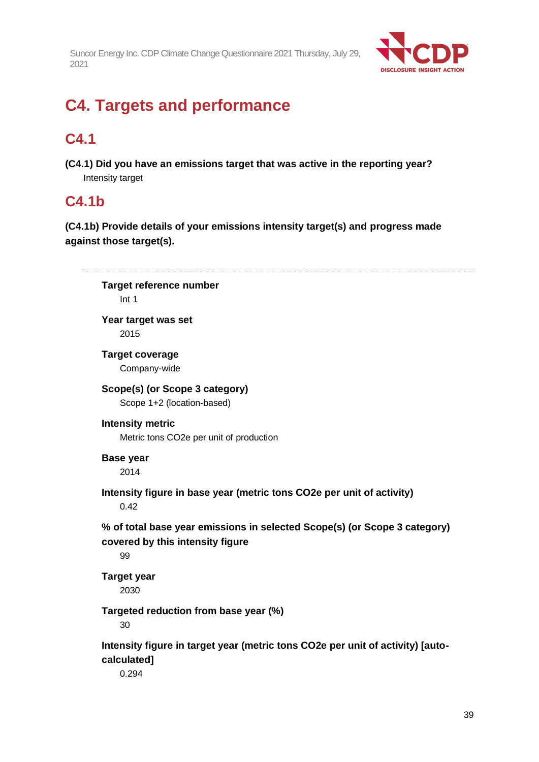

# **C4. Targets and performance**

# **C4.1**

**(C4.1) Did you have an emissions target that was active in the reporting year?** Intensity target

## **C4.1b**

**(C4.1b) Provide details of your emissions intensity target(s) and progress made against those target(s).**

| <b>Target reference number</b><br>Int 1                                                                             |  |
|---------------------------------------------------------------------------------------------------------------------|--|
| Year target was set<br>2015                                                                                         |  |
| <b>Target coverage</b><br>Company-wide                                                                              |  |
| Scope(s) (or Scope 3 category)<br>Scope 1+2 (location-based)                                                        |  |
| <b>Intensity metric</b><br>Metric tons CO2e per unit of production                                                  |  |
| <b>Base year</b><br>2014                                                                                            |  |
| Intensity figure in base year (metric tons CO2e per unit of activity)<br>0.42                                       |  |
| % of total base year emissions in selected Scope(s) (or Scope 3 category)<br>covered by this intensity figure<br>99 |  |
| <b>Target year</b><br>2030                                                                                          |  |
| Targeted reduction from base year (%)<br>30                                                                         |  |
| Intensity figure in target year (metric tons CO2e per unit of activity) [auto-<br>calculated]<br>0.294              |  |
|                                                                                                                     |  |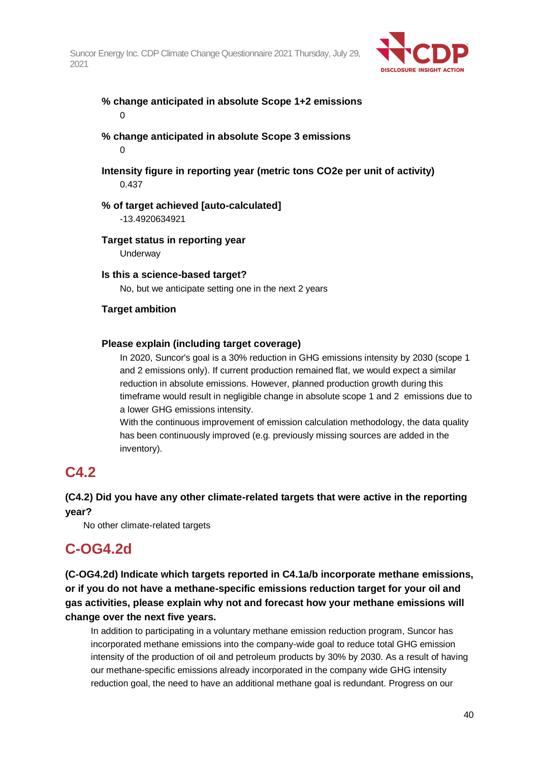

### **% change anticipated in absolute Scope 1+2 emissions** 0

- **% change anticipated in absolute Scope 3 emissions**  $\Omega$
- **Intensity figure in reporting year (metric tons CO2e per unit of activity)** 0.437

## **% of target achieved [auto-calculated]**

-13.4920634921

**Target status in reporting year**

**Underway** 

## **Is this a science-based target?**

No, but we anticipate setting one in the next 2 years

## **Target ambition**

### **Please explain (including target coverage)**

In 2020, Suncor's goal is a 30% reduction in GHG emissions intensity by 2030 (scope 1 and 2 emissions only). If current production remained flat, we would expect a similar reduction in absolute emissions. However, planned production growth during this timeframe would result in negligible change in absolute scope 1 and 2 emissions due to a lower GHG emissions intensity.

With the continuous improvement of emission calculation methodology, the data quality has been continuously improved (e.g. previously missing sources are added in the inventory).

## **C4.2**

## **(C4.2) Did you have any other climate-related targets that were active in the reporting year?**

No other climate-related targets

## **C-OG4.2d**

**(C-OG4.2d) Indicate which targets reported in C4.1a/b incorporate methane emissions, or if you do not have a methane-specific emissions reduction target for your oil and gas activities, please explain why not and forecast how your methane emissions will change over the next five years.**

In addition to participating in a voluntary methane emission reduction program, Suncor has incorporated methane emissions into the company-wide goal to reduce total GHG emission intensity of the production of oil and petroleum products by 30% by 2030. As a result of having our methane-specific emissions already incorporated in the company wide GHG intensity reduction goal, the need to have an additional methane goal is redundant. Progress on our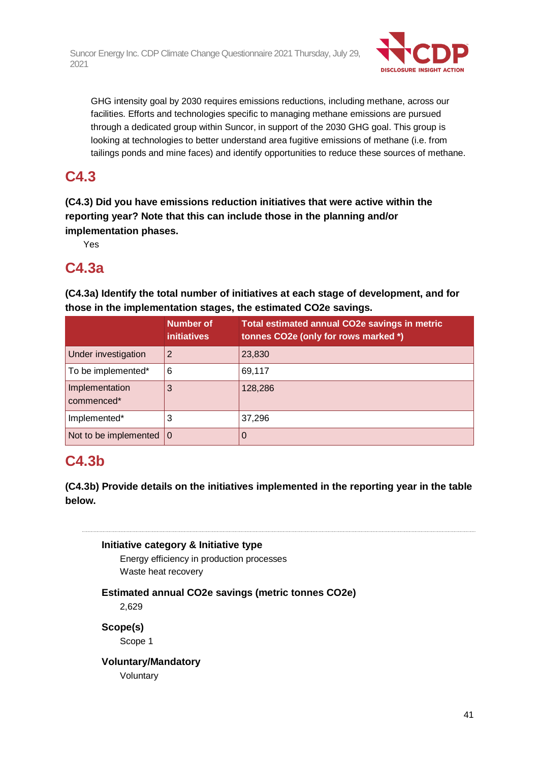

GHG intensity goal by 2030 requires emissions reductions, including methane, across our facilities. Efforts and technologies specific to managing methane emissions are pursued through a dedicated group within Suncor, in support of the 2030 GHG goal. This group is looking at technologies to better understand area fugitive emissions of methane (i.e. from tailings ponds and mine faces) and identify opportunities to reduce these sources of methane.

## **C4.3**

**(C4.3) Did you have emissions reduction initiatives that were active within the reporting year? Note that this can include those in the planning and/or implementation phases.**

Yes

## **C4.3a**

**(C4.3a) Identify the total number of initiatives at each stage of development, and for those in the implementation stages, the estimated CO2e savings.**

|                                   | <b>Number of</b><br><i>initiatives</i> | Total estimated annual CO2e savings in metric<br>tonnes CO2e (only for rows marked *) |
|-----------------------------------|----------------------------------------|---------------------------------------------------------------------------------------|
| Under investigation               | 2                                      | 23,830                                                                                |
| To be implemented*                | 6                                      | 69,117                                                                                |
| Implementation<br>commenced*      | 3                                      | 128,286                                                                               |
| Implemented*                      | 3                                      | 37,296                                                                                |
| Not to be implemented $ 0\rangle$ |                                        | O                                                                                     |

## **C4.3b**

**(C4.3b) Provide details on the initiatives implemented in the reporting year in the table below.**

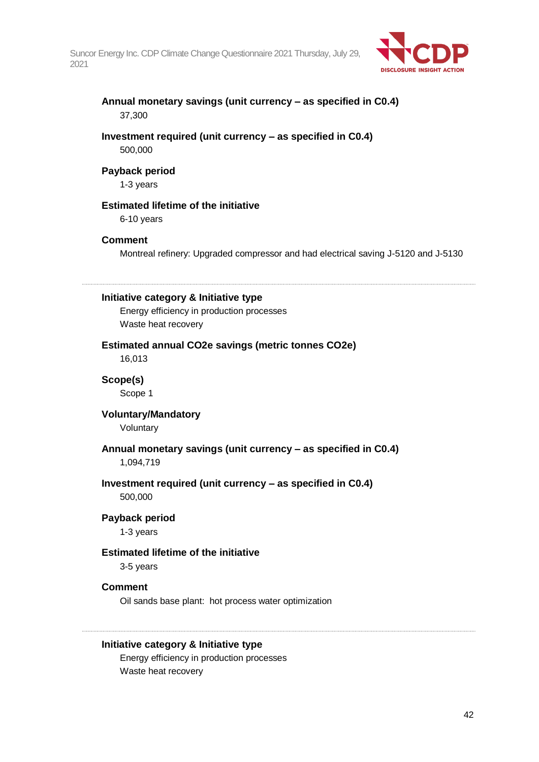

### **Annual monetary savings (unit currency – as specified in C0.4)** 37,300

### **Investment required (unit currency – as specified in C0.4)** 500,000

#### **Payback period**

1-3 years

## **Estimated lifetime of the initiative**

6-10 years

### **Comment**

Montreal refinery: Upgraded compressor and had electrical saving J-5120 and J-5130

#### **Initiative category & Initiative type**

Energy efficiency in production processes Waste heat recovery

**Estimated annual CO2e savings (metric tonnes CO2e)** 16,013

**Scope(s)** Scope 1

#### **Voluntary/Mandatory**

Voluntary

## **Annual monetary savings (unit currency – as specified in C0.4)**

1,094,719

#### **Investment required (unit currency – as specified in C0.4)** 500,000

#### **Payback period**

1-3 years

#### **Estimated lifetime of the initiative**

3-5 years

#### **Comment**

Oil sands base plant: hot process water optimization

#### **Initiative category & Initiative type**

Energy efficiency in production processes Waste heat recovery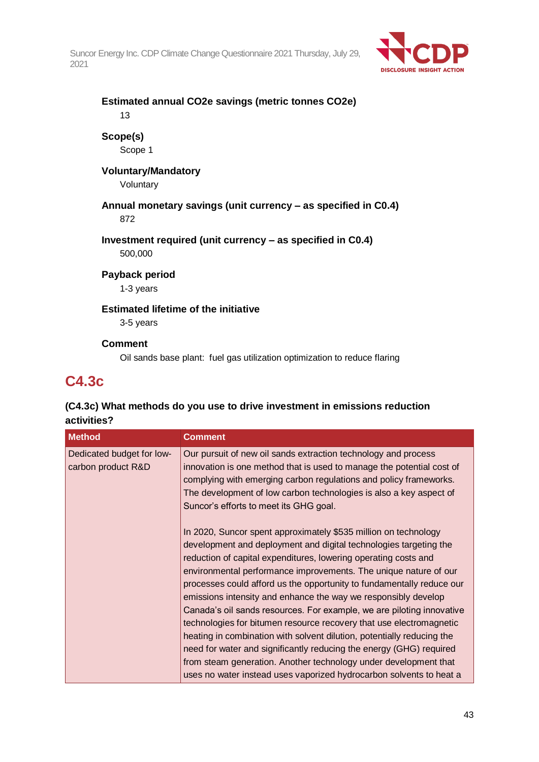

## **Estimated annual CO2e savings (metric tonnes CO2e)** 13 **Scope(s)** Scope 1 **Voluntary/Mandatory** Voluntary **Annual monetary savings (unit currency – as specified in C0.4)** 872 **Investment required (unit currency – as specified in C0.4)** 500,000 **Payback period** 1-3 years **Estimated lifetime of the initiative**

3-5 years

### **Comment**

Oil sands base plant: fuel gas utilization optimization to reduce flaring

## **C4.3c**

## **(C4.3c) What methods do you use to drive investment in emissions reduction activities?**

| Our pursuit of new oil sands extraction technology and process                                                                                                                                                                                                                                                                                                                                                                                                                                                                                                                                                                                                                                                                                                                                                                                                     |
|--------------------------------------------------------------------------------------------------------------------------------------------------------------------------------------------------------------------------------------------------------------------------------------------------------------------------------------------------------------------------------------------------------------------------------------------------------------------------------------------------------------------------------------------------------------------------------------------------------------------------------------------------------------------------------------------------------------------------------------------------------------------------------------------------------------------------------------------------------------------|
| innovation is one method that is used to manage the potential cost of<br>complying with emerging carbon regulations and policy frameworks.<br>The development of low carbon technologies is also a key aspect of<br>Suncor's efforts to meet its GHG goal.                                                                                                                                                                                                                                                                                                                                                                                                                                                                                                                                                                                                         |
| In 2020, Suncor spent approximately \$535 million on technology<br>development and deployment and digital technologies targeting the<br>reduction of capital expenditures, lowering operating costs and<br>environmental performance improvements. The unique nature of our<br>processes could afford us the opportunity to fundamentally reduce our<br>emissions intensity and enhance the way we responsibly develop<br>Canada's oil sands resources. For example, we are piloting innovative<br>technologies for bitumen resource recovery that use electromagnetic<br>heating in combination with solvent dilution, potentially reducing the<br>need for water and significantly reducing the energy (GHG) required<br>from steam generation. Another technology under development that<br>uses no water instead uses vaporized hydrocarbon solvents to heat a |
|                                                                                                                                                                                                                                                                                                                                                                                                                                                                                                                                                                                                                                                                                                                                                                                                                                                                    |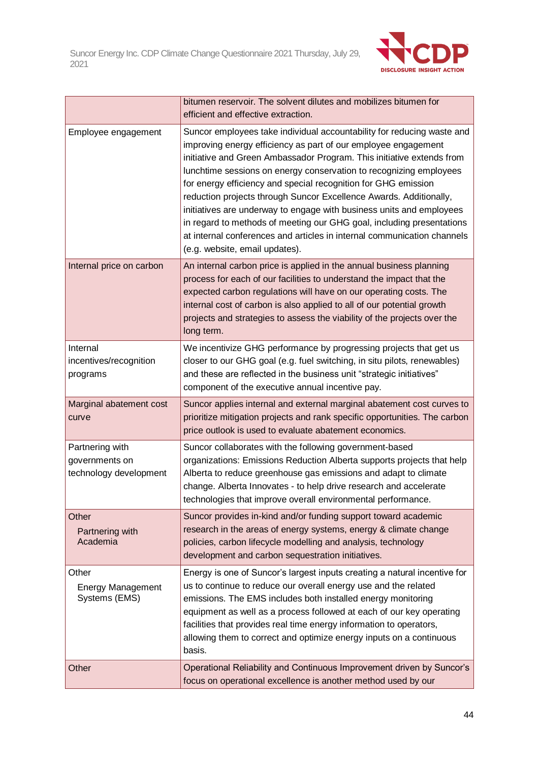

|                                                             | bitumen reservoir. The solvent dilutes and mobilizes bitumen for<br>efficient and effective extraction.                                                                                                                                                                                                                                                                                                                                                                                                                                                                                                                                                                                       |
|-------------------------------------------------------------|-----------------------------------------------------------------------------------------------------------------------------------------------------------------------------------------------------------------------------------------------------------------------------------------------------------------------------------------------------------------------------------------------------------------------------------------------------------------------------------------------------------------------------------------------------------------------------------------------------------------------------------------------------------------------------------------------|
| Employee engagement                                         | Suncor employees take individual accountability for reducing waste and<br>improving energy efficiency as part of our employee engagement<br>initiative and Green Ambassador Program. This initiative extends from<br>lunchtime sessions on energy conservation to recognizing employees<br>for energy efficiency and special recognition for GHG emission<br>reduction projects through Suncor Excellence Awards. Additionally,<br>initiatives are underway to engage with business units and employees<br>in regard to methods of meeting our GHG goal, including presentations<br>at internal conferences and articles in internal communication channels<br>(e.g. website, email updates). |
| Internal price on carbon                                    | An internal carbon price is applied in the annual business planning<br>process for each of our facilities to understand the impact that the<br>expected carbon regulations will have on our operating costs. The<br>internal cost of carbon is also applied to all of our potential growth<br>projects and strategies to assess the viability of the projects over the<br>long term.                                                                                                                                                                                                                                                                                                          |
| Internal<br>incentives/recognition<br>programs              | We incentivize GHG performance by progressing projects that get us<br>closer to our GHG goal (e.g. fuel switching, in situ pilots, renewables)<br>and these are reflected in the business unit "strategic initiatives"<br>component of the executive annual incentive pay.                                                                                                                                                                                                                                                                                                                                                                                                                    |
| Marginal abatement cost<br>curve                            | Suncor applies internal and external marginal abatement cost curves to<br>prioritize mitigation projects and rank specific opportunities. The carbon<br>price outlook is used to evaluate abatement economics.                                                                                                                                                                                                                                                                                                                                                                                                                                                                                |
| Partnering with<br>governments on<br>technology development | Suncor collaborates with the following government-based<br>organizations: Emissions Reduction Alberta supports projects that help<br>Alberta to reduce greenhouse gas emissions and adapt to climate<br>change. Alberta Innovates - to help drive research and accelerate<br>technologies that improve overall environmental performance.                                                                                                                                                                                                                                                                                                                                                     |
| Other<br>Partnering with<br>Academia                        | Suncor provides in-kind and/or funding support toward academic<br>research in the areas of energy systems, energy & climate change<br>policies, carbon lifecycle modelling and analysis, technology<br>development and carbon sequestration initiatives.                                                                                                                                                                                                                                                                                                                                                                                                                                      |
| Other<br><b>Energy Management</b><br>Systems (EMS)          | Energy is one of Suncor's largest inputs creating a natural incentive for<br>us to continue to reduce our overall energy use and the related<br>emissions. The EMS includes both installed energy monitoring<br>equipment as well as a process followed at each of our key operating<br>facilities that provides real time energy information to operators,<br>allowing them to correct and optimize energy inputs on a continuous<br>basis.                                                                                                                                                                                                                                                  |
| Other                                                       | Operational Reliability and Continuous Improvement driven by Suncor's<br>focus on operational excellence is another method used by our                                                                                                                                                                                                                                                                                                                                                                                                                                                                                                                                                        |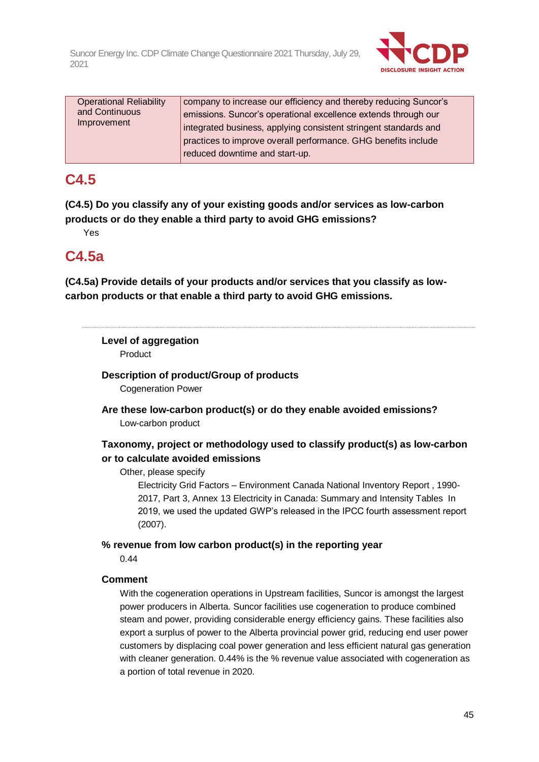

| company to increase our efficiency and thereby reducing Suncor's |
|------------------------------------------------------------------|
| emissions. Suncor's operational excellence extends through our   |
| integrated business, applying consistent stringent standards and |
| practices to improve overall performance. GHG benefits include   |
|                                                                  |
|                                                                  |

## **C4.5**

**(C4.5) Do you classify any of your existing goods and/or services as low-carbon products or do they enable a third party to avoid GHG emissions?**

Yes

## **C4.5a**

**(C4.5a) Provide details of your products and/or services that you classify as lowcarbon products or that enable a third party to avoid GHG emissions.**

## **Level of aggregation**

Product

**Description of product/Group of products** Cogeneration Power

**Are these low-carbon product(s) or do they enable avoided emissions?** Low-carbon product

## **Taxonomy, project or methodology used to classify product(s) as low-carbon or to calculate avoided emissions**

Other, please specify

Electricity Grid Factors – Environment Canada National Inventory Report , 1990- 2017, Part 3, Annex 13 Electricity in Canada: Summary and Intensity Tables In 2019, we used the updated GWP's released in the IPCC fourth assessment report (2007).

**% revenue from low carbon product(s) in the reporting year**

0.44

## **Comment**

With the cogeneration operations in Upstream facilities, Suncor is amongst the largest power producers in Alberta. Suncor facilities use cogeneration to produce combined steam and power, providing considerable energy efficiency gains. These facilities also export a surplus of power to the Alberta provincial power grid, reducing end user power customers by displacing coal power generation and less efficient natural gas generation with cleaner generation. 0.44% is the % revenue value associated with cogeneration as a portion of total revenue in 2020.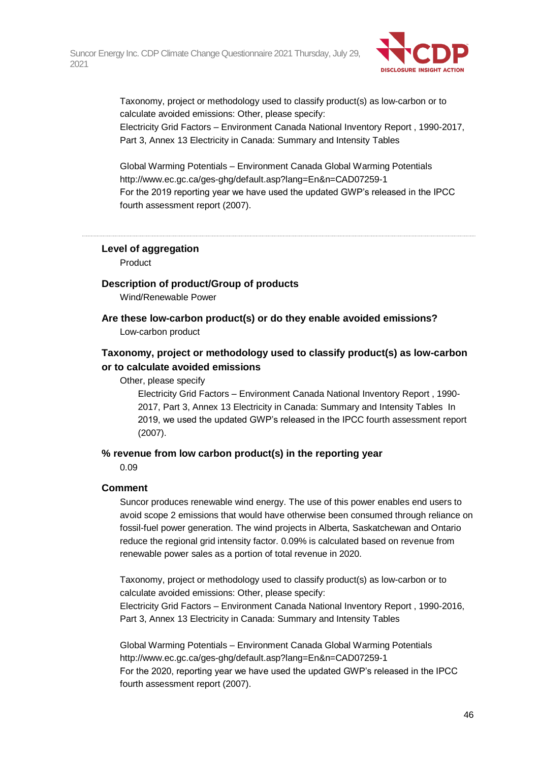

Taxonomy, project or methodology used to classify product(s) as low-carbon or to calculate avoided emissions: Other, please specify:

Electricity Grid Factors – Environment Canada National Inventory Report , 1990-2017, Part 3, Annex 13 Electricity in Canada: Summary and Intensity Tables

Global Warming Potentials – Environment Canada Global Warming Potentials http://www.ec.gc.ca/ges-ghg/default.asp?lang=En&n=CAD07259-1 For the 2019 reporting year we have used the updated GWP's released in the IPCC fourth assessment report (2007).

**Level of aggregation**

Product

### **Description of product/Group of products**

Wind/Renewable Power

**Are these low-carbon product(s) or do they enable avoided emissions?** Low-carbon product

## **Taxonomy, project or methodology used to classify product(s) as low-carbon or to calculate avoided emissions**

#### Other, please specify

Electricity Grid Factors – Environment Canada National Inventory Report , 1990- 2017, Part 3, Annex 13 Electricity in Canada: Summary and Intensity Tables In 2019, we used the updated GWP's released in the IPCC fourth assessment report (2007).

#### **% revenue from low carbon product(s) in the reporting year**

0.09

### **Comment**

Suncor produces renewable wind energy. The use of this power enables end users to avoid scope 2 emissions that would have otherwise been consumed through reliance on fossil-fuel power generation. The wind projects in Alberta, Saskatchewan and Ontario reduce the regional grid intensity factor. 0.09% is calculated based on revenue from renewable power sales as a portion of total revenue in 2020.

Taxonomy, project or methodology used to classify product(s) as low-carbon or to calculate avoided emissions: Other, please specify: Electricity Grid Factors – Environment Canada National Inventory Report , 1990-2016, Part 3, Annex 13 Electricity in Canada: Summary and Intensity Tables

Global Warming Potentials – Environment Canada Global Warming Potentials http://www.ec.gc.ca/ges-ghg/default.asp?lang=En&n=CAD07259-1 For the 2020, reporting year we have used the updated GWP's released in the IPCC fourth assessment report (2007).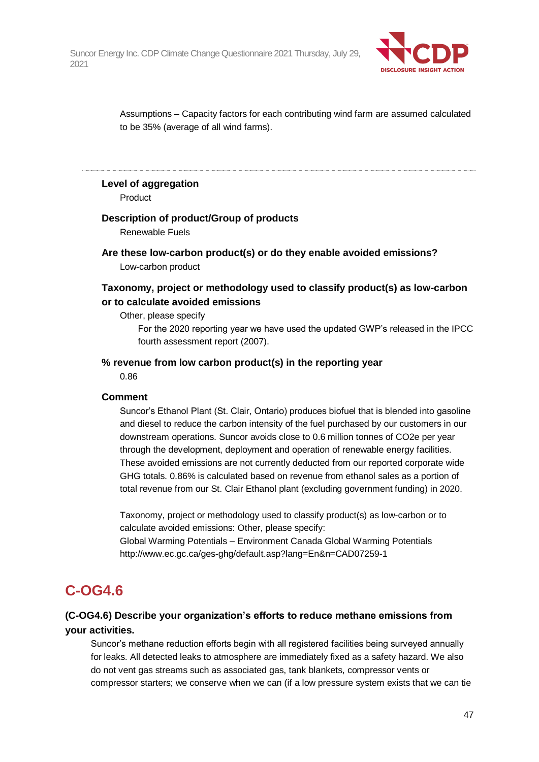

Assumptions – Capacity factors for each contributing wind farm are assumed calculated to be 35% (average of all wind farms).

#### **Level of aggregation**

Product

#### **Description of product/Group of products**

Renewable Fuels

**Are these low-carbon product(s) or do they enable avoided emissions?** Low-carbon product

## **Taxonomy, project or methodology used to classify product(s) as low-carbon or to calculate avoided emissions**

Other, please specify

For the 2020 reporting year we have used the updated GWP's released in the IPCC fourth assessment report (2007).

#### **% revenue from low carbon product(s) in the reporting year**

0.86

#### **Comment**

Suncor's Ethanol Plant (St. Clair, Ontario) produces biofuel that is blended into gasoline and diesel to reduce the carbon intensity of the fuel purchased by our customers in our downstream operations. Suncor avoids close to 0.6 million tonnes of CO2e per year through the development, deployment and operation of renewable energy facilities. These avoided emissions are not currently deducted from our reported corporate wide GHG totals. 0.86% is calculated based on revenue from ethanol sales as a portion of total revenue from our St. Clair Ethanol plant (excluding government funding) in 2020.

Taxonomy, project or methodology used to classify product(s) as low-carbon or to calculate avoided emissions: Other, please specify: Global Warming Potentials – Environment Canada Global Warming Potentials http://www.ec.gc.ca/ges-ghg/default.asp?lang=En&n=CAD07259-1

## **C-OG4.6**

## **(C-OG4.6) Describe your organization's efforts to reduce methane emissions from your activities.**

Suncor's methane reduction efforts begin with all registered facilities being surveyed annually for leaks. All detected leaks to atmosphere are immediately fixed as a safety hazard. We also do not vent gas streams such as associated gas, tank blankets, compressor vents or compressor starters; we conserve when we can (if a low pressure system exists that we can tie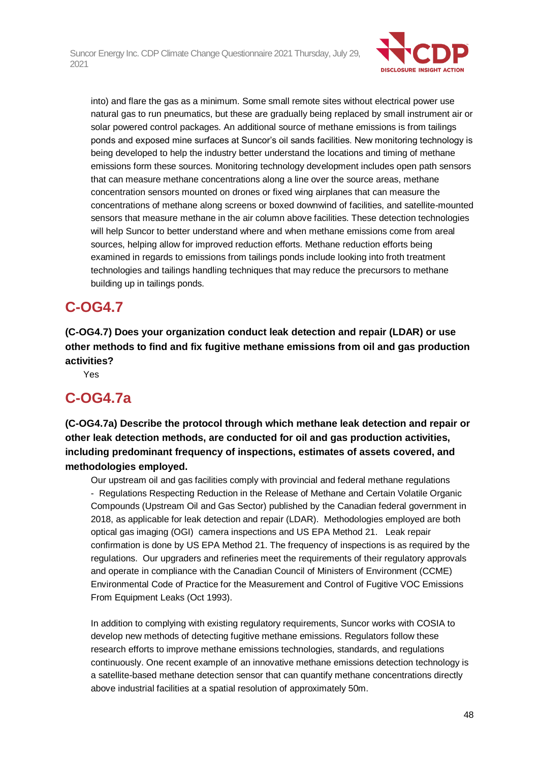

into) and flare the gas as a minimum. Some small remote sites without electrical power use natural gas to run pneumatics, but these are gradually being replaced by small instrument air or solar powered control packages. An additional source of methane emissions is from tailings ponds and exposed mine surfaces at Suncor's oil sands facilities. New monitoring technology is being developed to help the industry better understand the locations and timing of methane emissions form these sources. Monitoring technology development includes open path sensors that can measure methane concentrations along a line over the source areas, methane concentration sensors mounted on drones or fixed wing airplanes that can measure the concentrations of methane along screens or boxed downwind of facilities, and satellite-mounted sensors that measure methane in the air column above facilities. These detection technologies will help Suncor to better understand where and when methane emissions come from areal sources, helping allow for improved reduction efforts. Methane reduction efforts being examined in regards to emissions from tailings ponds include looking into froth treatment technologies and tailings handling techniques that may reduce the precursors to methane building up in tailings ponds.

## **C-OG4.7**

**(C-OG4.7) Does your organization conduct leak detection and repair (LDAR) or use other methods to find and fix fugitive methane emissions from oil and gas production activities?**

Yes

## **C-OG4.7a**

**(C-OG4.7a) Describe the protocol through which methane leak detection and repair or other leak detection methods, are conducted for oil and gas production activities, including predominant frequency of inspections, estimates of assets covered, and methodologies employed.**

Our upstream oil and gas facilities comply with provincial and federal methane regulations - Regulations Respecting Reduction in the Release of Methane and Certain Volatile Organic Compounds (Upstream Oil and Gas Sector) published by the Canadian federal government in 2018, as applicable for leak detection and repair (LDAR). Methodologies employed are both optical gas imaging (OGI) camera inspections and US EPA Method 21. Leak repair confirmation is done by US EPA Method 21. The frequency of inspections is as required by the regulations. Our upgraders and refineries meet the requirements of their regulatory approvals and operate in compliance with the Canadian Council of Ministers of Environment (CCME) Environmental Code of Practice for the Measurement and Control of Fugitive VOC Emissions From Equipment Leaks (Oct 1993).

In addition to complying with existing regulatory requirements, Suncor works with COSIA to develop new methods of detecting fugitive methane emissions. Regulators follow these research efforts to improve methane emissions technologies, standards, and regulations continuously. One recent example of an innovative methane emissions detection technology is a satellite-based methane detection sensor that can quantify methane concentrations directly above industrial facilities at a spatial resolution of approximately 50m.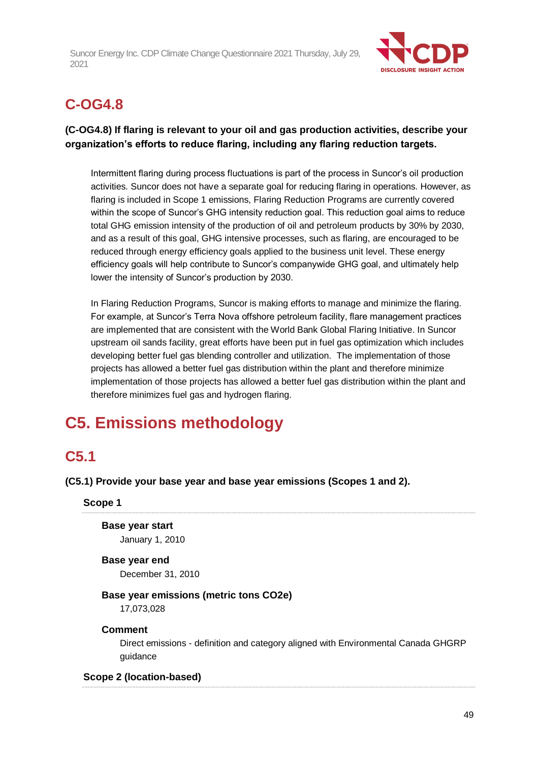

# **C-OG4.8**

## **(C-OG4.8) If flaring is relevant to your oil and gas production activities, describe your organization's efforts to reduce flaring, including any flaring reduction targets.**

Intermittent flaring during process fluctuations is part of the process in Suncor's oil production activities. Suncor does not have a separate goal for reducing flaring in operations. However, as flaring is included in Scope 1 emissions, Flaring Reduction Programs are currently covered within the scope of Suncor's GHG intensity reduction goal. This reduction goal aims to reduce total GHG emission intensity of the production of oil and petroleum products by 30% by 2030, and as a result of this goal, GHG intensive processes, such as flaring, are encouraged to be reduced through energy efficiency goals applied to the business unit level. These energy efficiency goals will help contribute to Suncor's companywide GHG goal, and ultimately help lower the intensity of Suncor's production by 2030.

In Flaring Reduction Programs, Suncor is making efforts to manage and minimize the flaring. For example, at Suncor's Terra Nova offshore petroleum facility, flare management practices are implemented that are consistent with the World Bank Global Flaring Initiative. In Suncor upstream oil sands facility, great efforts have been put in fuel gas optimization which includes developing better fuel gas blending controller and utilization. The implementation of those projects has allowed a better fuel gas distribution within the plant and therefore minimize implementation of those projects has allowed a better fuel gas distribution within the plant and therefore minimizes fuel gas and hydrogen flaring.

# **C5. Emissions methodology**

## **C5.1**

**(C5.1) Provide your base year and base year emissions (Scopes 1 and 2).**

**Scope 1**

**Base year start** January 1, 2010

## **Base year end**

December 31, 2010

**Base year emissions (metric tons CO2e)**

17,073,028

### **Comment**

Direct emissions - definition and category aligned with Environmental Canada GHGRP guidance

### **Scope 2 (location-based)**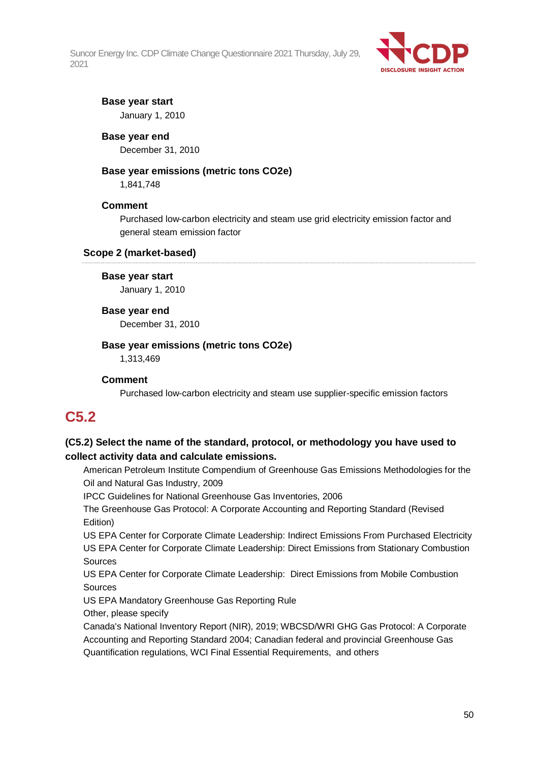

### **Base year start**

January 1, 2010

#### **Base year end**

December 31, 2010

#### **Base year emissions (metric tons CO2e)**

1,841,748

#### **Comment**

Purchased low-carbon electricity and steam use grid electricity emission factor and general steam emission factor

#### **Scope 2 (market-based)**

#### **Base year start**

January 1, 2010

#### **Base year end**

December 31, 2010

#### **Base year emissions (metric tons CO2e)**

1,313,469

#### **Comment**

Purchased low-carbon electricity and steam use supplier-specific emission factors

## **C5.2**

## **(C5.2) Select the name of the standard, protocol, or methodology you have used to collect activity data and calculate emissions.**

American Petroleum Institute Compendium of Greenhouse Gas Emissions Methodologies for the Oil and Natural Gas Industry, 2009

IPCC Guidelines for National Greenhouse Gas Inventories, 2006

The Greenhouse Gas Protocol: A Corporate Accounting and Reporting Standard (Revised Edition)

US EPA Center for Corporate Climate Leadership: Indirect Emissions From Purchased Electricity US EPA Center for Corporate Climate Leadership: Direct Emissions from Stationary Combustion Sources

US EPA Center for Corporate Climate Leadership: Direct Emissions from Mobile Combustion Sources

US EPA Mandatory Greenhouse Gas Reporting Rule

Other, please specify

Canada's National Inventory Report (NIR), 2019; WBCSD/WRI GHG Gas Protocol: A Corporate Accounting and Reporting Standard 2004; Canadian federal and provincial Greenhouse Gas Quantification regulations, WCI Final Essential Requirements, and others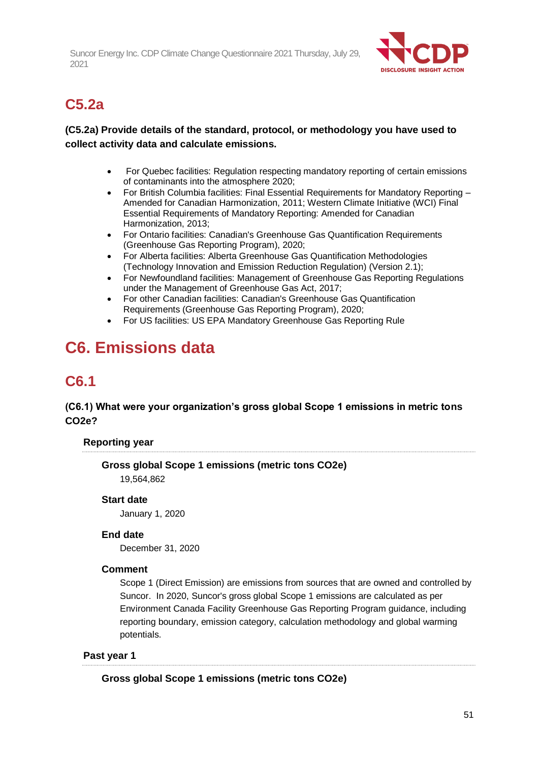

## **C5.2a**

## **(C5.2a) Provide details of the standard, protocol, or methodology you have used to collect activity data and calculate emissions.**

- For Quebec facilities: Regulation respecting mandatory reporting of certain emissions of contaminants into the atmosphere 2020;
- For British Columbia facilities: Final Essential Requirements for Mandatory Reporting Amended for Canadian Harmonization, 2011; Western Climate Initiative (WCI) Final Essential Requirements of Mandatory Reporting: Amended for Canadian Harmonization, 2013;
- For Ontario facilities: Canadian's Greenhouse Gas Quantification Requirements (Greenhouse Gas Reporting Program), 2020;
- For Alberta facilities: Alberta Greenhouse Gas Quantification Methodologies (Technology Innovation and Emission Reduction Regulation) (Version 2.1);
- For Newfoundland facilities: Management of Greenhouse Gas Reporting Regulations under the Management of Greenhouse Gas Act, 2017;
- For other Canadian facilities: Canadian's Greenhouse Gas Quantification Requirements (Greenhouse Gas Reporting Program), 2020;
- For US facilities: US EPA Mandatory Greenhouse Gas Reporting Rule

# **C6. Emissions data**

## **C6.1**

## **(C6.1) What were your organization's gross global Scope 1 emissions in metric tons CO2e?**

## **Reporting year**

**Gross global Scope 1 emissions (metric tons CO2e)** 19,564,862

### **Start date**

January 1, 2020

### **End date**

December 31, 2020

## **Comment**

Scope 1 (Direct Emission) are emissions from sources that are owned and controlled by Suncor. In 2020, Suncor's gross global Scope 1 emissions are calculated as per Environment Canada Facility Greenhouse Gas Reporting Program guidance, including reporting boundary, emission category, calculation methodology and global warming potentials.

### **Past year 1**

**Gross global Scope 1 emissions (metric tons CO2e)**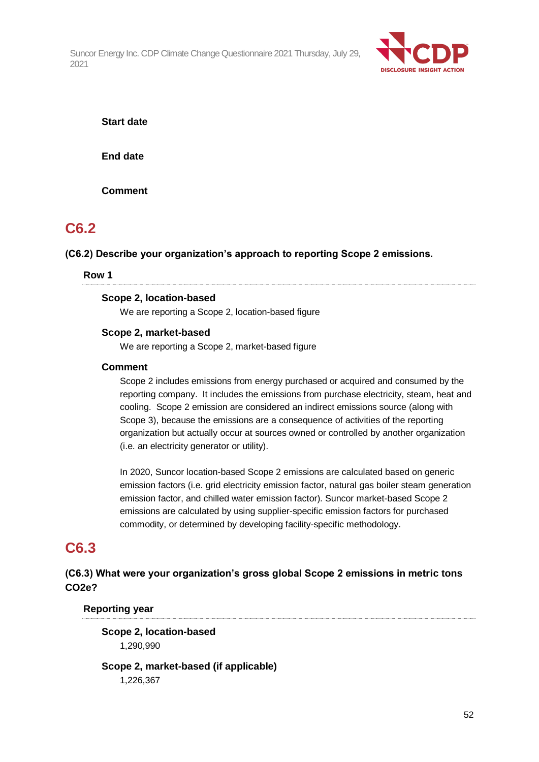

**Start date**

**End date**

**Comment**

## **C6.2**

**(C6.2) Describe your organization's approach to reporting Scope 2 emissions.**

#### **Row 1**

#### **Scope 2, location-based**

We are reporting a Scope 2, location-based figure

### **Scope 2, market-based**

We are reporting a Scope 2, market-based figure

#### **Comment**

Scope 2 includes emissions from energy purchased or acquired and consumed by the reporting company. It includes the emissions from purchase electricity, steam, heat and cooling. Scope 2 emission are considered an indirect emissions source (along with Scope 3), because the emissions are a consequence of activities of the reporting organization but actually occur at sources owned or controlled by another organization (i.e. an electricity generator or utility).

In 2020, Suncor location-based Scope 2 emissions are calculated based on generic emission factors (i.e. grid electricity emission factor, natural gas boiler steam generation emission factor, and chilled water emission factor). Suncor market-based Scope 2 emissions are calculated by using supplier-specific emission factors for purchased commodity, or determined by developing facility-specific methodology.

## **C6.3**

**(C6.3) What were your organization's gross global Scope 2 emissions in metric tons CO2e?**

### **Reporting year**

**Scope 2, location-based** 1,290,990

**Scope 2, market-based (if applicable)** 1,226,367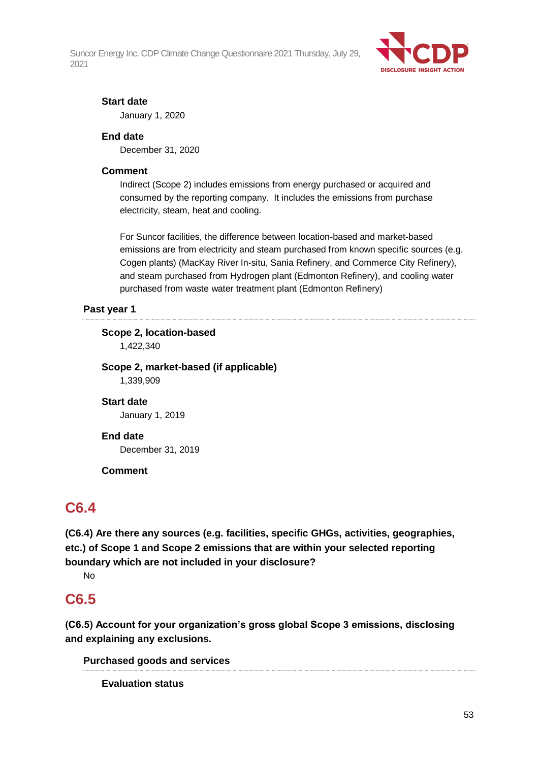

### **Start date**

January 1, 2020

#### **End date**

December 31, 2020

#### **Comment**

Indirect (Scope 2) includes emissions from energy purchased or acquired and consumed by the reporting company. It includes the emissions from purchase electricity, steam, heat and cooling.

For Suncor facilities, the difference between location-based and market-based emissions are from electricity and steam purchased from known specific sources (e.g. Cogen plants) (MacKay River In-situ, Sania Refinery, and Commerce City Refinery), and steam purchased from Hydrogen plant (Edmonton Refinery), and cooling water purchased from waste water treatment plant (Edmonton Refinery)

### **Past year 1**

**Scope 2, location-based**

1,422,340

## **Scope 2, market-based (if applicable)**

1,339,909

### **Start date**

January 1, 2019

#### **End date**

December 31, 2019

#### **Comment**

## **C6.4**

**(C6.4) Are there any sources (e.g. facilities, specific GHGs, activities, geographies, etc.) of Scope 1 and Scope 2 emissions that are within your selected reporting boundary which are not included in your disclosure?**

No

## **C6.5**

**(C6.5) Account for your organization's gross global Scope 3 emissions, disclosing and explaining any exclusions.**

**Purchased goods and services**

**Evaluation status**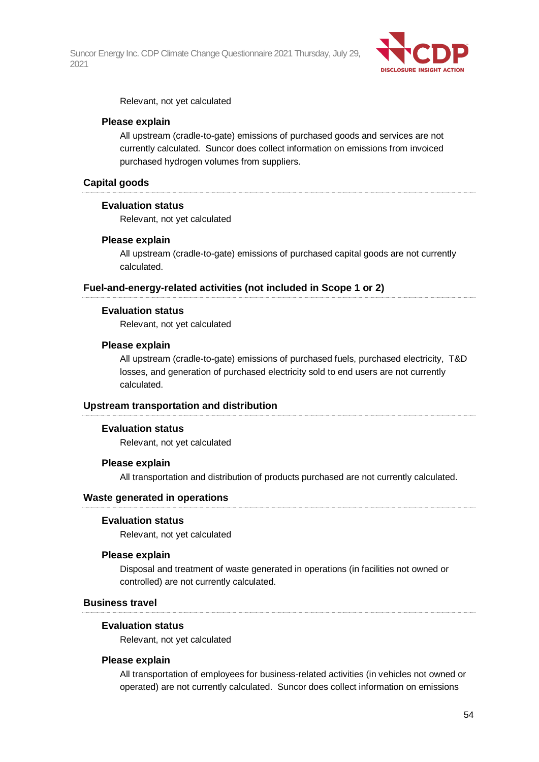

Relevant, not yet calculated

#### **Please explain**

All upstream (cradle-to-gate) emissions of purchased goods and services are not currently calculated. Suncor does collect information on emissions from invoiced purchased hydrogen volumes from suppliers.

#### **Capital goods**

#### **Evaluation status**

Relevant, not yet calculated

#### **Please explain**

All upstream (cradle-to-gate) emissions of purchased capital goods are not currently calculated.

#### **Fuel-and-energy-related activities (not included in Scope 1 or 2)**

#### **Evaluation status**

Relevant, not yet calculated

#### **Please explain**

All upstream (cradle-to-gate) emissions of purchased fuels, purchased electricity, T&D losses, and generation of purchased electricity sold to end users are not currently calculated.

#### **Upstream transportation and distribution**

#### **Evaluation status**

Relevant, not yet calculated

#### **Please explain**

All transportation and distribution of products purchased are not currently calculated.

#### **Waste generated in operations**

#### **Evaluation status**

Relevant, not yet calculated

#### **Please explain**

Disposal and treatment of waste generated in operations (in facilities not owned or controlled) are not currently calculated.

#### **Business travel**

#### **Evaluation status**

Relevant, not yet calculated

#### **Please explain**

All transportation of employees for business-related activities (in vehicles not owned or operated) are not currently calculated. Suncor does collect information on emissions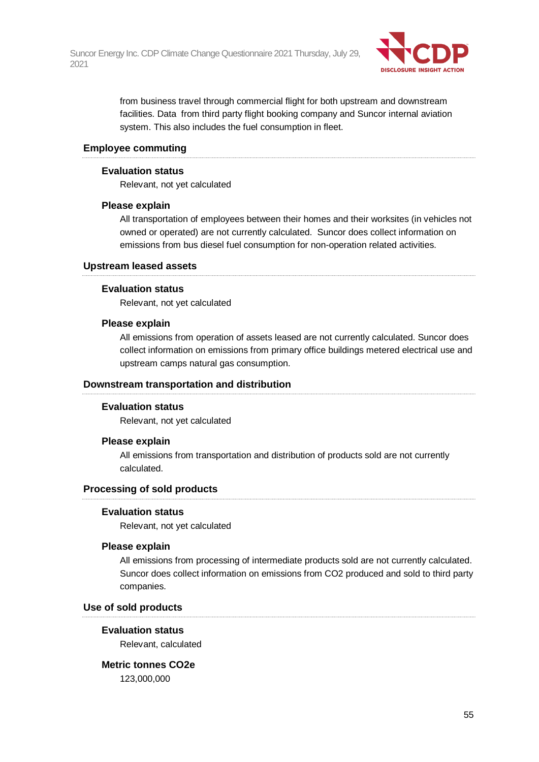

from business travel through commercial flight for both upstream and downstream facilities. Data from third party flight booking company and Suncor internal aviation system. This also includes the fuel consumption in fleet.

#### **Employee commuting**

#### **Evaluation status**

Relevant, not yet calculated

#### **Please explain**

All transportation of employees between their homes and their worksites (in vehicles not owned or operated) are not currently calculated. Suncor does collect information on emissions from bus diesel fuel consumption for non-operation related activities.

#### **Upstream leased assets**

#### **Evaluation status**

Relevant, not yet calculated

#### **Please explain**

All emissions from operation of assets leased are not currently calculated. Suncor does collect information on emissions from primary office buildings metered electrical use and upstream camps natural gas consumption.

#### **Downstream transportation and distribution**

### **Evaluation status**

Relevant, not yet calculated

#### **Please explain**

All emissions from transportation and distribution of products sold are not currently calculated.

### **Processing of sold products**

#### **Evaluation status**

Relevant, not yet calculated

#### **Please explain**

All emissions from processing of intermediate products sold are not currently calculated. Suncor does collect information on emissions from CO2 produced and sold to third party companies.

#### **Use of sold products**

#### **Evaluation status**

Relevant, calculated

#### **Metric tonnes CO2e**

123,000,000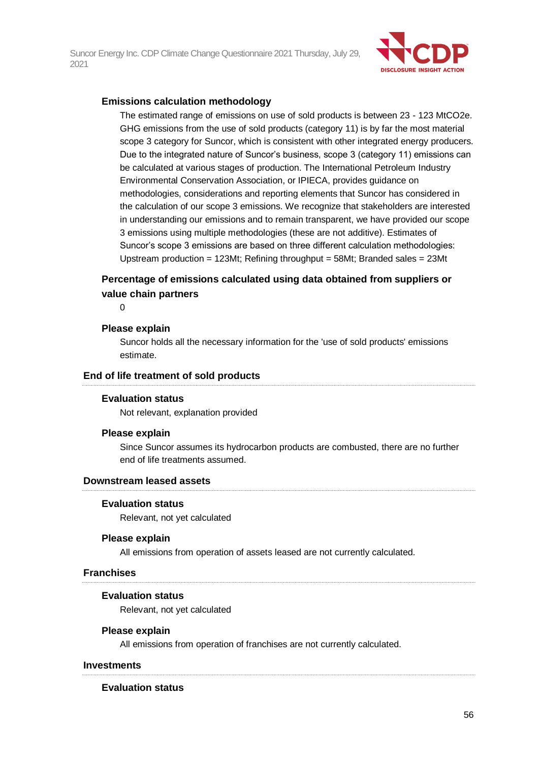

#### **Emissions calculation methodology**

The estimated range of emissions on use of sold products is between 23 - 123 MtCO2e. GHG emissions from the use of sold products (category 11) is by far the most material scope 3 category for Suncor, which is consistent with other integrated energy producers. Due to the integrated nature of Suncor's business, scope 3 (category 11) emissions can be calculated at various stages of production. The International Petroleum Industry Environmental Conservation Association, or IPIECA, provides guidance on methodologies, considerations and reporting elements that Suncor has considered in the calculation of our scope 3 emissions. We recognize that stakeholders are interested in understanding our emissions and to remain transparent, we have provided our scope 3 emissions using multiple methodologies (these are not additive). Estimates of Suncor's scope 3 emissions are based on three different calculation methodologies: Upstream production = 123Mt; Refining throughput = 58Mt; Branded sales = 23Mt

### **Percentage of emissions calculated using data obtained from suppliers or value chain partners**

 $\Omega$ 

#### **Please explain**

Suncor holds all the necessary information for the 'use of sold products' emissions estimate.

#### **End of life treatment of sold products**

#### **Evaluation status**

Not relevant, explanation provided

#### **Please explain**

Since Suncor assumes its hydrocarbon products are combusted, there are no further end of life treatments assumed.

#### **Downstream leased assets**

#### **Evaluation status**

Relevant, not yet calculated

#### **Please explain**

All emissions from operation of assets leased are not currently calculated.

#### **Franchises**

#### **Evaluation status**

Relevant, not yet calculated

#### **Please explain**

All emissions from operation of franchises are not currently calculated.

#### **Investments**

#### **Evaluation status**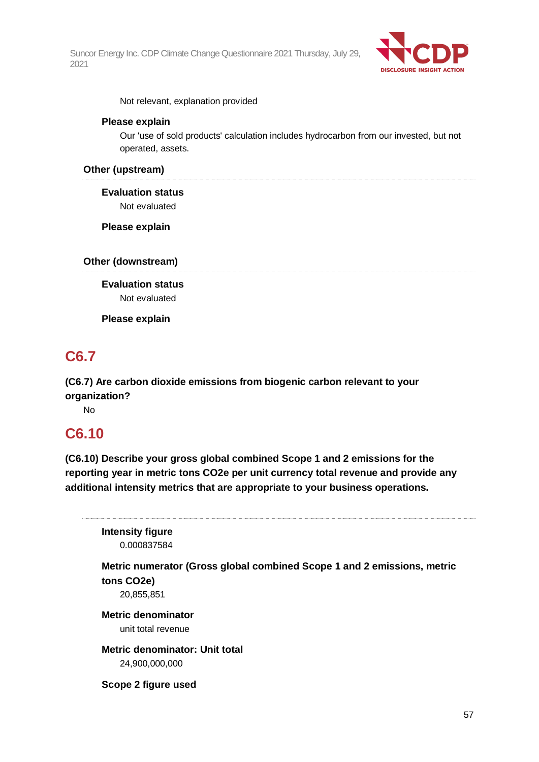

Not relevant, explanation provided

#### **Please explain**

Our 'use of sold products' calculation includes hydrocarbon from our invested, but not operated, assets.

#### **Other (upstream)**

**Evaluation status** Not evaluated

**Please explain**

**Other (downstream)**

**Evaluation status** Not evaluated

**Please explain**

## **C6.7**

**(C6.7) Are carbon dioxide emissions from biogenic carbon relevant to your organization?**

No

## **C6.10**

**(C6.10) Describe your gross global combined Scope 1 and 2 emissions for the reporting year in metric tons CO2e per unit currency total revenue and provide any additional intensity metrics that are appropriate to your business operations.**

**Intensity figure** 0.000837584

**Metric numerator (Gross global combined Scope 1 and 2 emissions, metric tons CO2e)**

20,855,851

**Metric denominator** unit total revenue

**Metric denominator: Unit total** 24,900,000,000

**Scope 2 figure used**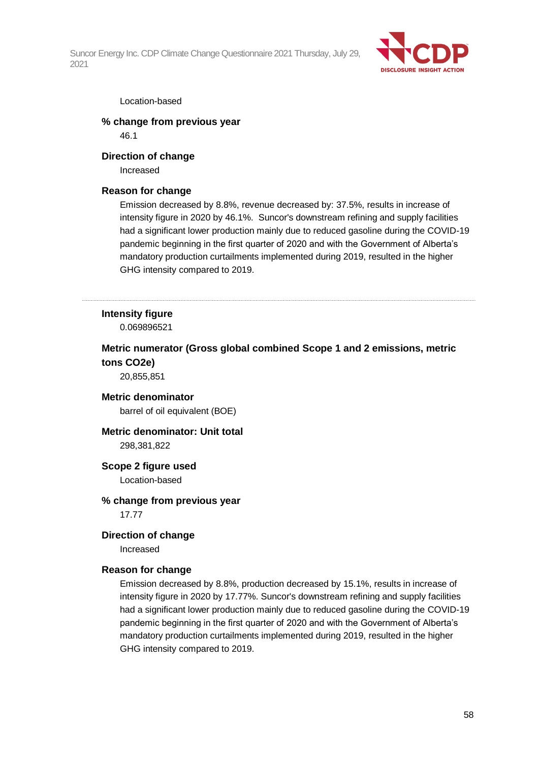

#### Location-based

#### **% change from previous year** 46.1

#### **Direction of change**

Increased

#### **Reason for change**

Emission decreased by 8.8%, revenue decreased by: 37.5%, results in increase of intensity figure in 2020 by 46.1%. Suncor's downstream refining and supply facilities had a significant lower production mainly due to reduced gasoline during the COVID-19 pandemic beginning in the first quarter of 2020 and with the Government of Alberta's mandatory production curtailments implemented during 2019, resulted in the higher GHG intensity compared to 2019.

### **Intensity figure**

0.069896521

### **Metric numerator (Gross global combined Scope 1 and 2 emissions, metric tons CO2e)**

20,855,851

### **Metric denominator**

barrel of oil equivalent (BOE)

## **Metric denominator: Unit total**

298,381,822

#### **Scope 2 figure used**

Location-based

## **% change from previous year**

17.77

#### **Direction of change**

Increased

### **Reason for change**

Emission decreased by 8.8%, production decreased by 15.1%, results in increase of intensity figure in 2020 by 17.77%. Suncor's downstream refining and supply facilities had a significant lower production mainly due to reduced gasoline during the COVID-19 pandemic beginning in the first quarter of 2020 and with the Government of Alberta's mandatory production curtailments implemented during 2019, resulted in the higher GHG intensity compared to 2019.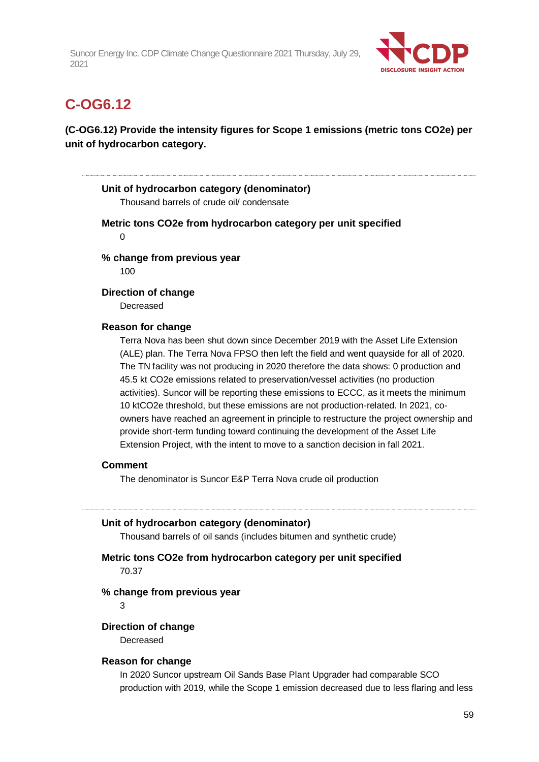

## **C-OG6.12**

## **(C-OG6.12) Provide the intensity figures for Scope 1 emissions (metric tons CO2e) per unit of hydrocarbon category.**

### **Unit of hydrocarbon category (denominator)**

Thousand barrels of crude oil/ condensate

**Metric tons CO2e from hydrocarbon category per unit specified**

 $\Omega$ 

**% change from previous year**

100

#### **Direction of change**

**Decreased** 

#### **Reason for change**

Terra Nova has been shut down since December 2019 with the Asset Life Extension (ALE) plan. The Terra Nova FPSO then left the field and went quayside for all of 2020. The TN facility was not producing in 2020 therefore the data shows: 0 production and 45.5 kt CO2e emissions related to preservation/vessel activities (no production activities). Suncor will be reporting these emissions to ECCC, as it meets the minimum 10 ktCO2e threshold, but these emissions are not production-related. In 2021, coowners have reached an agreement in principle to restructure the project ownership and provide short-term funding toward continuing the development of the Asset Life Extension Project, with the intent to move to a sanction decision in fall 2021.

#### **Comment**

The denominator is Suncor E&P Terra Nova crude oil production

### **Unit of hydrocarbon category (denominator)**

Thousand barrels of oil sands (includes bitumen and synthetic crude)

### **Metric tons CO2e from hydrocarbon category per unit specified** 70.37

#### **% change from previous year**

 $\mathbf{\hat{z}}$ 

#### **Direction of change**

**Decreased** 

#### **Reason for change**

In 2020 Suncor upstream Oil Sands Base Plant Upgrader had comparable SCO production with 2019, while the Scope 1 emission decreased due to less flaring and less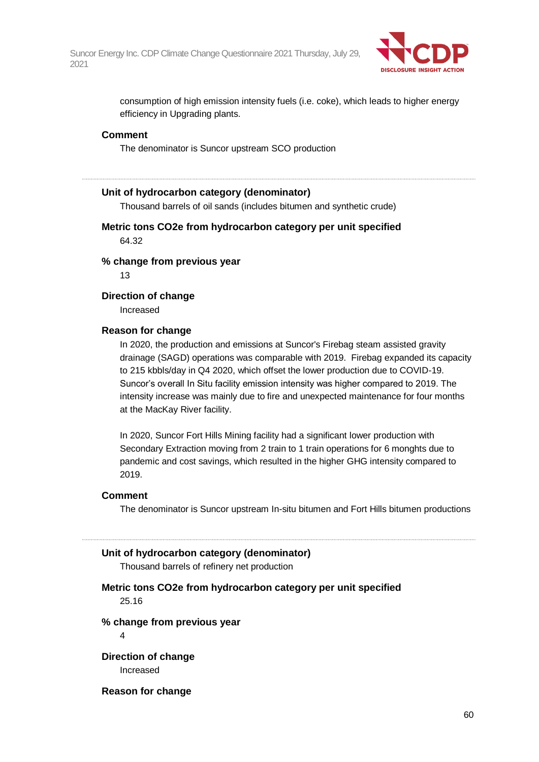

consumption of high emission intensity fuels (i.e. coke), which leads to higher energy efficiency in Upgrading plants.

#### **Comment**

The denominator is Suncor upstream SCO production

#### **Unit of hydrocarbon category (denominator)**

Thousand barrels of oil sands (includes bitumen and synthetic crude)

**Metric tons CO2e from hydrocarbon category per unit specified** 64.32

**% change from previous year**

13

#### **Direction of change**

Increased

#### **Reason for change**

In 2020, the production and emissions at Suncor's Firebag steam assisted gravity drainage (SAGD) operations was comparable with 2019. Firebag expanded its capacity to 215 kbbls/day in Q4 2020, which offset the lower production due to COVID-19. Suncor's overall In Situ facility emission intensity was higher compared to 2019. The intensity increase was mainly due to fire and unexpected maintenance for four months at the MacKay River facility.

In 2020, Suncor Fort Hills Mining facility had a significant lower production with Secondary Extraction moving from 2 train to 1 train operations for 6 monghts due to pandemic and cost savings, which resulted in the higher GHG intensity compared to 2019.

#### **Comment**

The denominator is Suncor upstream In-situ bitumen and Fort Hills bitumen productions

#### **Unit of hydrocarbon category (denominator)**

Thousand barrels of refinery net production

## **Metric tons CO2e from hydrocarbon category per unit specified**

25.16

#### **% change from previous year**

4

**Direction of change** Increased

**Reason for change**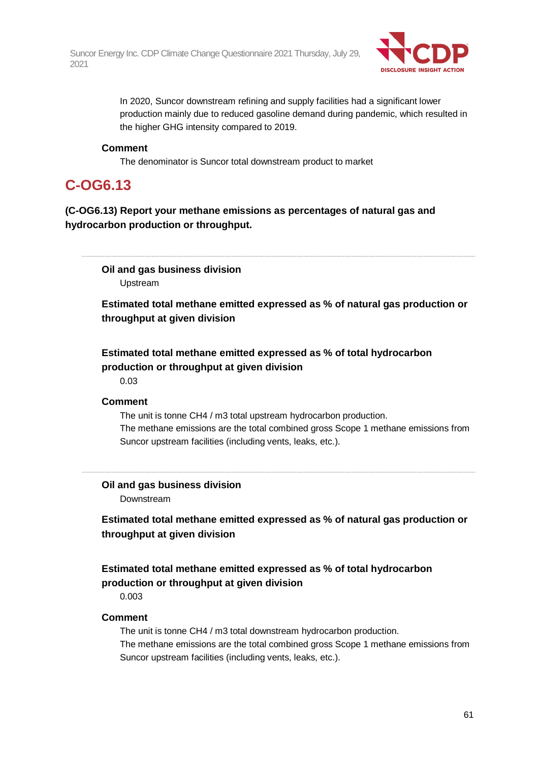

In 2020, Suncor downstream refining and supply facilities had a significant lower production mainly due to reduced gasoline demand during pandemic, which resulted in the higher GHG intensity compared to 2019.

#### **Comment**

The denominator is Suncor total downstream product to market

## **C-OG6.13**

**(C-OG6.13) Report your methane emissions as percentages of natural gas and hydrocarbon production or throughput.**

**Oil and gas business division** Upstream

**Estimated total methane emitted expressed as % of natural gas production or throughput at given division**

## **Estimated total methane emitted expressed as % of total hydrocarbon production or throughput at given division**

0.03

#### **Comment**

The unit is tonne CH4 / m3 total upstream hydrocarbon production. The methane emissions are the total combined gross Scope 1 methane emissions from Suncor upstream facilities (including vents, leaks, etc.).

**Oil and gas business division** Downstream

**Estimated total methane emitted expressed as % of natural gas production or throughput at given division**

## **Estimated total methane emitted expressed as % of total hydrocarbon production or throughput at given division**

0.003

### **Comment**

The unit is tonne CH4 / m3 total downstream hydrocarbon production. The methane emissions are the total combined gross Scope 1 methane emissions from Suncor upstream facilities (including vents, leaks, etc.).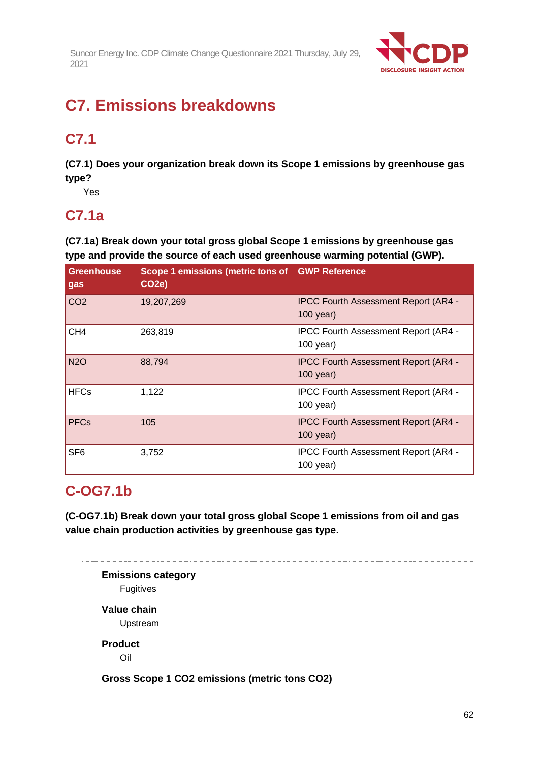

# **C7. Emissions breakdowns**

# **C7.1**

**(C7.1) Does your organization break down its Scope 1 emissions by greenhouse gas type?**

Yes

## **C7.1a**

**(C7.1a) Break down your total gross global Scope 1 emissions by greenhouse gas type and provide the source of each used greenhouse warming potential (GWP).**

| <b>Greenhouse</b><br>gas | Scope 1 emissions (metric tons of GWP Reference<br>CO <sub>2e</sub> ) |                                                            |
|--------------------------|-----------------------------------------------------------------------|------------------------------------------------------------|
| CO <sub>2</sub>          | 19,207,269                                                            | <b>IPCC Fourth Assessment Report (AR4 -</b><br>$100$ year) |
| CH <sub>4</sub>          | 263,819                                                               | <b>IPCC Fourth Assessment Report (AR4 -</b><br>$100$ year) |
| <b>N2O</b>               | 88,794                                                                | <b>IPCC Fourth Assessment Report (AR4 -</b><br>$100$ year) |
| <b>HFCs</b>              | 1,122                                                                 | <b>IPCC Fourth Assessment Report (AR4 -</b><br>$100$ year) |
| <b>PFCs</b>              | 105                                                                   | <b>IPCC Fourth Assessment Report (AR4 -</b><br>$100$ year) |
| SF <sub>6</sub>          | 3,752                                                                 | <b>IPCC Fourth Assessment Report (AR4 -</b><br>$100$ year) |

## **C-OG7.1b**

**(C-OG7.1b) Break down your total gross global Scope 1 emissions from oil and gas value chain production activities by greenhouse gas type.**

**Emissions category** Fugitives **Value chain** Upstream **Product** Oil **Gross Scope 1 CO2 emissions (metric tons CO2)**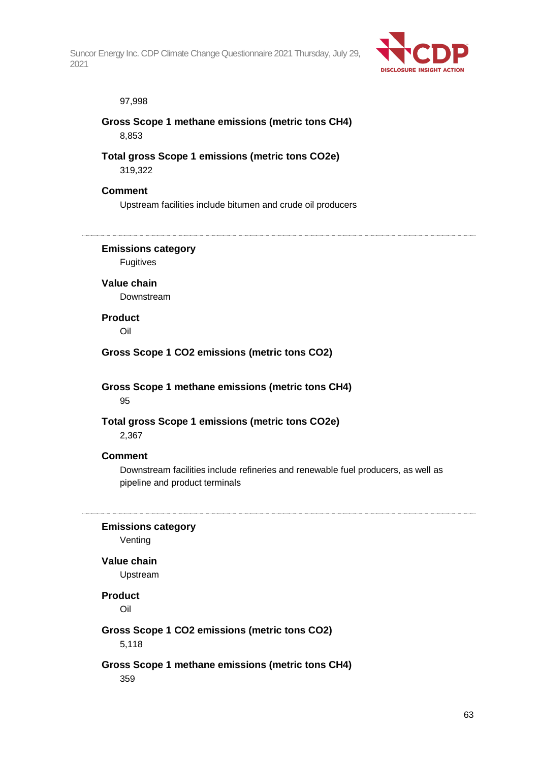

#### 97,998

## **Gross Scope 1 methane emissions (metric tons CH4)** 8,853

### **Total gross Scope 1 emissions (metric tons CO2e)** 319,322

#### **Comment**

Upstream facilities include bitumen and crude oil producers

### **Emissions category**

Fugitives

## **Value chain**

Downstream

### **Product**

Oil

### **Gross Scope 1 CO2 emissions (metric tons CO2)**

**Gross Scope 1 methane emissions (metric tons CH4)** 95

### **Total gross Scope 1 emissions (metric tons CO2e)**

2,367

#### **Comment**

Downstream facilities include refineries and renewable fuel producers, as well as pipeline and product terminals

#### **Emissions category**

Venting

#### **Value chain**

Upstream

#### **Product**

Oil

### **Gross Scope 1 CO2 emissions (metric tons CO2)**

5,118

### **Gross Scope 1 methane emissions (metric tons CH4)**

359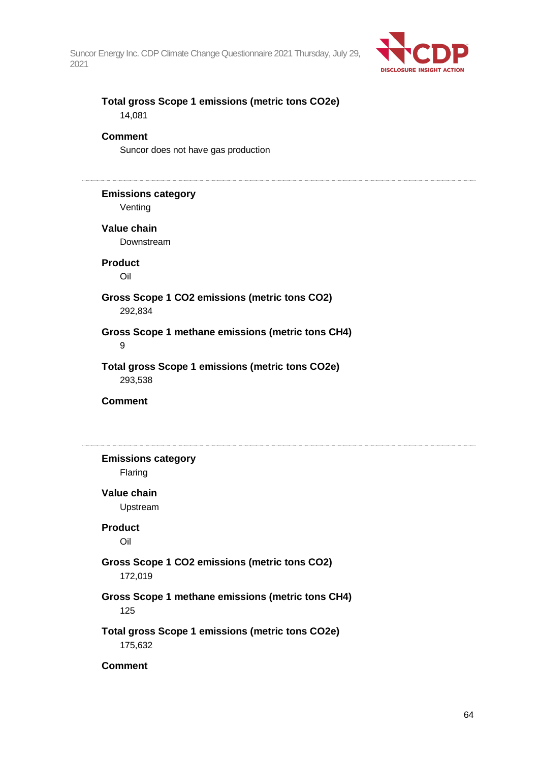

### **Total gross Scope 1 emissions (metric tons CO2e)** 14,081

#### **Comment**

Suncor does not have gas production

### **Emissions category**

Venting

#### **Value chain**

Downstream

## **Product**

Oil

#### **Gross Scope 1 CO2 emissions (metric tons CO2)** 292,834

#### **Gross Scope 1 methane emissions (metric tons CH4)** 9

### **Total gross Scope 1 emissions (metric tons CO2e)** 293,538

**Comment**

**Emissions category** Flaring **Value chain** Upstream **Product** Oil **Gross Scope 1 CO2 emissions (metric tons CO2)** 172,019 **Gross Scope 1 methane emissions (metric tons CH4)** 125 **Total gross Scope 1 emissions (metric tons CO2e)** 175,632

### **Comment**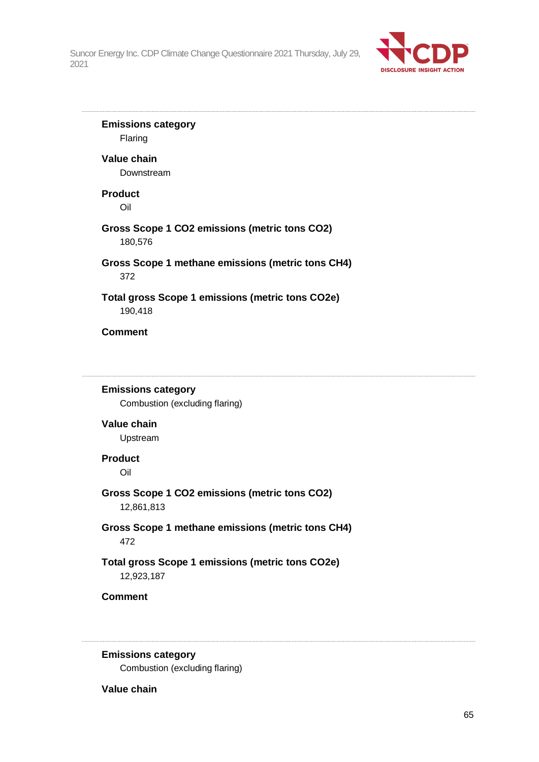

**Emissions category** Flaring **Value chain** Downstream **Product** Oil **Gross Scope 1 CO2 emissions (metric tons CO2)** 180,576 **Gross Scope 1 methane emissions (metric tons CH4)** 372 **Total gross Scope 1 emissions (metric tons CO2e)** 190,418 **Comment Emissions category** Combustion (excluding flaring) **Value chain** Upstream **Product** Oil **Gross Scope 1 CO2 emissions (metric tons CO2)** 12,861,813 **Gross Scope 1 methane emissions (metric tons CH4)** 472 **Total gross Scope 1 emissions (metric tons CO2e)** 12,923,187 **Comment**

**Emissions category**

Combustion (excluding flaring)

#### **Value chain**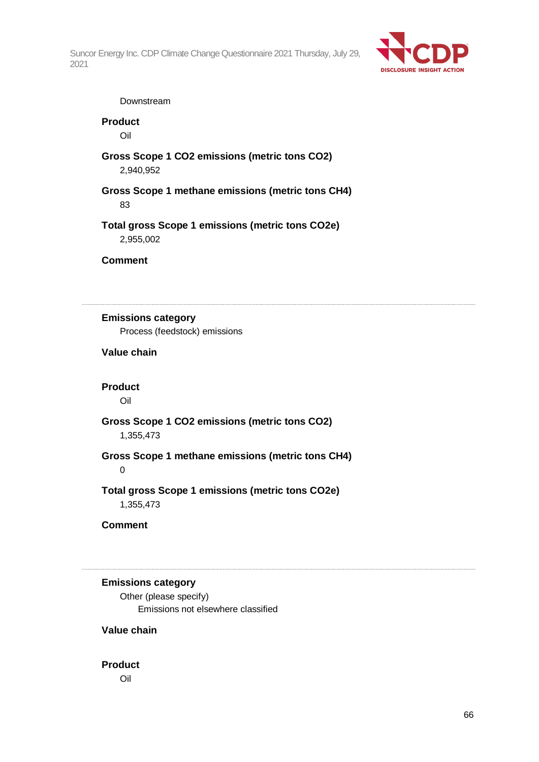

#### Downstream

## **Product**

Oil

**Gross Scope 1 CO2 emissions (metric tons CO2)** 2,940,952

**Gross Scope 1 methane emissions (metric tons CH4)** 83

**Total gross Scope 1 emissions (metric tons CO2e)** 2,955,002

#### **Comment**

## **Emissions category**

Process (feedstock) emissions

## **Value chain**

#### **Product**

Oil

## **Gross Scope 1 CO2 emissions (metric tons CO2)**

1,355,473

#### **Gross Scope 1 methane emissions (metric tons CH4)** 0

### **Total gross Scope 1 emissions (metric tons CO2e)** 1,355,473

**Comment**

### **Emissions category**

Other (please specify) Emissions not elsewhere classified

### **Value chain**

#### **Product**

Oil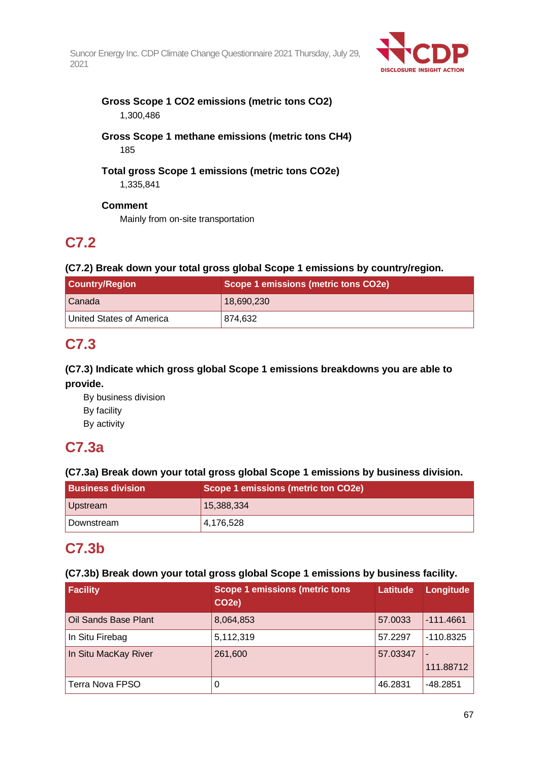

### **Gross Scope 1 CO2 emissions (metric tons CO2)** 1,300,486

## **Gross Scope 1 methane emissions (metric tons CH4)** 185

# **Total gross Scope 1 emissions (metric tons CO2e)**

1,335,841

## **Comment**

Mainly from on-site transportation

# **C7.2**

## **(C7.2) Break down your total gross global Scope 1 emissions by country/region.**

| <b>Country/Region</b>    | Scope 1 emissions (metric tons CO2e) |  |
|--------------------------|--------------------------------------|--|
| <b>Canada</b>            | 18,690,230                           |  |
| United States of America | 874,632                              |  |

## **C7.3**

## **(C7.3) Indicate which gross global Scope 1 emissions breakdowns you are able to provide.**

By business division By facility By activity

# **C7.3a**

## **(C7.3a) Break down your total gross global Scope 1 emissions by business division.**

| <b>Business division</b> | Scope 1 emissions (metric ton CO2e) |
|--------------------------|-------------------------------------|
| Upstream                 | 15,388,334                          |
| Downstream               | 4,176,528                           |

## **C7.3b**

## **(C7.3b) Break down your total gross global Scope 1 emissions by business facility.**

| Facility             | <b>Scope 1 emissions (metric tons)</b><br>CO <sub>2e</sub> ) | Latitude | Longitude                   |
|----------------------|--------------------------------------------------------------|----------|-----------------------------|
| Oil Sands Base Plant | 8,064,853                                                    | 57.0033  | $-111.4661$                 |
| In Situ Firebag      | 5,112,319                                                    | 57.2297  | $-110.8325$                 |
| In Situ MacKay River | 261,600                                                      | 57.03347 | $\blacksquare$<br>111.88712 |
| Terra Nova FPSO      | 0                                                            | 46.2831  | $-48.2851$                  |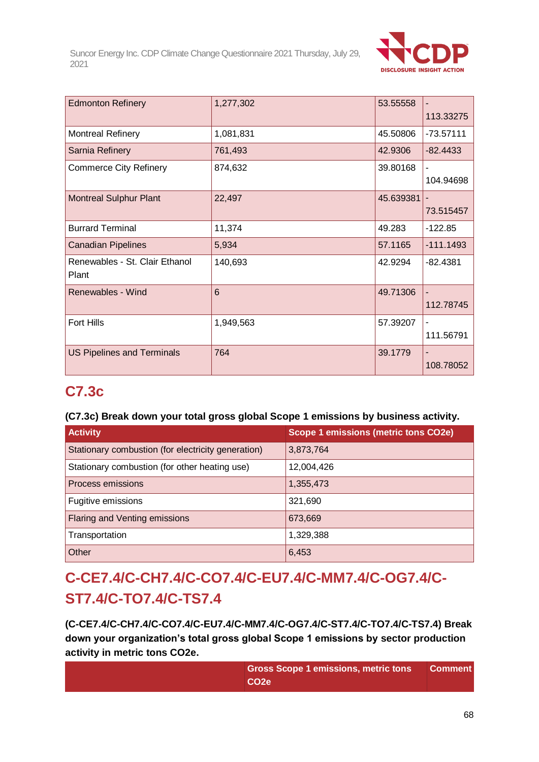

| <b>Edmonton Refinery</b>          | 1,277,302 | 53.55558  |                          |
|-----------------------------------|-----------|-----------|--------------------------|
|                                   |           |           | 113.33275                |
| <b>Montreal Refinery</b>          | 1,081,831 | 45.50806  | $-73.57111$              |
| Sarnia Refinery                   | 761,493   | 42.9306   | $-82.4433$               |
| <b>Commerce City Refinery</b>     | 874,632   | 39.80168  |                          |
|                                   |           |           | 104.94698                |
| <b>Montreal Sulphur Plant</b>     | 22,497    | 45.639381 |                          |
|                                   |           |           | 73.515457                |
| <b>Burrard Terminal</b>           | 11,374    | 49.283    | $-122.85$                |
| <b>Canadian Pipelines</b>         | 5,934     | 57.1165   | $-111.1493$              |
| Renewables - St. Clair Ethanol    | 140,693   | 42.9294   | $-82.4381$               |
| Plant                             |           |           |                          |
| Renewables - Wind                 | 6         | 49.71306  | $\overline{\phantom{m}}$ |
|                                   |           |           | 112.78745                |
| <b>Fort Hills</b>                 | 1,949,563 | 57.39207  | $\blacksquare$           |
|                                   |           |           | 111.56791                |
| <b>US Pipelines and Terminals</b> | 764       | 39.1779   |                          |
|                                   |           |           | 108.78052                |

## **C7.3c**

## **(C7.3c) Break down your total gross global Scope 1 emissions by business activity.**

| <b>Activity</b>                                    | <b>Scope 1 emissions (metric tons CO2e)</b> |
|----------------------------------------------------|---------------------------------------------|
| Stationary combustion (for electricity generation) | 3,873,764                                   |
| Stationary combustion (for other heating use)      | 12,004,426                                  |
| Process emissions                                  | 1,355,473                                   |
| Fugitive emissions                                 | 321,690                                     |
| Flaring and Venting emissions                      | 673,669                                     |
| Transportation                                     | 1,329,388                                   |
| Other                                              | 6,453                                       |

# **C-CE7.4/C-CH7.4/C-CO7.4/C-EU7.4/C-MM7.4/C-OG7.4/C-ST7.4/C-TO7.4/C-TS7.4**

**(C-CE7.4/C-CH7.4/C-CO7.4/C-EU7.4/C-MM7.4/C-OG7.4/C-ST7.4/C-TO7.4/C-TS7.4) Break down your organization's total gross global Scope 1 emissions by sector production activity in metric tons CO2e.**

| <b>Gross Scope 1 emissions, metric tons</b> | <b>Comment</b> |
|---------------------------------------------|----------------|
| CO <sub>2e</sub>                            |                |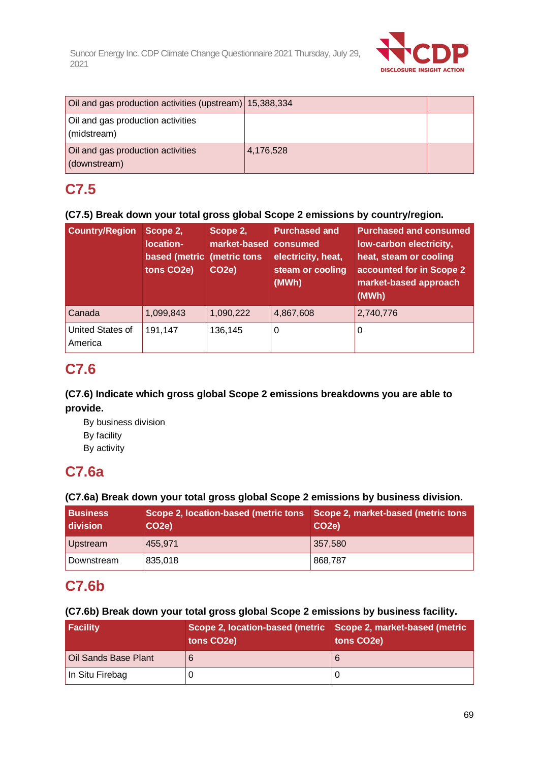

| Oil and gas production activities (upstream) 15,388,334 |           |  |
|---------------------------------------------------------|-----------|--|
| Oil and gas production activities<br>(midstream)        |           |  |
| Oil and gas production activities<br>(downstream)       | 4,176,528 |  |

## **C7.5**

## **(C7.5) Break down your total gross global Scope 2 emissions by country/region.**

| <b>Country/Region</b>       | Scope 2,<br>location-<br>based (metric<br>tons CO2e) | Scope 2,<br>market-based consumed<br>(metric tons<br>CO <sub>2e</sub> ) | <b>Purchased and</b><br>electricity, heat,<br>steam or cooling<br>(MWh) | <b>Purchased and consumed</b><br>low-carbon electricity,<br>heat, steam or cooling<br>accounted for in Scope 2<br>market-based approach<br>(MWh) |
|-----------------------------|------------------------------------------------------|-------------------------------------------------------------------------|-------------------------------------------------------------------------|--------------------------------------------------------------------------------------------------------------------------------------------------|
| Canada                      | 1,099,843                                            | 1,090,222                                                               | 4,867,608                                                               | 2,740,776                                                                                                                                        |
| United States of<br>America | 191,147                                              | 136,145                                                                 | 0                                                                       | 0                                                                                                                                                |

## **C7.6**

## **(C7.6) Indicate which gross global Scope 2 emissions breakdowns you are able to provide.**

By business division By facility By activity

## **C7.6a**

## **(C7.6a) Break down your total gross global Scope 2 emissions by business division.**

| <b>Business</b><br>  division | Scope 2, location-based (metric tons Scope 2, market-based (metric tons<br>CO <sub>2</sub> e) | CO <sub>2</sub> e) |
|-------------------------------|-----------------------------------------------------------------------------------------------|--------------------|
| Upstream                      | 455,971                                                                                       | 357,580            |
| Downstream                    | 835,018                                                                                       | 868,787            |

## **C7.6b**

## **(C7.6b) Break down your total gross global Scope 2 emissions by business facility.**

| <b>Facility</b>      | Scope 2, location-based (metric Scope 2, market-based (metric<br>tons CO <sub>2</sub> e) | tons CO <sub>2</sub> e) |
|----------------------|------------------------------------------------------------------------------------------|-------------------------|
| Oil Sands Base Plant |                                                                                          |                         |
| In Situ Firebag      |                                                                                          |                         |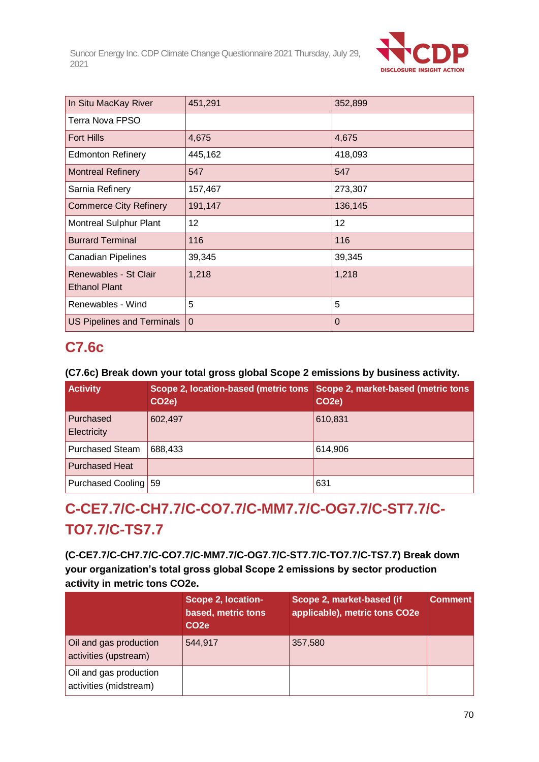

| In Situ MacKay River                          | 451,291     | 352,899     |
|-----------------------------------------------|-------------|-------------|
| Terra Nova FPSO                               |             |             |
| <b>Fort Hills</b>                             | 4,675       | 4,675       |
| <b>Edmonton Refinery</b>                      | 445,162     | 418,093     |
| <b>Montreal Refinery</b>                      | 547         | 547         |
| Sarnia Refinery                               | 157,467     | 273,307     |
| <b>Commerce City Refinery</b>                 | 191,147     | 136,145     |
| <b>Montreal Sulphur Plant</b>                 | 12          | 12          |
| <b>Burrard Terminal</b>                       | 116         | 116         |
| <b>Canadian Pipelines</b>                     | 39,345      | 39,345      |
| Renewables - St Clair<br><b>Ethanol Plant</b> | 1,218       | 1,218       |
| Renewables - Wind                             | 5           | 5           |
| <b>US Pipelines and Terminals</b>             | $\mathbf 0$ | $\mathbf 0$ |

## **C7.6c**

## **(C7.6c) Break down your total gross global Scope 2 emissions by business activity.**

| <b>Activity</b>          | Scope 2, location-based (metric tons Scope 2, market-based (metric tons<br>CO <sub>2</sub> e) | CO <sub>2e</sub> ) |
|--------------------------|-----------------------------------------------------------------------------------------------|--------------------|
| Purchased<br>Electricity | 602,497                                                                                       | 610,831            |
| <b>Purchased Steam</b>   | 688,433                                                                                       | 614,906            |
| <b>Purchased Heat</b>    |                                                                                               |                    |
| Purchased Cooling 59     |                                                                                               | 631                |

# **C-CE7.7/C-CH7.7/C-CO7.7/C-MM7.7/C-OG7.7/C-ST7.7/C-TO7.7/C-TS7.7**

**(C-CE7.7/C-CH7.7/C-CO7.7/C-MM7.7/C-OG7.7/C-ST7.7/C-TO7.7/C-TS7.7) Break down your organization's total gross global Scope 2 emissions by sector production activity in metric tons CO2e.**

|                                                  | <b>Scope 2, location-</b><br>based, metric tons<br>CO <sub>2e</sub> | Scope 2, market-based (if<br>applicable), metric tons CO2e | <b>Comment</b> |
|--------------------------------------------------|---------------------------------------------------------------------|------------------------------------------------------------|----------------|
| Oil and gas production<br>activities (upstream)  | 544,917                                                             | 357,580                                                    |                |
| Oil and gas production<br>activities (midstream) |                                                                     |                                                            |                |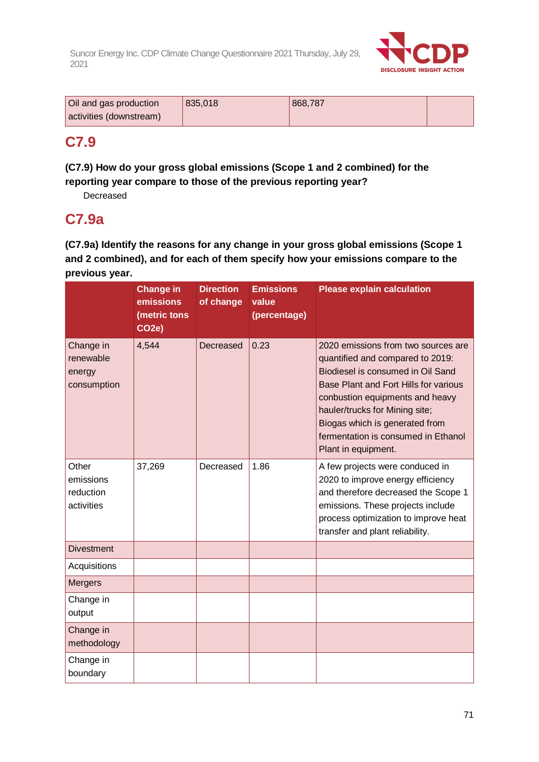

| Oil and gas production  | 835,018 | 868,787 |  |
|-------------------------|---------|---------|--|
| activities (downstream) |         |         |  |

## **C7.9**

## **(C7.9) How do your gross global emissions (Scope 1 and 2 combined) for the reporting year compare to those of the previous reporting year?**

Decreased

## **C7.9a**

**(C7.9a) Identify the reasons for any change in your gross global emissions (Scope 1 and 2 combined), and for each of them specify how your emissions compare to the previous year.**

|                                                 | <b>Change in</b><br>emissions<br>(metric tons<br>CO <sub>2</sub> e) | <b>Direction</b><br>of change | <b>Emissions</b><br>value<br>(percentage) | <b>Please explain calculation</b>                                                                                                                                                                                                                                                                                          |
|-------------------------------------------------|---------------------------------------------------------------------|-------------------------------|-------------------------------------------|----------------------------------------------------------------------------------------------------------------------------------------------------------------------------------------------------------------------------------------------------------------------------------------------------------------------------|
| Change in<br>renewable<br>energy<br>consumption | 4,544                                                               | Decreased                     | 0.23                                      | 2020 emissions from two sources are<br>quantified and compared to 2019:<br>Biodiesel is consumed in Oil Sand<br>Base Plant and Fort Hills for various<br>conbustion equipments and heavy<br>hauler/trucks for Mining site;<br>Biogas which is generated from<br>fermentation is consumed in Ethanol<br>Plant in equipment. |
| Other<br>emissions<br>reduction<br>activities   | 37,269                                                              | Decreased                     | 1.86                                      | A few projects were conduced in<br>2020 to improve energy efficiency<br>and therefore decreased the Scope 1<br>emissions. These projects include<br>process optimization to improve heat<br>transfer and plant reliability.                                                                                                |
| <b>Divestment</b>                               |                                                                     |                               |                                           |                                                                                                                                                                                                                                                                                                                            |
| Acquisitions                                    |                                                                     |                               |                                           |                                                                                                                                                                                                                                                                                                                            |
| <b>Mergers</b>                                  |                                                                     |                               |                                           |                                                                                                                                                                                                                                                                                                                            |
| Change in<br>output                             |                                                                     |                               |                                           |                                                                                                                                                                                                                                                                                                                            |
| Change in<br>methodology                        |                                                                     |                               |                                           |                                                                                                                                                                                                                                                                                                                            |
| Change in<br>boundary                           |                                                                     |                               |                                           |                                                                                                                                                                                                                                                                                                                            |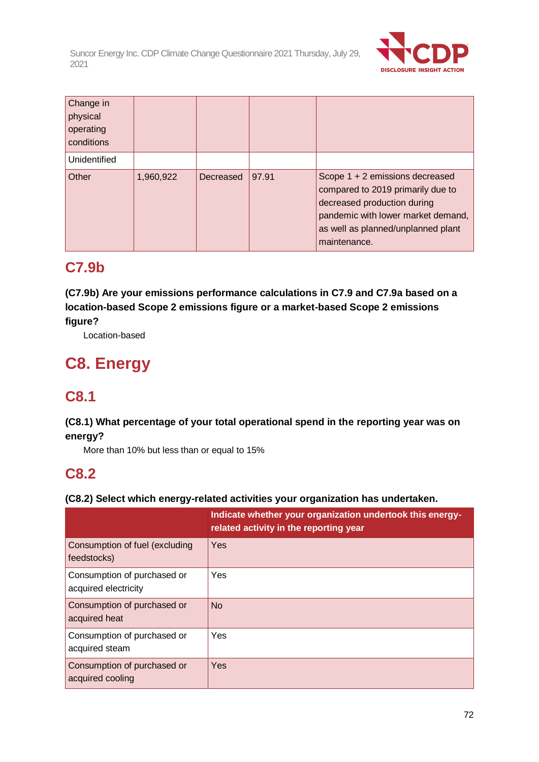

| Change in<br>physical<br>operating<br>conditions |           |           |       |                                                                                                                                                                                                 |
|--------------------------------------------------|-----------|-----------|-------|-------------------------------------------------------------------------------------------------------------------------------------------------------------------------------------------------|
| Unidentified                                     |           |           |       |                                                                                                                                                                                                 |
| Other                                            | 1,960,922 | Decreased | 97.91 | Scope 1 + 2 emissions decreased<br>compared to 2019 primarily due to<br>decreased production during<br>pandemic with lower market demand,<br>as well as planned/unplanned plant<br>maintenance. |

## **C7.9b**

**(C7.9b) Are your emissions performance calculations in C7.9 and C7.9a based on a location-based Scope 2 emissions figure or a market-based Scope 2 emissions figure?**

Location-based

# **C8. Energy**

## **C8.1**

## **(C8.1) What percentage of your total operational spend in the reporting year was on energy?**

More than 10% but less than or equal to 15%

## **C8.2**

## **(C8.2) Select which energy-related activities your organization has undertaken.**

|                                                     | Indicate whether your organization undertook this energy-<br>related activity in the reporting year |
|-----------------------------------------------------|-----------------------------------------------------------------------------------------------------|
| Consumption of fuel (excluding<br>feedstocks)       | Yes                                                                                                 |
| Consumption of purchased or<br>acquired electricity | Yes                                                                                                 |
| Consumption of purchased or<br>acquired heat        | <b>No</b>                                                                                           |
| Consumption of purchased or<br>acquired steam       | Yes                                                                                                 |
| Consumption of purchased or<br>acquired cooling     | Yes                                                                                                 |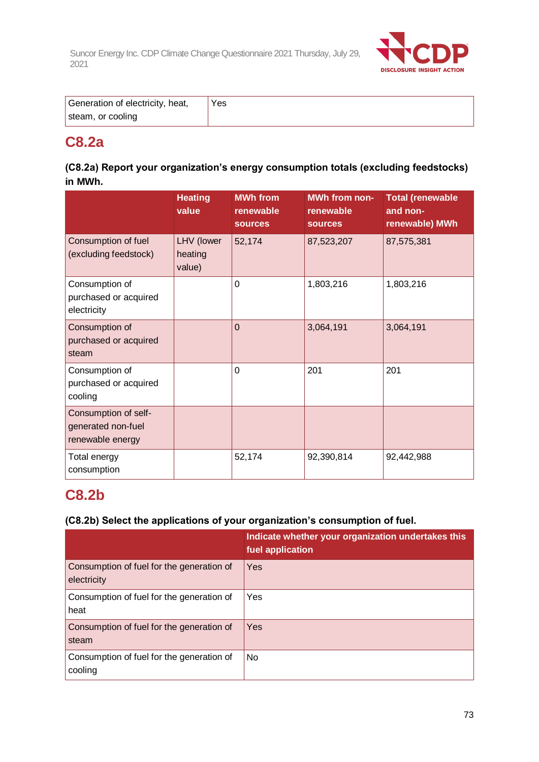

| Generation of electricity, heat, | Yes |
|----------------------------------|-----|
| steam, or cooling                |     |

# **C8.2a**

### **(C8.2a) Report your organization's energy consumption totals (excluding feedstocks) in MWh.**

|                                                                | <b>Heating</b><br>value         | <b>MWh from</b><br>renewable<br><b>sources</b> | <b>MWh from non-</b><br>renewable<br><b>sources</b> | <b>Total (renewable</b><br>and non-<br>renewable) MWh |
|----------------------------------------------------------------|---------------------------------|------------------------------------------------|-----------------------------------------------------|-------------------------------------------------------|
| Consumption of fuel<br>(excluding feedstock)                   | LHV (lower<br>heating<br>value) | 52,174                                         | 87,523,207                                          | 87,575,381                                            |
| Consumption of<br>purchased or acquired<br>electricity         |                                 | $\Omega$                                       | 1,803,216                                           | 1,803,216                                             |
| Consumption of<br>purchased or acquired<br>steam               |                                 | $\Omega$                                       | 3,064,191                                           | 3,064,191                                             |
| Consumption of<br>purchased or acquired<br>cooling             |                                 | 0                                              | 201                                                 | 201                                                   |
| Consumption of self-<br>generated non-fuel<br>renewable energy |                                 |                                                |                                                     |                                                       |
| Total energy<br>consumption                                    |                                 | 52,174                                         | 92,390,814                                          | 92,442,988                                            |

# **C8.2b**

### **(C8.2b) Select the applications of your organization's consumption of fuel.**

|                                                          | Indicate whether your organization undertakes this<br>fuel application |
|----------------------------------------------------------|------------------------------------------------------------------------|
| Consumption of fuel for the generation of<br>electricity | Yes                                                                    |
| Consumption of fuel for the generation of<br>heat        | Yes                                                                    |
| Consumption of fuel for the generation of<br>steam       | Yes                                                                    |
| Consumption of fuel for the generation of<br>cooling     | No                                                                     |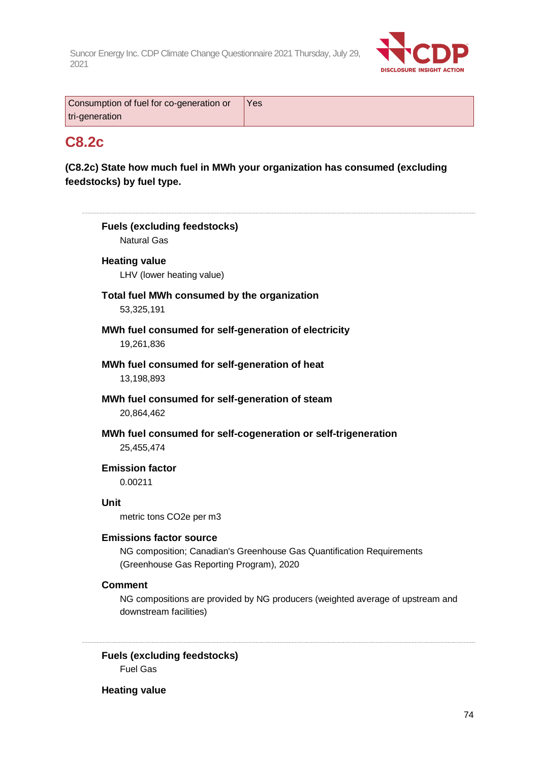

| Consumption of fuel for co-generation or | Yes |
|------------------------------------------|-----|
| tri-generation                           |     |

# **C8.2c**

### **(C8.2c) State how much fuel in MWh your organization has consumed (excluding feedstocks) by fuel type.**

| <b>Fuels (excluding feedstocks)</b><br><b>Natural Gas</b>                                                                                           |
|-----------------------------------------------------------------------------------------------------------------------------------------------------|
| <b>Heating value</b><br>LHV (lower heating value)                                                                                                   |
| Total fuel MWh consumed by the organization<br>53,325,191                                                                                           |
| MWh fuel consumed for self-generation of electricity<br>19,261,836                                                                                  |
| MWh fuel consumed for self-generation of heat<br>13,198,893                                                                                         |
| MWh fuel consumed for self-generation of steam<br>20,864,462                                                                                        |
| MWh fuel consumed for self-cogeneration or self-trigeneration<br>25,455,474                                                                         |
| <b>Emission factor</b><br>0.00211                                                                                                                   |
| <b>Unit</b><br>metric tons CO2e per m3                                                                                                              |
| <b>Emissions factor source</b><br>NG composition; Canadian's Greenhouse Gas Quantification Requirements<br>(Greenhouse Gas Reporting Program), 2020 |
| <b>Comment</b><br>NG compositions are provided by NG producers (weighted average of upstream and                                                    |

**Fuels (excluding feedstocks)** Fuel Gas

**Heating value**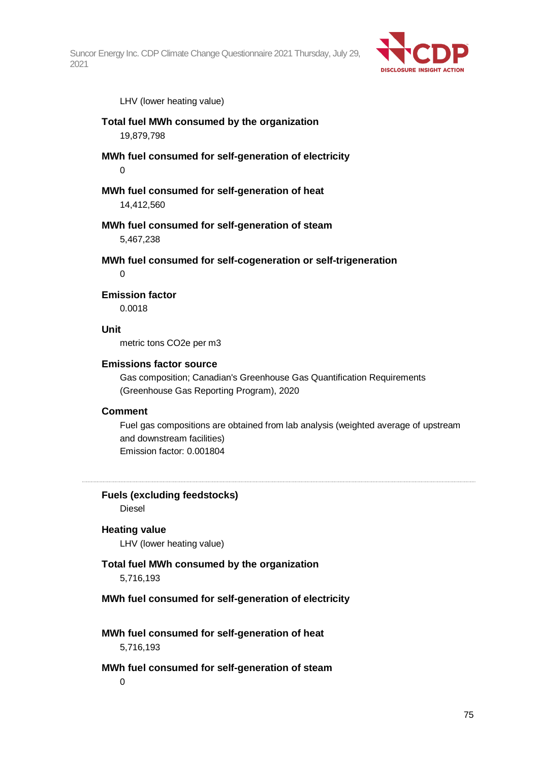

LHV (lower heating value)

- **Total fuel MWh consumed by the organization** 19,879,798
- **MWh fuel consumed for self-generation of electricity** 0

**MWh fuel consumed for self-generation of heat** 14,412,560

**MWh fuel consumed for self-generation of steam** 5,467,238

**MWh fuel consumed for self-cogeneration or self-trigeneration**  $\Omega$ 

**Emission factor**

0.0018

**Unit**

metric tons CO2e per m3

#### **Emissions factor source**

Gas composition; Canadian's Greenhouse Gas Quantification Requirements (Greenhouse Gas Reporting Program), 2020

#### **Comment**

Fuel gas compositions are obtained from lab analysis (weighted average of upstream and downstream facilities) Emission factor: 0.001804

**Fuels (excluding feedstocks)** Diesel

#### **Heating value**

LHV (lower heating value)

#### **Total fuel MWh consumed by the organization**

5,716,193

#### **MWh fuel consumed for self-generation of electricity**

**MWh fuel consumed for self-generation of heat** 5,716,193

#### **MWh fuel consumed for self-generation of steam**

 $\Omega$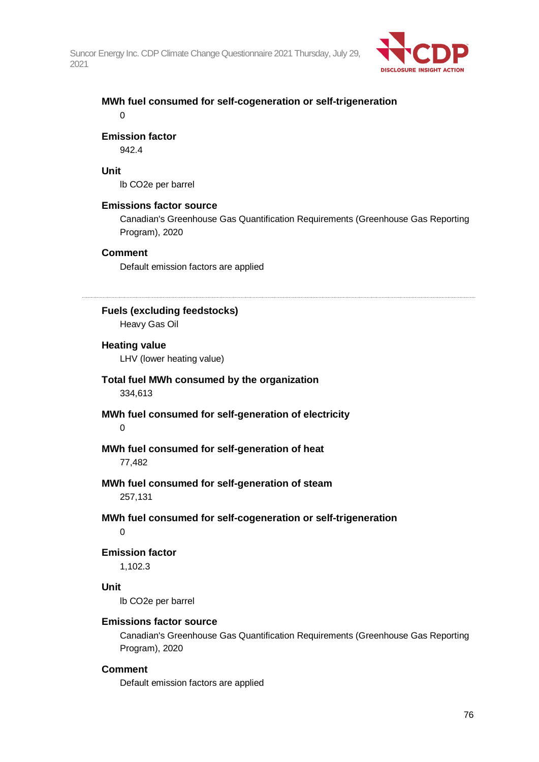

### **MWh fuel consumed for self-cogeneration or self-trigeneration** 0

#### **Emission factor**

942.4

#### **Unit**

lb CO2e per barrel

#### **Emissions factor source**

Canadian's Greenhouse Gas Quantification Requirements (Greenhouse Gas Reporting Program), 2020

#### **Comment**

Default emission factors are applied

#### **Fuels (excluding feedstocks)**

Heavy Gas Oil

#### **Heating value**

LHV (lower heating value)

- **Total fuel MWh consumed by the organization** 334,613
- **MWh fuel consumed for self-generation of electricity**  $\Omega$

# **MWh fuel consumed for self-generation of heat**

77,482

#### **MWh fuel consumed for self-generation of steam** 257,131

### **MWh fuel consumed for self-cogeneration or self-trigeneration**

 $\Omega$ 

#### **Emission factor**

1,102.3

#### **Unit**

lb CO2e per barrel

#### **Emissions factor source**

Canadian's Greenhouse Gas Quantification Requirements (Greenhouse Gas Reporting Program), 2020

#### **Comment**

Default emission factors are applied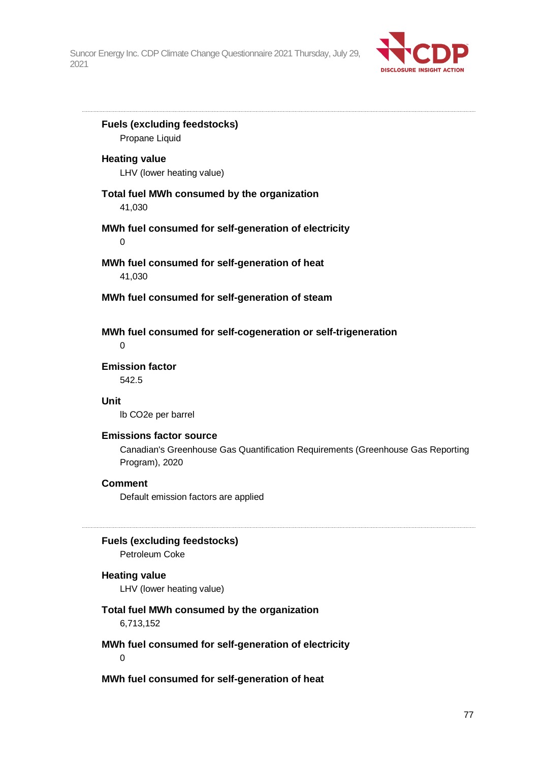

**Fuels (excluding feedstocks)** Propane Liquid **Heating value** LHV (lower heating value) **Total fuel MWh consumed by the organization** 41,030 **MWh fuel consumed for self-generation of electricity** 0 **MWh fuel consumed for self-generation of heat** 41,030 **MWh fuel consumed for self-generation of steam MWh fuel consumed for self-cogeneration or self-trigeneration**  $\Omega$ **Emission factor** 542.5 **Unit** lb CO2e per barrel **Emissions factor source** Canadian's Greenhouse Gas Quantification Requirements (Greenhouse Gas Reporting Program), 2020 **Comment** Default emission factors are applied **Fuels (excluding feedstocks)** Petroleum Coke **Heating value** LHV (lower heating value) **Total fuel MWh consumed by the organization** 6,713,152 **MWh fuel consumed for self-generation of electricity**

0

**MWh fuel consumed for self-generation of heat**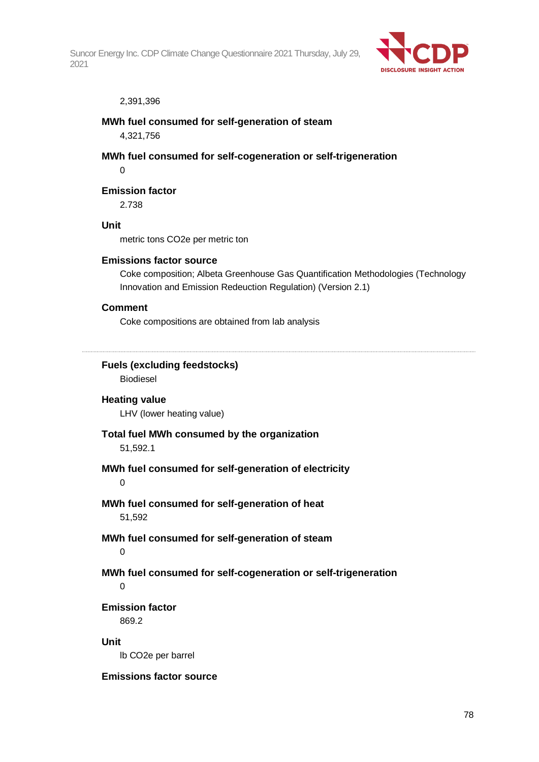

#### 2,391,396

#### **MWh fuel consumed for self-generation of steam**

4,321,756

**MWh fuel consumed for self-cogeneration or self-trigeneration**

 $\Omega$ 

#### **Emission factor**

2.738

#### **Unit**

metric tons CO2e per metric ton

#### **Emissions factor source**

Coke composition; Albeta Greenhouse Gas Quantification Methodologies (Technology Innovation and Emission Redeuction Regulation) (Version 2.1)

#### **Comment**

Coke compositions are obtained from lab analysis

**Fuels (excluding feedstocks)**

Biodiesel

### **Heating value**

LHV (lower heating value)

#### **Total fuel MWh consumed by the organization**

51,592.1

#### **MWh fuel consumed for self-generation of electricity**

 $\Omega$ 

# **MWh fuel consumed for self-generation of heat**

51,592

# **MWh fuel consumed for self-generation of steam**

 $\Omega$ 

### **MWh fuel consumed for self-cogeneration or self-trigeneration**

0

### **Emission factor**

869.2

#### **Unit**

lb CO2e per barrel

#### **Emissions factor source**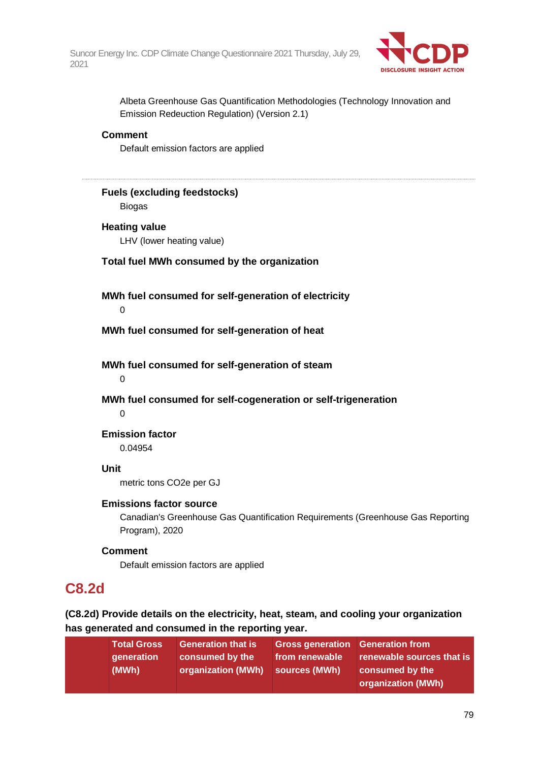

Albeta Greenhouse Gas Quantification Methodologies (Technology Innovation and Emission Redeuction Regulation) (Version 2.1)

#### **Comment**

Default emission factors are applied

### **Fuels (excluding feedstocks)**

Biogas

### **Heating value**

LHV (lower heating value)

#### **Total fuel MWh consumed by the organization**

**MWh fuel consumed for self-generation of electricity** 0

**MWh fuel consumed for self-generation of heat**

**MWh fuel consumed for self-generation of steam**

 $\Omega$ 

**MWh fuel consumed for self-cogeneration or self-trigeneration**

 $\Omega$ 

#### **Emission factor**

0.04954

#### **Unit**

metric tons CO2e per GJ

#### **Emissions factor source**

Canadian's Greenhouse Gas Quantification Requirements (Greenhouse Gas Reporting Program), 2020

#### **Comment**

Default emission factors are applied

### **C8.2d**

**(C8.2d) Provide details on the electricity, heat, steam, and cooling your organization has generated and consumed in the reporting year.**

| generation<br>(MWh) | <b>Generation that is</b><br>∣ from renewable <sup>⊦</sup><br>consumed by the<br>organization (MWh)<br>sources (MWh) | Gross generation Generation from<br>renewable sources that is<br>consumed by the<br>organization (MWh) |
|---------------------|----------------------------------------------------------------------------------------------------------------------|--------------------------------------------------------------------------------------------------------|
|---------------------|----------------------------------------------------------------------------------------------------------------------|--------------------------------------------------------------------------------------------------------|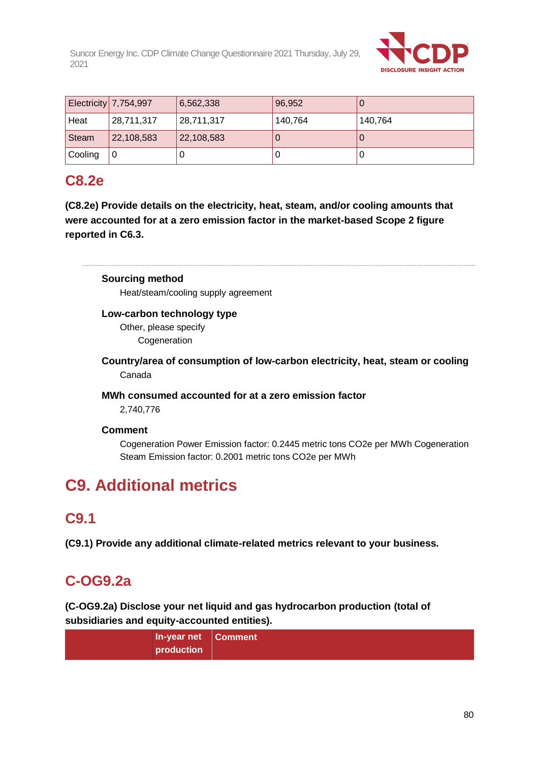

|         | <b>Electricity 7,754,997</b> | 6,562,338  | 96,952  |         |
|---------|------------------------------|------------|---------|---------|
| Heat    | 28,711,317                   | 28,711,317 | 140,764 | 140,764 |
| Steam   | 22,108,583                   | 22,108,583 |         | U       |
| Cooling | 0                            |            |         | U       |

# **C8.2e**

**(C8.2e) Provide details on the electricity, heat, steam, and/or cooling amounts that were accounted for at a zero emission factor in the market-based Scope 2 figure reported in C6.3.**

**Sourcing method**

Heat/steam/cooling supply agreement

#### **Low-carbon technology type**

Other, please specify **Cogeneration** 

**Country/area of consumption of low-carbon electricity, heat, steam or cooling** Canada

#### **MWh consumed accounted for at a zero emission factor**

2,740,776

#### **Comment**

Cogeneration Power Emission factor: 0.2445 metric tons CO2e per MWh Cogeneration Steam Emission factor: 0.2001 metric tons CO2e per MWh

# **C9. Additional metrics**

### **C9.1**

**(C9.1) Provide any additional climate-related metrics relevant to your business.**

# **C-OG9.2a**

**(C-OG9.2a) Disclose your net liquid and gas hydrocarbon production (total of subsidiaries and equity-accounted entities).**

| In-year net Comment |  |
|---------------------|--|
| production          |  |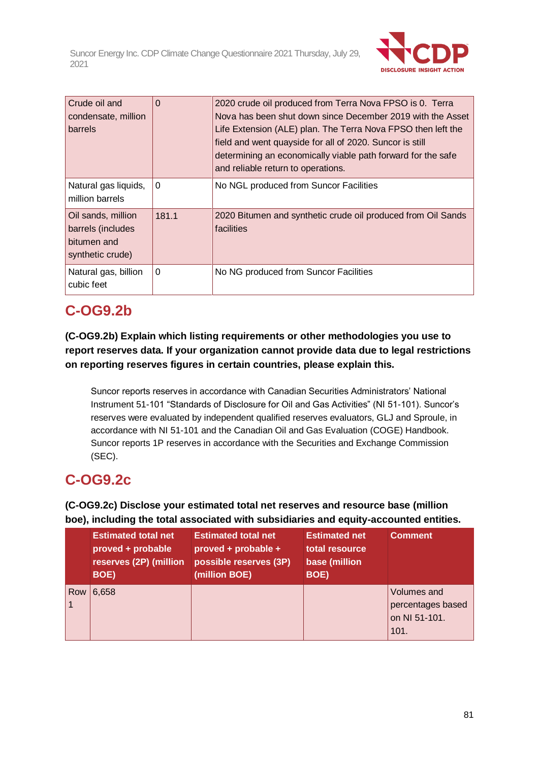

| Crude oil and<br>condensate, million<br>barrels                            | 0            | 2020 crude oil produced from Terra Nova FPSO is 0. Terra<br>Nova has been shut down since December 2019 with the Asset<br>Life Extension (ALE) plan. The Terra Nova FPSO then left the<br>field and went quayside for all of 2020. Suncor is still<br>determining an economically viable path forward for the safe<br>and reliable return to operations. |
|----------------------------------------------------------------------------|--------------|----------------------------------------------------------------------------------------------------------------------------------------------------------------------------------------------------------------------------------------------------------------------------------------------------------------------------------------------------------|
| Natural gas liquids,<br>million barrels                                    | $\Omega$     | No NGL produced from Suncor Facilities                                                                                                                                                                                                                                                                                                                   |
| Oil sands, million<br>barrels (includes<br>bitumen and<br>synthetic crude) | 181.1        | 2020 Bitumen and synthetic crude oil produced from Oil Sands<br>facilities                                                                                                                                                                                                                                                                               |
| Natural gas, billion<br>cubic feet                                         | $\mathbf{0}$ | No NG produced from Suncor Facilities                                                                                                                                                                                                                                                                                                                    |

# **C-OG9.2b**

### **(C-OG9.2b) Explain which listing requirements or other methodologies you use to report reserves data. If your organization cannot provide data due to legal restrictions on reporting reserves figures in certain countries, please explain this.**

Suncor reports reserves in accordance with Canadian Securities Administrators' National Instrument 51-101 "Standards of Disclosure for Oil and Gas Activities" (NI 51-101). Suncor's reserves were evaluated by independent qualified reserves evaluators, GLJ and Sproule, in accordance with NI 51-101 and the Canadian Oil and Gas Evaluation (COGE) Handbook. Suncor reports 1P reserves in accordance with the Securities and Exchange Commission (SEC).

# **C-OG9.2c**

### **(C-OG9.2c) Disclose your estimated total net reserves and resource base (million boe), including the total associated with subsidiaries and equity-accounted entities.**

|     | <b>Estimated total net</b><br>proved + probable<br>reserves (2P) (million<br>BOE) | <b>Estimated total net</b><br>proved + probable +<br>possible reserves (3P)<br>(million BOE) | <b>Estimated net</b><br>total resource<br>base (million<br>BOE) | <b>Comment</b>                                            |
|-----|-----------------------------------------------------------------------------------|----------------------------------------------------------------------------------------------|-----------------------------------------------------------------|-----------------------------------------------------------|
| Row | 6,658                                                                             |                                                                                              |                                                                 | Volumes and<br>percentages based<br>on NI 51-101.<br>101. |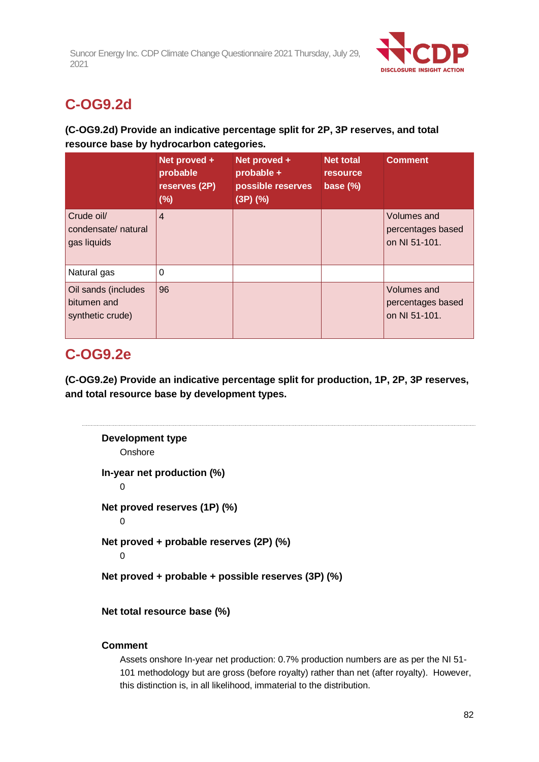

# **C-OG9.2d**

### **(C-OG9.2d) Provide an indicative percentage split for 2P, 3P reserves, and total resource base by hydrocarbon categories.**

|                                                        | Net proved +<br>probable<br>reserves (2P)<br>(%) | Net proved +<br>probable +<br>possible reserves<br>$(3P)$ $(\%)$ | <b>Net total</b><br><b>resource</b><br>base (%) | <b>Comment</b>                                    |
|--------------------------------------------------------|--------------------------------------------------|------------------------------------------------------------------|-------------------------------------------------|---------------------------------------------------|
| Crude oil/<br>condensate/natural<br>gas liquids        | $\overline{4}$                                   |                                                                  |                                                 | Volumes and<br>percentages based<br>on NI 51-101. |
| Natural gas                                            | 0                                                |                                                                  |                                                 |                                                   |
| Oil sands (includes<br>bitumen and<br>synthetic crude) | 96                                               |                                                                  |                                                 | Volumes and<br>percentages based<br>on NI 51-101. |

# **C-OG9.2e**

**(C-OG9.2e) Provide an indicative percentage split for production, 1P, 2P, 3P reserves, and total resource base by development types.**

```
Development type
    Onshore
In-year net production (%)
    \OmegaNet proved reserves (1P) (%)
    \OmegaNet proved + probable reserves (2P) (%)
    0
Net proved + probable + possible reserves (3P) (%)
```
**Net total resource base (%)**

### **Comment**

Assets onshore In-year net production: 0.7% production numbers are as per the NI 51- 101 methodology but are gross (before royalty) rather than net (after royalty). However, this distinction is, in all likelihood, immaterial to the distribution.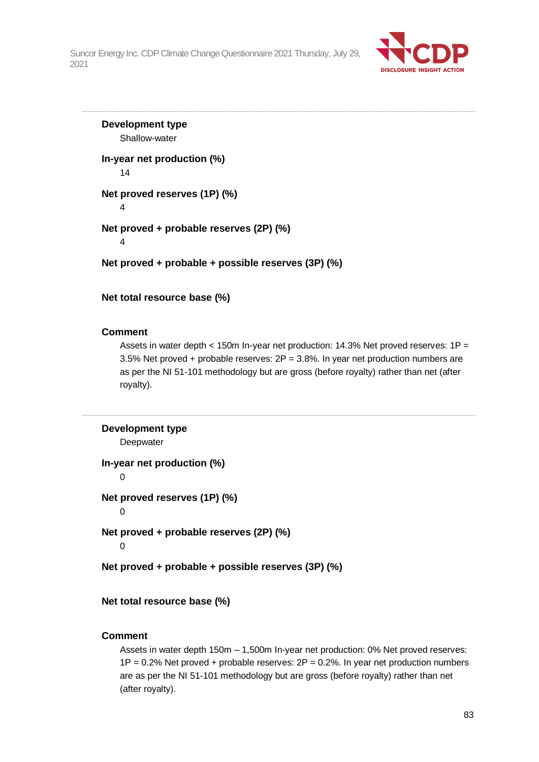

**Development type** Shallow-water **In-year net production (%)** 14 **Net proved reserves (1P) (%)** 4 **Net proved + probable reserves (2P) (%)** 4 **Net proved + probable + possible reserves (3P) (%)**

**Net total resource base (%)**

#### **Comment**

Assets in water depth  $<$  150m In-year net production: 14.3% Net proved reserves: 1P = 3.5% Net proved + probable reserves:  $2P = 3.8$ %. In year net production numbers are as per the NI 51-101 methodology but are gross (before royalty) rather than net (after royalty).

```
Development type
    Deepwater
In-year net production (%)
    0
Net proved reserves (1P) (%)
    \OmegaNet proved + probable reserves (2P) (%)
    0
Net proved + probable + possible reserves (3P) (%)
```
**Net total resource base (%)**

#### **Comment**

Assets in water depth 150m – 1,500m In-year net production: 0% Net proved reserves:  $1P = 0.2\%$  Net proved + probable reserves:  $2P = 0.2\%$ . In year net production numbers are as per the NI 51-101 methodology but are gross (before royalty) rather than net (after royalty).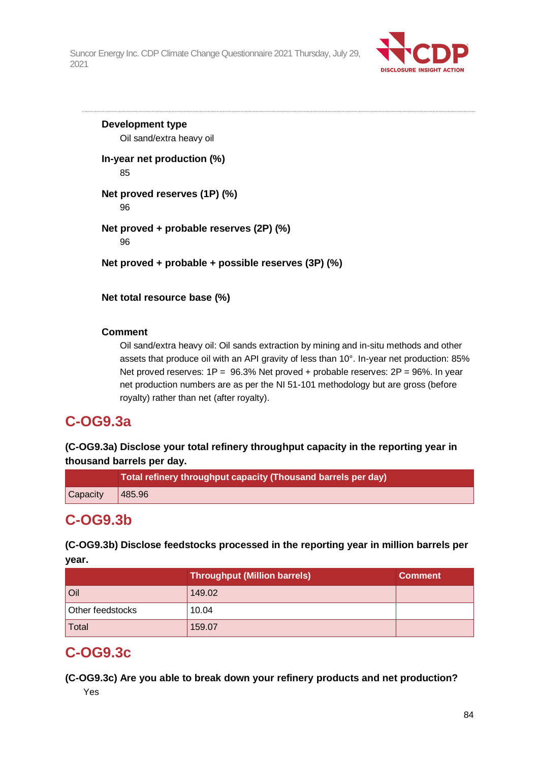

**Development type** Oil sand/extra heavy oil **In-year net production (%)** 85 **Net proved reserves (1P) (%)** 96 **Net proved + probable reserves (2P) (%)** 96 **Net proved + probable + possible reserves (3P) (%)**

**Net total resource base (%)**

### **Comment**

Oil sand/extra heavy oil: Oil sands extraction by mining and in-situ methods and other assets that produce oil with an API gravity of less than 10°. In-year net production: 85% Net proved reserves:  $1P = 96.3\%$  Net proved + probable reserves:  $2P = 96\%$ . In year net production numbers are as per the NI 51-101 methodology but are gross (before royalty) rather than net (after royalty).

### **C-OG9.3a**

**(C-OG9.3a) Disclose your total refinery throughput capacity in the reporting year in thousand barrels per day.**

|                                 | Total refinery throughput capacity (Thousand barrels per day) |
|---------------------------------|---------------------------------------------------------------|
| $\vert$ Capacity $\vert$ 485.96 |                                                               |

# **C-OG9.3b**

**(C-OG9.3b) Disclose feedstocks processed in the reporting year in million barrels per year.**

|                  | <b>Throughput (Million barrels)</b> | <b>Comment</b> |
|------------------|-------------------------------------|----------------|
| Oil              | 149.02                              |                |
| Other feedstocks | 10.04                               |                |
| Total            | 159.07                              |                |

### **C-OG9.3c**

**(C-OG9.3c) Are you able to break down your refinery products and net production?** Yes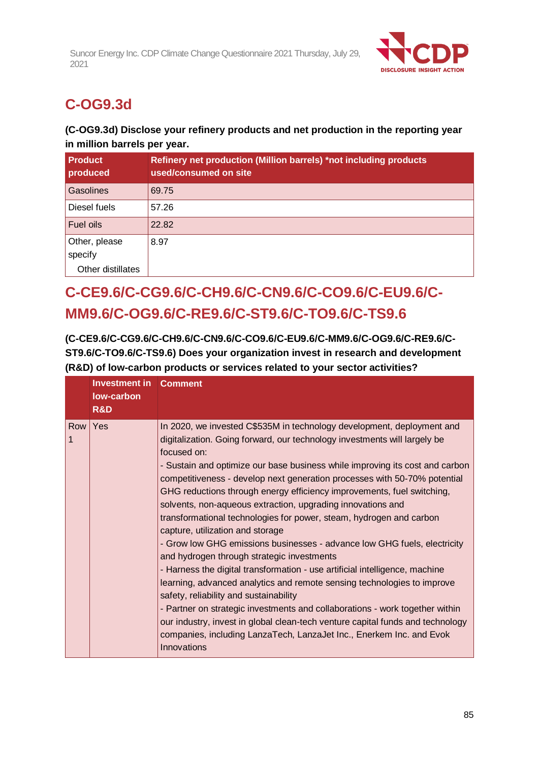

# **C-OG9.3d**

### **(C-OG9.3d) Disclose your refinery products and net production in the reporting year in million barrels per year.**

| <b>Product</b><br>produced | Refinery net production (Million barrels) *not including products<br>used/consumed on site |
|----------------------------|--------------------------------------------------------------------------------------------|
| Gasolines                  | 69.75                                                                                      |
| Diesel fuels               | 57.26                                                                                      |
| Fuel oils                  | 22.82                                                                                      |
| Other, please<br>specify   | 8.97                                                                                       |
| Other distillates          |                                                                                            |

# **C-CE9.6/C-CG9.6/C-CH9.6/C-CN9.6/C-CO9.6/C-EU9.6/C-MM9.6/C-OG9.6/C-RE9.6/C-ST9.6/C-TO9.6/C-TS9.6**

**(C-CE9.6/C-CG9.6/C-CH9.6/C-CN9.6/C-CO9.6/C-EU9.6/C-MM9.6/C-OG9.6/C-RE9.6/C-ST9.6/C-TO9.6/C-TS9.6) Does your organization invest in research and development (R&D) of low-carbon products or services related to your sector activities?**

|            | <b>Investment in Comment</b><br>low-carbon<br>R&D |                                                                                                                                                                                                                                                                                                                                                                                                                                                                                                                                                                                                                                                                                                                                                                                                                                                                                                                                                                                                                                                                                                                                                                            |
|------------|---------------------------------------------------|----------------------------------------------------------------------------------------------------------------------------------------------------------------------------------------------------------------------------------------------------------------------------------------------------------------------------------------------------------------------------------------------------------------------------------------------------------------------------------------------------------------------------------------------------------------------------------------------------------------------------------------------------------------------------------------------------------------------------------------------------------------------------------------------------------------------------------------------------------------------------------------------------------------------------------------------------------------------------------------------------------------------------------------------------------------------------------------------------------------------------------------------------------------------------|
| Row  <br>1 | Yes                                               | In 2020, we invested C\$535M in technology development, deployment and<br>digitalization. Going forward, our technology investments will largely be<br>focused on:<br>- Sustain and optimize our base business while improving its cost and carbon<br>competitiveness - develop next generation processes with 50-70% potential<br>GHG reductions through energy efficiency improvements, fuel switching,<br>solvents, non-aqueous extraction, upgrading innovations and<br>transformational technologies for power, steam, hydrogen and carbon<br>capture, utilization and storage<br>- Grow low GHG emissions businesses - advance low GHG fuels, electricity<br>and hydrogen through strategic investments<br>- Harness the digital transformation - use artificial intelligence, machine<br>learning, advanced analytics and remote sensing technologies to improve<br>safety, reliability and sustainability<br>- Partner on strategic investments and collaborations - work together within<br>our industry, invest in global clean-tech venture capital funds and technology<br>companies, including LanzaTech, LanzaJet Inc., Enerkem Inc. and Evok<br>Innovations |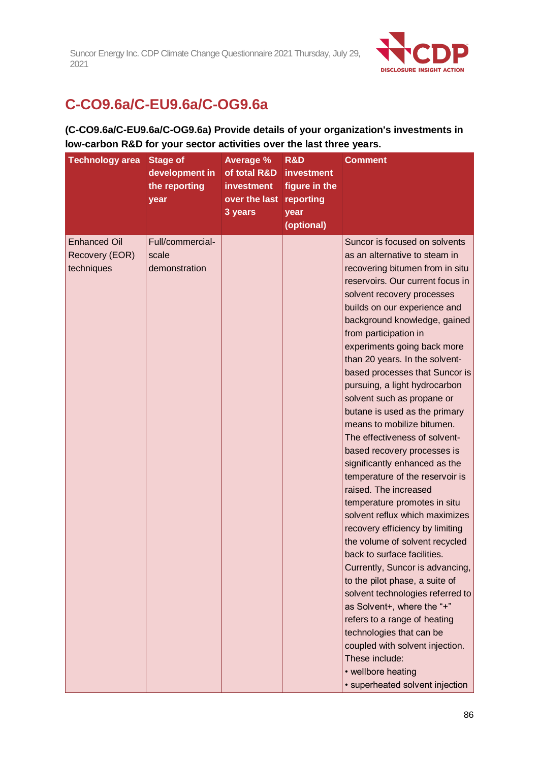

# **C-CO9.6a/C-EU9.6a/C-OG9.6a**

### **(C-CO9.6a/C-EU9.6a/C-OG9.6a) Provide details of your organization's investments in low-carbon R&D for your sector activities over the last three years.**

| <b>Technology area</b>                              | <b>Stage of</b><br>development in<br>the reporting<br>year | <b>Average %</b><br>of total R&D<br><b>investment</b><br>over the last reporting<br>3 years | R&D<br><i>investment</i><br>figure in the<br>year<br>(optional) | <b>Comment</b>                                                                                                                                                                                                                                                                                                                                                                                                                                                                                                                                                                                                                                                                                                                                                                                                                                                                                                                                                                                                                                                                                                                                    |
|-----------------------------------------------------|------------------------------------------------------------|---------------------------------------------------------------------------------------------|-----------------------------------------------------------------|---------------------------------------------------------------------------------------------------------------------------------------------------------------------------------------------------------------------------------------------------------------------------------------------------------------------------------------------------------------------------------------------------------------------------------------------------------------------------------------------------------------------------------------------------------------------------------------------------------------------------------------------------------------------------------------------------------------------------------------------------------------------------------------------------------------------------------------------------------------------------------------------------------------------------------------------------------------------------------------------------------------------------------------------------------------------------------------------------------------------------------------------------|
| <b>Enhanced Oil</b><br>Recovery (EOR)<br>techniques | Full/commercial-<br>scale<br>demonstration                 |                                                                                             |                                                                 | Suncor is focused on solvents<br>as an alternative to steam in<br>recovering bitumen from in situ<br>reservoirs. Our current focus in<br>solvent recovery processes<br>builds on our experience and<br>background knowledge, gained<br>from participation in<br>experiments going back more<br>than 20 years. In the solvent-<br>based processes that Suncor is<br>pursuing, a light hydrocarbon<br>solvent such as propane or<br>butane is used as the primary<br>means to mobilize bitumen.<br>The effectiveness of solvent-<br>based recovery processes is<br>significantly enhanced as the<br>temperature of the reservoir is<br>raised. The increased<br>temperature promotes in situ<br>solvent reflux which maximizes<br>recovery efficiency by limiting<br>the volume of solvent recycled<br>back to surface facilities.<br>Currently, Suncor is advancing,<br>to the pilot phase, a suite of<br>solvent technologies referred to<br>as Solvent+, where the "+"<br>refers to a range of heating<br>technologies that can be<br>coupled with solvent injection.<br>These include:<br>• wellbore heating<br>· superheated solvent injection |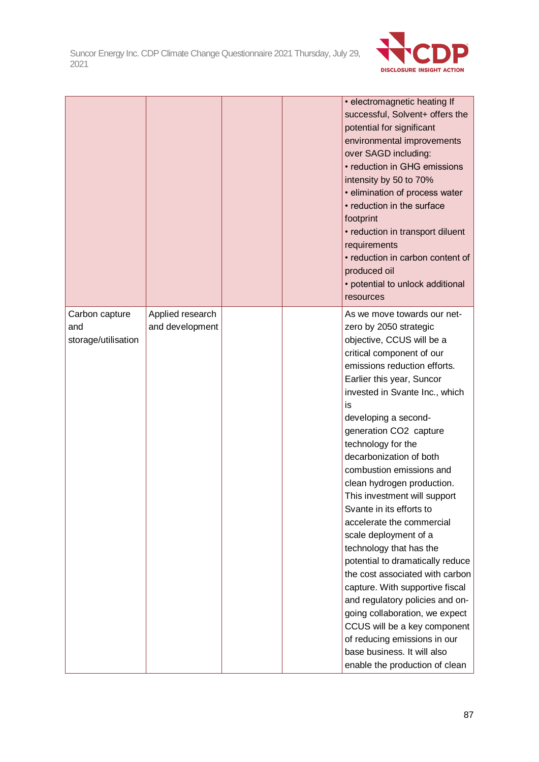

|                                              |                                     |  | • electromagnetic heating If<br>successful, Solvent+ offers the<br>potential for significant<br>environmental improvements<br>over SAGD including:<br>• reduction in GHG emissions<br>intensity by 50 to 70%<br>• elimination of process water<br>• reduction in the surface<br>footprint<br>• reduction in transport diluent<br>requirements<br>• reduction in carbon content of<br>produced oil<br>• potential to unlock additional<br>resources                                                                                                                                                                                                                                                                                                                                                                                             |
|----------------------------------------------|-------------------------------------|--|------------------------------------------------------------------------------------------------------------------------------------------------------------------------------------------------------------------------------------------------------------------------------------------------------------------------------------------------------------------------------------------------------------------------------------------------------------------------------------------------------------------------------------------------------------------------------------------------------------------------------------------------------------------------------------------------------------------------------------------------------------------------------------------------------------------------------------------------|
| Carbon capture<br>and<br>storage/utilisation | Applied research<br>and development |  | As we move towards our net-<br>zero by 2050 strategic<br>objective, CCUS will be a<br>critical component of our<br>emissions reduction efforts.<br>Earlier this year, Suncor<br>invested in Svante Inc., which<br>is<br>developing a second-<br>generation CO2 capture<br>technology for the<br>decarbonization of both<br>combustion emissions and<br>clean hydrogen production.<br>This investment will support<br>Svante in its efforts to<br>accelerate the commercial<br>scale deployment of a<br>technology that has the<br>potential to dramatically reduce<br>the cost associated with carbon<br>capture. With supportive fiscal<br>and regulatory policies and on-<br>going collaboration, we expect<br>CCUS will be a key component<br>of reducing emissions in our<br>base business. It will also<br>enable the production of clean |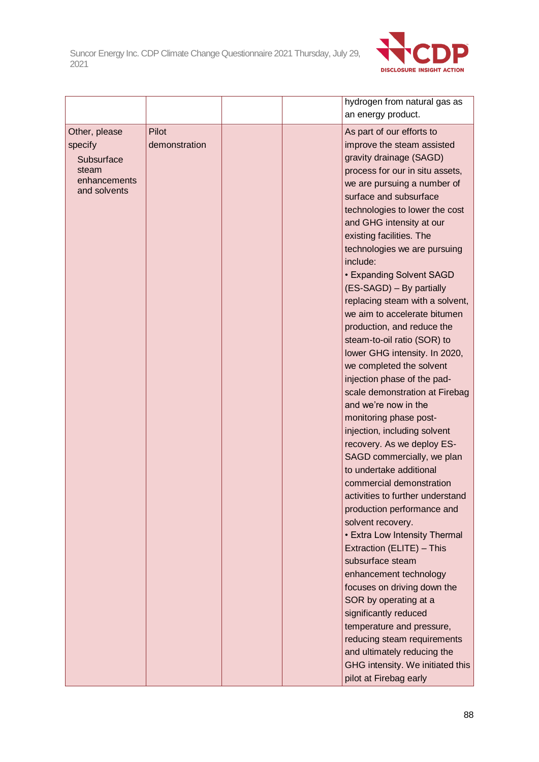

|                                        |                        |  | hydrogen from natural gas as<br>an energy product.                                         |
|----------------------------------------|------------------------|--|--------------------------------------------------------------------------------------------|
| Other, please<br>specify<br>Subsurface | Pilot<br>demonstration |  | As part of our efforts to<br>improve the steam assisted<br>gravity drainage (SAGD)         |
| steam<br>enhancements<br>and solvents  |                        |  | process for our in situ assets,<br>we are pursuing a number of<br>surface and subsurface   |
|                                        |                        |  | technologies to lower the cost<br>and GHG intensity at our<br>existing facilities. The     |
|                                        |                        |  | technologies we are pursuing<br>include:                                                   |
|                                        |                        |  | • Expanding Solvent SAGD<br>(ES-SAGD) - By partially                                       |
|                                        |                        |  | replacing steam with a solvent,<br>we aim to accelerate bitumen                            |
|                                        |                        |  | production, and reduce the<br>steam-to-oil ratio (SOR) to<br>lower GHG intensity. In 2020, |
|                                        |                        |  | we completed the solvent<br>injection phase of the pad-                                    |
|                                        |                        |  | scale demonstration at Firebag<br>and we're now in the                                     |
|                                        |                        |  | monitoring phase post-<br>injection, including solvent                                     |
|                                        |                        |  | recovery. As we deploy ES-<br>SAGD commercially, we plan                                   |
|                                        |                        |  | to undertake additional<br>commercial demonstration<br>activities to further understand    |
|                                        |                        |  | production performance and<br>solvent recovery.                                            |
|                                        |                        |  | • Extra Low Intensity Thermal<br>Extraction (ELITE) - This                                 |
|                                        |                        |  | subsurface steam<br>enhancement technology                                                 |
|                                        |                        |  | focuses on driving down the<br>SOR by operating at a                                       |
|                                        |                        |  | significantly reduced<br>temperature and pressure,<br>reducing steam requirements          |
|                                        |                        |  | and ultimately reducing the<br>GHG intensity. We initiated this                            |
|                                        |                        |  | pilot at Firebag early                                                                     |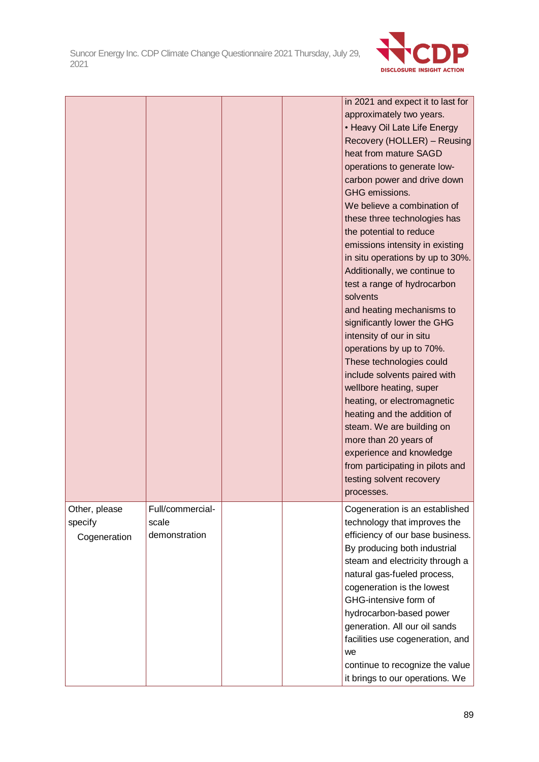

|               |                  |  | in 2021 and expect it to last for |
|---------------|------------------|--|-----------------------------------|
|               |                  |  | approximately two years.          |
|               |                  |  | • Heavy Oil Late Life Energy      |
|               |                  |  | Recovery (HOLLER) - Reusing       |
|               |                  |  | heat from mature SAGD             |
|               |                  |  | operations to generate low-       |
|               |                  |  | carbon power and drive down       |
|               |                  |  | GHG emissions.                    |
|               |                  |  | We believe a combination of       |
|               |                  |  | these three technologies has      |
|               |                  |  | the potential to reduce           |
|               |                  |  | emissions intensity in existing   |
|               |                  |  | in situ operations by up to 30%.  |
|               |                  |  | Additionally, we continue to      |
|               |                  |  | test a range of hydrocarbon       |
|               |                  |  | solvents                          |
|               |                  |  | and heating mechanisms to         |
|               |                  |  | significantly lower the GHG       |
|               |                  |  | intensity of our in situ          |
|               |                  |  | operations by up to 70%.          |
|               |                  |  | These technologies could          |
|               |                  |  | include solvents paired with      |
|               |                  |  | wellbore heating, super           |
|               |                  |  | heating, or electromagnetic       |
|               |                  |  | heating and the addition of       |
|               |                  |  | steam. We are building on         |
|               |                  |  | more than 20 years of             |
|               |                  |  | experience and knowledge          |
|               |                  |  | from participating in pilots and  |
|               |                  |  | testing solvent recovery          |
|               |                  |  | processes.                        |
| Other, please | Full/commercial- |  | Cogeneration is an established    |
| specify       | scale            |  | technology that improves the      |
| Cogeneration  | demonstration    |  | efficiency of our base business.  |
|               |                  |  | By producing both industrial      |
|               |                  |  | steam and electricity through a   |
|               |                  |  | natural gas-fueled process,       |
|               |                  |  | cogeneration is the lowest        |
|               |                  |  | GHG-intensive form of             |
|               |                  |  | hydrocarbon-based power           |
|               |                  |  | generation. All our oil sands     |
|               |                  |  | facilities use cogeneration, and  |
|               |                  |  | we                                |
|               |                  |  | continue to recognize the value   |
|               |                  |  | it brings to our operations. We   |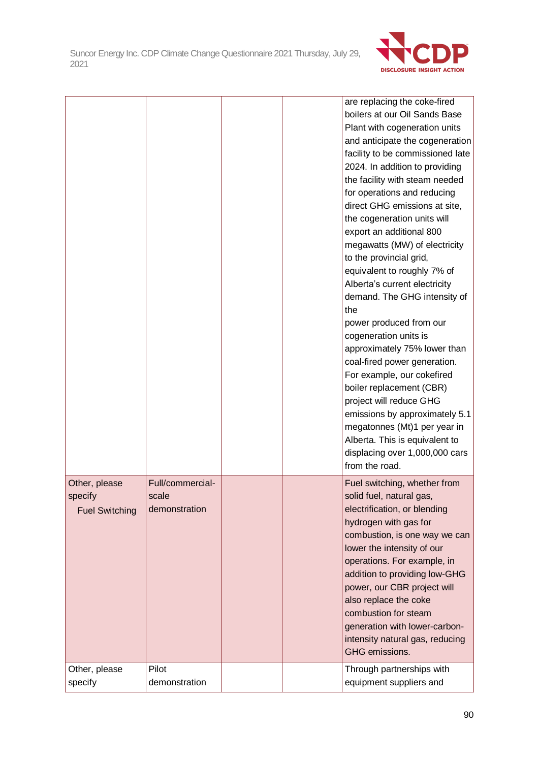

|                       |                  |  | are replacing the coke-fired<br>boilers at our Oil Sands Base<br>Plant with cogeneration units |
|-----------------------|------------------|--|------------------------------------------------------------------------------------------------|
|                       |                  |  | and anticipate the cogeneration                                                                |
|                       |                  |  | facility to be commissioned late                                                               |
|                       |                  |  | 2024. In addition to providing                                                                 |
|                       |                  |  | the facility with steam needed                                                                 |
|                       |                  |  | for operations and reducing                                                                    |
|                       |                  |  | direct GHG emissions at site,                                                                  |
|                       |                  |  | the cogeneration units will<br>export an additional 800                                        |
|                       |                  |  | megawatts (MW) of electricity                                                                  |
|                       |                  |  | to the provincial grid,                                                                        |
|                       |                  |  | equivalent to roughly 7% of                                                                    |
|                       |                  |  | Alberta's current electricity                                                                  |
|                       |                  |  | demand. The GHG intensity of<br>the                                                            |
|                       |                  |  | power produced from our                                                                        |
|                       |                  |  | cogeneration units is                                                                          |
|                       |                  |  | approximately 75% lower than                                                                   |
|                       |                  |  | coal-fired power generation.                                                                   |
|                       |                  |  | For example, our cokefired                                                                     |
|                       |                  |  | boiler replacement (CBR)                                                                       |
|                       |                  |  | project will reduce GHG                                                                        |
|                       |                  |  | emissions by approximately 5.1                                                                 |
|                       |                  |  | megatonnes (Mt)1 per year in                                                                   |
|                       |                  |  | Alberta. This is equivalent to                                                                 |
|                       |                  |  | displacing over 1,000,000 cars<br>from the road.                                               |
|                       |                  |  |                                                                                                |
| Other, please         | Full/commercial- |  | Fuel switching, whether from                                                                   |
| specify               | scale            |  | solid fuel, natural gas,                                                                       |
| <b>Fuel Switching</b> | demonstration    |  | electrification, or blending<br>hydrogen with gas for                                          |
|                       |                  |  | combustion, is one way we can                                                                  |
|                       |                  |  | lower the intensity of our                                                                     |
|                       |                  |  | operations. For example, in                                                                    |
|                       |                  |  | addition to providing low-GHG                                                                  |
|                       |                  |  | power, our CBR project will                                                                    |
|                       |                  |  | also replace the coke                                                                          |
|                       |                  |  | combustion for steam                                                                           |
|                       |                  |  | generation with lower-carbon-                                                                  |
|                       |                  |  | intensity natural gas, reducing                                                                |
|                       |                  |  | GHG emissions.                                                                                 |
| Other, please         | Pilot            |  | Through partnerships with                                                                      |
| specify               | demonstration    |  | equipment suppliers and                                                                        |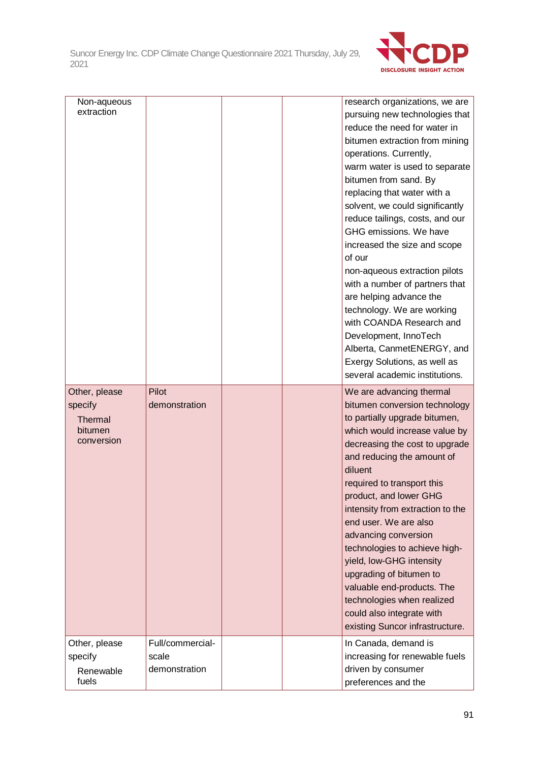

| Non-aqueous<br>extraction                                    |                                            |  | research organizations, we are<br>pursuing new technologies that<br>reduce the need for water in<br>bitumen extraction from mining<br>operations. Currently,<br>warm water is used to separate<br>bitumen from sand. By<br>replacing that water with a<br>solvent, we could significantly<br>reduce tailings, costs, and our<br>GHG emissions. We have<br>increased the size and scope<br>of our<br>non-aqueous extraction pilots<br>with a number of partners that<br>are helping advance the<br>technology. We are working<br>with COANDA Research and<br>Development, InnoTech<br>Alberta, CanmetENERGY, and<br>Exergy Solutions, as well as<br>several academic institutions. |
|--------------------------------------------------------------|--------------------------------------------|--|-----------------------------------------------------------------------------------------------------------------------------------------------------------------------------------------------------------------------------------------------------------------------------------------------------------------------------------------------------------------------------------------------------------------------------------------------------------------------------------------------------------------------------------------------------------------------------------------------------------------------------------------------------------------------------------|
| Other, please<br>specify<br>Thermal<br>bitumen<br>conversion | Pilot<br>demonstration                     |  | We are advancing thermal<br>bitumen conversion technology<br>to partially upgrade bitumen,<br>which would increase value by<br>decreasing the cost to upgrade<br>and reducing the amount of<br>diluent<br>required to transport this<br>product, and lower GHG<br>intensity from extraction to the<br>end user. We are also<br>advancing conversion<br>technologies to achieve high-<br>yield, low-GHG intensity<br>upgrading of bitumen to<br>valuable end-products. The<br>technologies when realized<br>could also integrate with<br>existing Suncor infrastructure.                                                                                                           |
| Other, please<br>specify<br>Renewable<br>fuels               | Full/commercial-<br>scale<br>demonstration |  | In Canada, demand is<br>increasing for renewable fuels<br>driven by consumer<br>preferences and the                                                                                                                                                                                                                                                                                                                                                                                                                                                                                                                                                                               |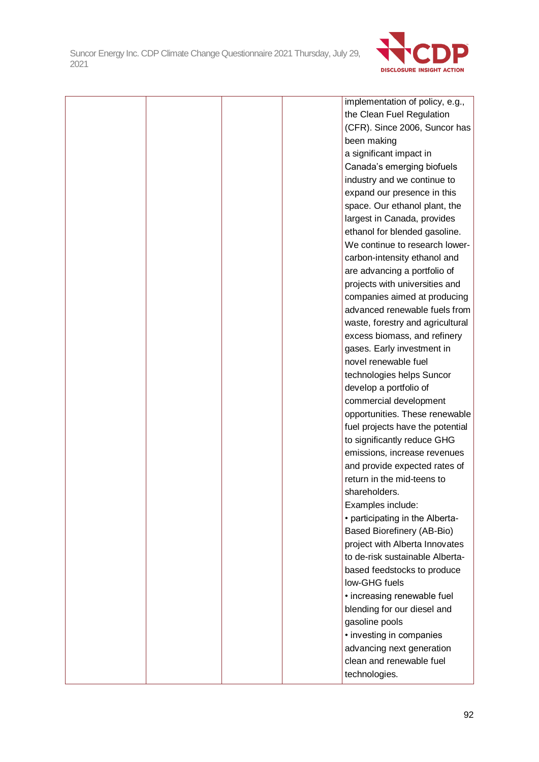

|  |  | implementation of policy, e.g.,  |
|--|--|----------------------------------|
|  |  | the Clean Fuel Regulation        |
|  |  | (CFR). Since 2006, Suncor has    |
|  |  | been making                      |
|  |  | a significant impact in          |
|  |  | Canada's emerging biofuels       |
|  |  | industry and we continue to      |
|  |  | expand our presence in this      |
|  |  | space. Our ethanol plant, the    |
|  |  | largest in Canada, provides      |
|  |  | ethanol for blended gasoline.    |
|  |  | We continue to research lower-   |
|  |  | carbon-intensity ethanol and     |
|  |  | are advancing a portfolio of     |
|  |  | projects with universities and   |
|  |  | companies aimed at producing     |
|  |  | advanced renewable fuels from    |
|  |  | waste, forestry and agricultural |
|  |  | excess biomass, and refinery     |
|  |  | gases. Early investment in       |
|  |  | novel renewable fuel             |
|  |  | technologies helps Suncor        |
|  |  | develop a portfolio of           |
|  |  | commercial development           |
|  |  | opportunities. These renewable   |
|  |  | fuel projects have the potential |
|  |  | to significantly reduce GHG      |
|  |  | emissions, increase revenues     |
|  |  | and provide expected rates of    |
|  |  | return in the mid-teens to       |
|  |  | shareholders.                    |
|  |  | Examples include:                |
|  |  | • participating in the Alberta-  |
|  |  | Based Biorefinery (AB-Bio)       |
|  |  | project with Alberta Innovates   |
|  |  | to de-risk sustainable Alberta-  |
|  |  | based feedstocks to produce      |
|  |  | low-GHG fuels                    |
|  |  | • increasing renewable fuel      |
|  |  | blending for our diesel and      |
|  |  | gasoline pools                   |
|  |  | • investing in companies         |
|  |  | advancing next generation        |
|  |  | clean and renewable fuel         |
|  |  | technologies.                    |
|  |  |                                  |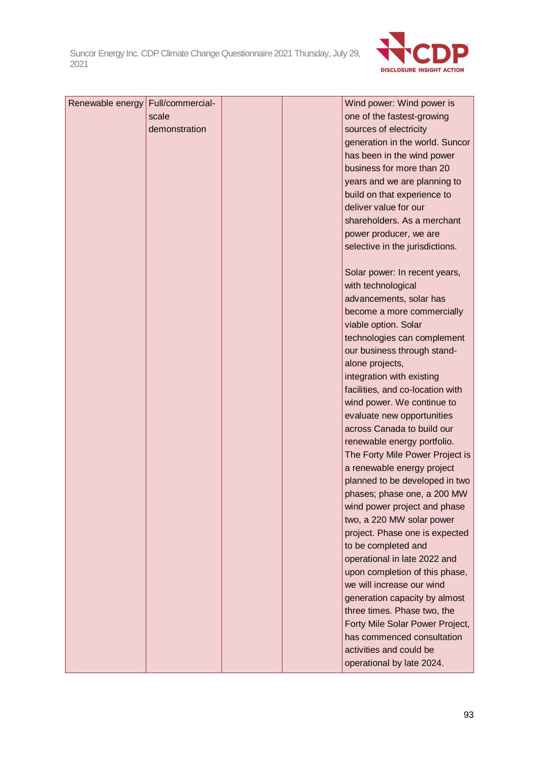

| Renewable energy Full/commercial- |               |  | Wind power: Wind power is        |
|-----------------------------------|---------------|--|----------------------------------|
|                                   | scale         |  | one of the fastest-growing       |
|                                   | demonstration |  | sources of electricity           |
|                                   |               |  | generation in the world. Suncor  |
|                                   |               |  | has been in the wind power       |
|                                   |               |  | business for more than 20        |
|                                   |               |  | years and we are planning to     |
|                                   |               |  | build on that experience to      |
|                                   |               |  | deliver value for our            |
|                                   |               |  | shareholders. As a merchant      |
|                                   |               |  | power producer, we are           |
|                                   |               |  | selective in the jurisdictions.  |
|                                   |               |  |                                  |
|                                   |               |  | Solar power: In recent years,    |
|                                   |               |  | with technological               |
|                                   |               |  | advancements, solar has          |
|                                   |               |  | become a more commercially       |
|                                   |               |  | viable option. Solar             |
|                                   |               |  | technologies can complement      |
|                                   |               |  | our business through stand-      |
|                                   |               |  | alone projects,                  |
|                                   |               |  | integration with existing        |
|                                   |               |  | facilities, and co-location with |
|                                   |               |  | wind power. We continue to       |
|                                   |               |  | evaluate new opportunities       |
|                                   |               |  | across Canada to build our       |
|                                   |               |  | renewable energy portfolio.      |
|                                   |               |  | The Forty Mile Power Project is  |
|                                   |               |  | a renewable energy project       |
|                                   |               |  | planned to be developed in two   |
|                                   |               |  | phases; phase one, a 200 MW      |
|                                   |               |  | wind power project and phase     |
|                                   |               |  | two, a 220 MW solar power        |
|                                   |               |  | project. Phase one is expected   |
|                                   |               |  | to be completed and              |
|                                   |               |  | operational in late 2022 and     |
|                                   |               |  | upon completion of this phase,   |
|                                   |               |  | we will increase our wind        |
|                                   |               |  | generation capacity by almost    |
|                                   |               |  | three times. Phase two, the      |
|                                   |               |  | Forty Mile Solar Power Project,  |
|                                   |               |  | has commenced consultation       |
|                                   |               |  | activities and could be          |
|                                   |               |  | operational by late 2024.        |
|                                   |               |  |                                  |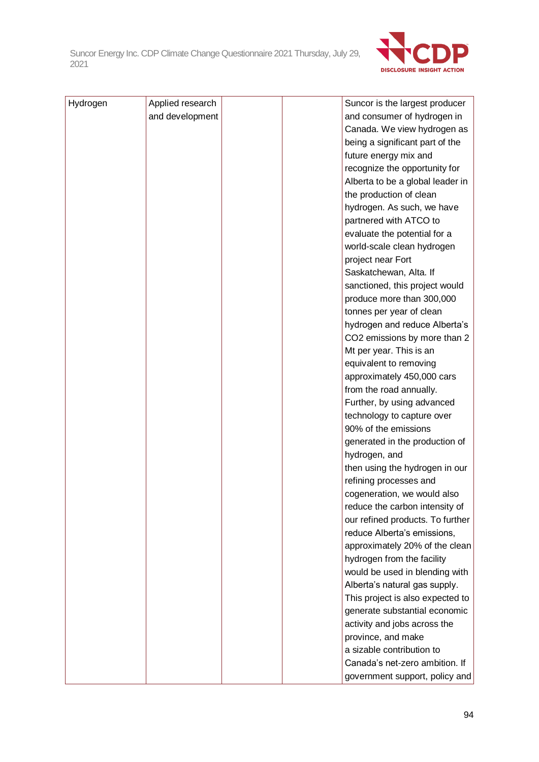

| Hydrogen | Applied research |  | Suncor is the largest producer   |
|----------|------------------|--|----------------------------------|
|          | and development  |  | and consumer of hydrogen in      |
|          |                  |  | Canada. We view hydrogen as      |
|          |                  |  | being a significant part of the  |
|          |                  |  | future energy mix and            |
|          |                  |  | recognize the opportunity for    |
|          |                  |  | Alberta to be a global leader in |
|          |                  |  | the production of clean          |
|          |                  |  | hydrogen. As such, we have       |
|          |                  |  | partnered with ATCO to           |
|          |                  |  | evaluate the potential for a     |
|          |                  |  | world-scale clean hydrogen       |
|          |                  |  | project near Fort                |
|          |                  |  | Saskatchewan, Alta. If           |
|          |                  |  | sanctioned, this project would   |
|          |                  |  | produce more than 300,000        |
|          |                  |  | tonnes per year of clean         |
|          |                  |  | hydrogen and reduce Alberta's    |
|          |                  |  | CO2 emissions by more than 2     |
|          |                  |  | Mt per year. This is an          |
|          |                  |  | equivalent to removing           |
|          |                  |  | approximately 450,000 cars       |
|          |                  |  | from the road annually.          |
|          |                  |  | Further, by using advanced       |
|          |                  |  | technology to capture over       |
|          |                  |  | 90% of the emissions             |
|          |                  |  | generated in the production of   |
|          |                  |  | hydrogen, and                    |
|          |                  |  | then using the hydrogen in our   |
|          |                  |  | refining processes and           |
|          |                  |  | cogeneration, we would also      |
|          |                  |  | reduce the carbon intensity of   |
|          |                  |  | our refined products. To further |
|          |                  |  | reduce Alberta's emissions,      |
|          |                  |  | approximately 20% of the clean   |
|          |                  |  | hydrogen from the facility       |
|          |                  |  | would be used in blending with   |
|          |                  |  | Alberta's natural gas supply.    |
|          |                  |  | This project is also expected to |
|          |                  |  | generate substantial economic    |
|          |                  |  | activity and jobs across the     |
|          |                  |  | province, and make               |
|          |                  |  | a sizable contribution to        |
|          |                  |  | Canada's net-zero ambition. If   |
|          |                  |  | government support, policy and   |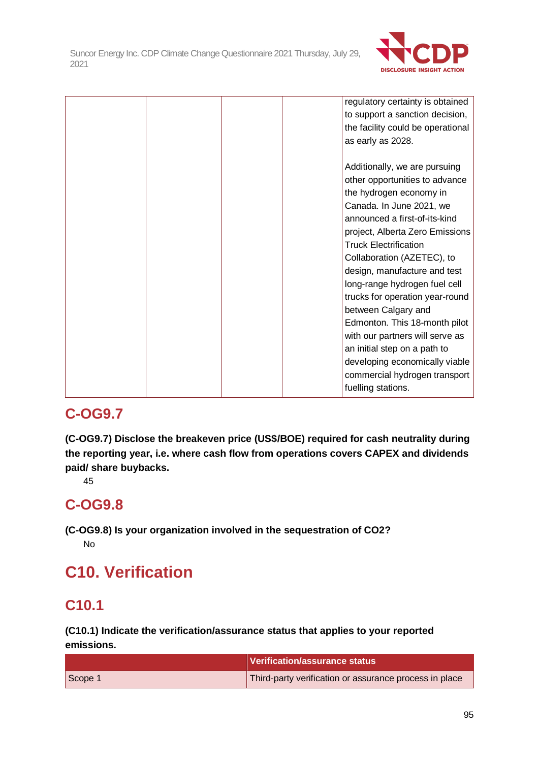

|  |  | regulatory certainty is obtained  |
|--|--|-----------------------------------|
|  |  | to support a sanction decision,   |
|  |  | the facility could be operational |
|  |  | as early as 2028.                 |
|  |  |                                   |
|  |  | Additionally, we are pursuing     |
|  |  | other opportunities to advance    |
|  |  | the hydrogen economy in           |
|  |  | Canada. In June 2021, we          |
|  |  | announced a first-of-its-kind     |
|  |  | project, Alberta Zero Emissions   |
|  |  | <b>Truck Electrification</b>      |
|  |  | Collaboration (AZETEC), to        |
|  |  | design, manufacture and test      |
|  |  | long-range hydrogen fuel cell     |
|  |  | trucks for operation year-round   |
|  |  | between Calgary and               |
|  |  | Edmonton. This 18-month pilot     |
|  |  | with our partners will serve as   |
|  |  | an initial step on a path to      |
|  |  | developing economically viable    |
|  |  | commercial hydrogen transport     |
|  |  | fuelling stations.                |

# **C-OG9.7**

**(C-OG9.7) Disclose the breakeven price (US\$/BOE) required for cash neutrality during the reporting year, i.e. where cash flow from operations covers CAPEX and dividends paid/ share buybacks.**

45

# **C-OG9.8**

**(C-OG9.8) Is your organization involved in the sequestration of CO2?** No

# **C10. Verification**

# **C10.1**

**(C10.1) Indicate the verification/assurance status that applies to your reported emissions.**

|         | <b>Verification/assurance status</b>                   |
|---------|--------------------------------------------------------|
| Scope 1 | Third-party verification or assurance process in place |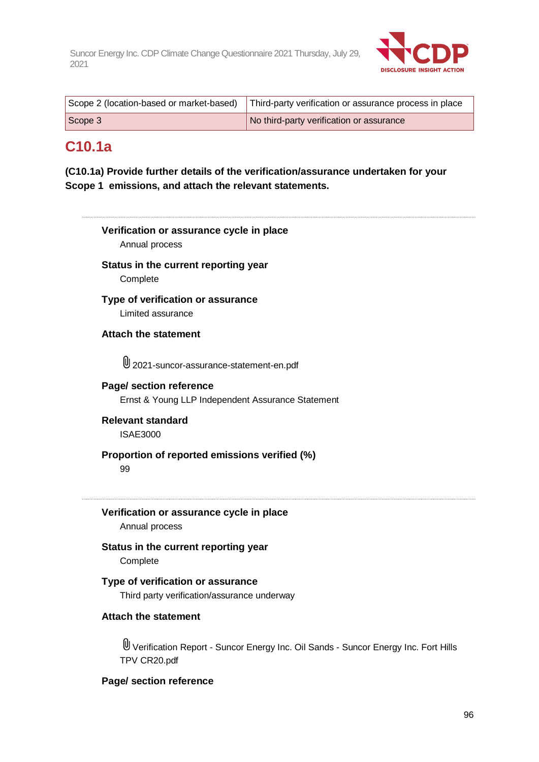

|         | Scope 2 (location-based or market-based)   Third-party verification or assurance process in place |
|---------|---------------------------------------------------------------------------------------------------|
| Scope 3 | No third-party verification or assurance                                                          |

### **C10.1a**

**(C10.1a) Provide further details of the verification/assurance undertaken for your Scope 1 emissions, and attach the relevant statements.**

# **Verification or assurance cycle in place** Annual process **Status in the current reporting year** Complete **Type of verification or assurance** Limited assurance **Attach the statement** 2021-suncor-assurance-statement-en.pdf **Page/ section reference** Ernst & Young LLP Independent Assurance Statement **Relevant standard** ISAE3000 **Proportion of reported emissions verified (%)** 99 **Verification or assurance cycle in place** Annual process **Status in the current reporting year Complete Type of verification or assurance** Third party verification/assurance underway **Attach the statement** Verification Report - Suncor Energy Inc. Oil Sands - Suncor Energy Inc. Fort Hills TPV CR20.pdf **Page/ section reference**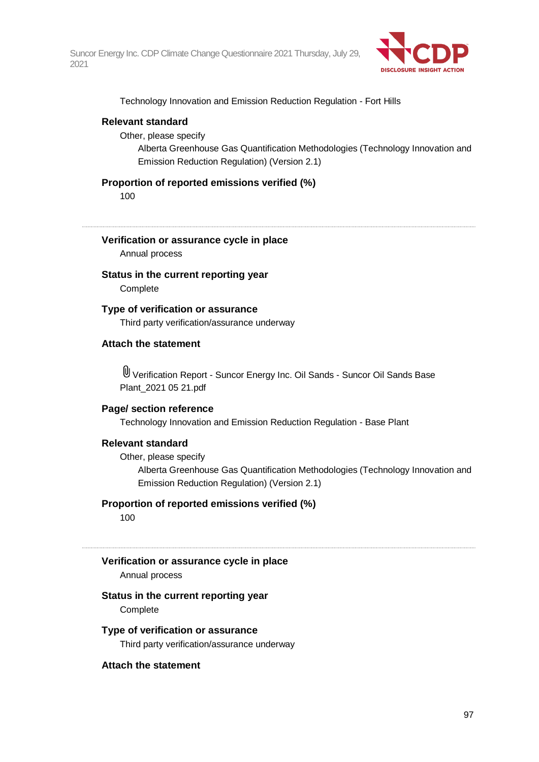

Technology Innovation and Emission Reduction Regulation - Fort Hills

#### **Relevant standard**

Other, please specify

Alberta Greenhouse Gas Quantification Methodologies (Technology Innovation and Emission Reduction Regulation) (Version 2.1)

#### **Proportion of reported emissions verified (%)**

100

#### **Verification or assurance cycle in place**

Annual process

# **Status in the current reporting year**

**Complete** 

#### **Type of verification or assurance**

Third party verification/assurance underway

#### **Attach the statement**

Verification Report - Suncor Energy Inc. Oil Sands - Suncor Oil Sands Base Plant\_2021 05 21.pdf

#### **Page/ section reference**

Technology Innovation and Emission Reduction Regulation - Base Plant

#### **Relevant standard**

Other, please specify

Alberta Greenhouse Gas Quantification Methodologies (Technology Innovation and Emission Reduction Regulation) (Version 2.1)

#### **Proportion of reported emissions verified (%)**

100

### **Verification or assurance cycle in place**

Annual process

#### **Status in the current reporting year**

**Complete** 

#### **Type of verification or assurance**

Third party verification/assurance underway

#### **Attach the statement**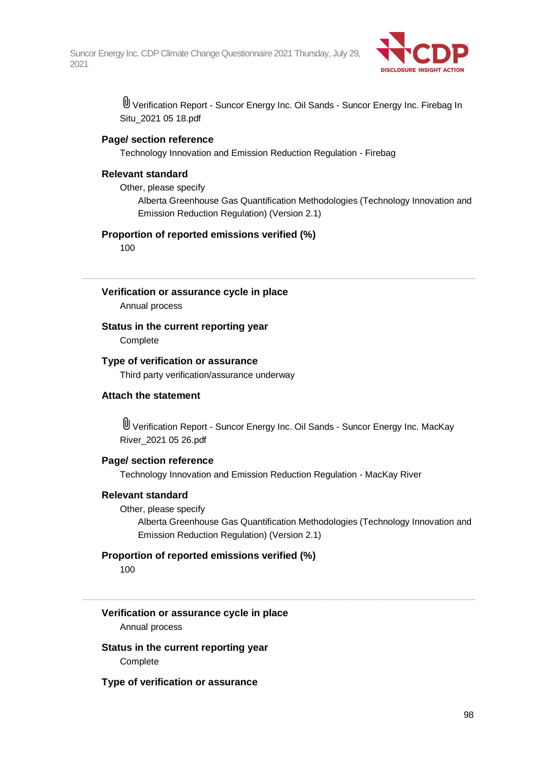

Verification Report - Suncor Energy Inc. Oil Sands - Suncor Energy Inc. Firebag In Situ\_2021 05 18.pdf

#### **Page/ section reference**

Technology Innovation and Emission Reduction Regulation - Firebag

#### **Relevant standard**

Other, please specify

Alberta Greenhouse Gas Quantification Methodologies (Technology Innovation and Emission Reduction Regulation) (Version 2.1)

#### **Proportion of reported emissions verified (%)**

100

#### **Verification or assurance cycle in place**

Annual process

#### **Status in the current reporting year**

**Complete** 

#### **Type of verification or assurance**

Third party verification/assurance underway

#### **Attach the statement**

Verification Report - Suncor Energy Inc. Oil Sands - Suncor Energy Inc. MacKay River\_2021 05 26.pdf

#### **Page/ section reference**

Technology Innovation and Emission Reduction Regulation - MacKay River

#### **Relevant standard**

#### Other, please specify

Alberta Greenhouse Gas Quantification Methodologies (Technology Innovation and Emission Reduction Regulation) (Version 2.1)

#### **Proportion of reported emissions verified (%)**

100

### **Verification or assurance cycle in place**

Annual process

**Status in the current reporting year Complete** 

#### **Type of verification or assurance**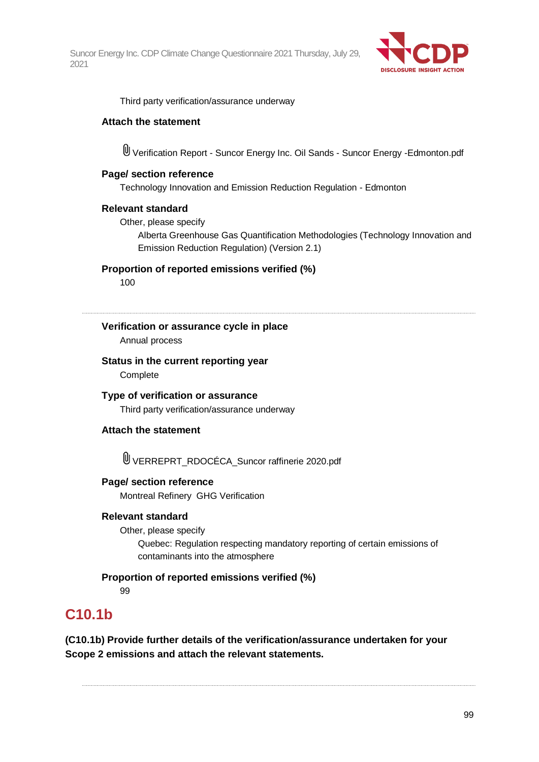

Third party verification/assurance underway

#### **Attach the statement**

Verification Report - Suncor Energy Inc. Oil Sands - Suncor Energy -Edmonton.pdf

#### **Page/ section reference**

Technology Innovation and Emission Reduction Regulation - Edmonton

#### **Relevant standard**

Other, please specify

Alberta Greenhouse Gas Quantification Methodologies (Technology Innovation and Emission Reduction Regulation) (Version 2.1)

**Proportion of reported emissions verified (%)**

100

### **Verification or assurance cycle in place**

Annual process

### **Status in the current reporting year**

**Complete** 

**Type of verification or assurance** Third party verification/assurance underway

#### **Attach the statement**

VERREPRT\_RDOCÉCA\_Suncor raffinerie 2020.pdf

#### **Page/ section reference**

Montreal Refinery GHG Verification

#### **Relevant standard**

Other, please specify

Quebec: Regulation respecting mandatory reporting of certain emissions of contaminants into the atmosphere

#### **Proportion of reported emissions verified (%)**

99

# **C10.1b**

**(C10.1b) Provide further details of the verification/assurance undertaken for your Scope 2 emissions and attach the relevant statements.**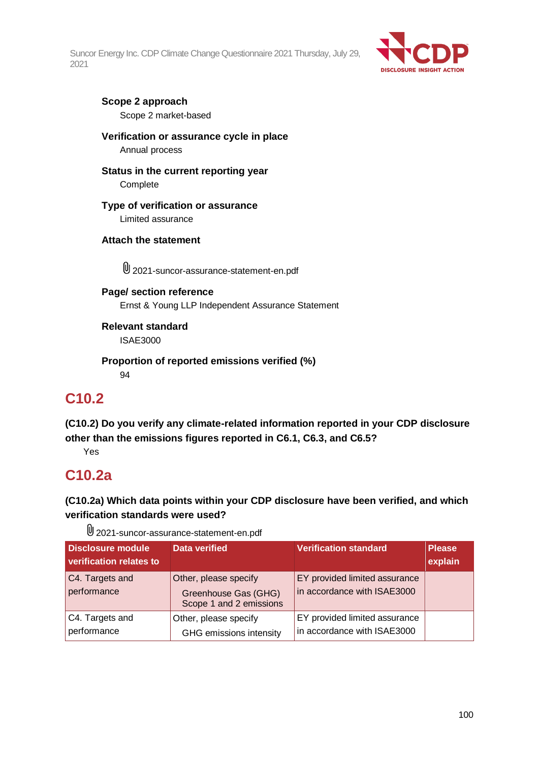

#### **Scope 2 approach** Scope 2 market-based

**Verification or assurance cycle in place** Annual process

**Status in the current reporting year Complete** 

**Type of verification or assurance** Limited assurance

### **Attach the statement**

2021-suncor-assurance-statement-en.pdf

**Page/ section reference** Ernst & Young LLP Independent Assurance Statement

**Relevant standard** ISAE3000

**Proportion of reported emissions verified (%)** 94

# **C10.2**

**(C10.2) Do you verify any climate-related information reported in your CDP disclosure other than the emissions figures reported in C6.1, C6.3, and C6.5?**

Yes

# **C10.2a**

**(C10.2a) Which data points within your CDP disclosure have been verified, and which verification standards were used?**

2021-suncor-assurance-statement-en.pdf

| <b>Disclosure module</b><br>verification relates to | <b>Data verified</b>                                                     | <b>Verification standard</b>                                 | <b>Please</b><br>explain |
|-----------------------------------------------------|--------------------------------------------------------------------------|--------------------------------------------------------------|--------------------------|
| C4. Targets and<br>performance                      | Other, please specify<br>Greenhouse Gas (GHG)<br>Scope 1 and 2 emissions | EY provided limited assurance<br>in accordance with ISAE3000 |                          |
| C4. Targets and<br>performance                      | Other, please specify<br>GHG emissions intensity                         | EY provided limited assurance<br>in accordance with ISAE3000 |                          |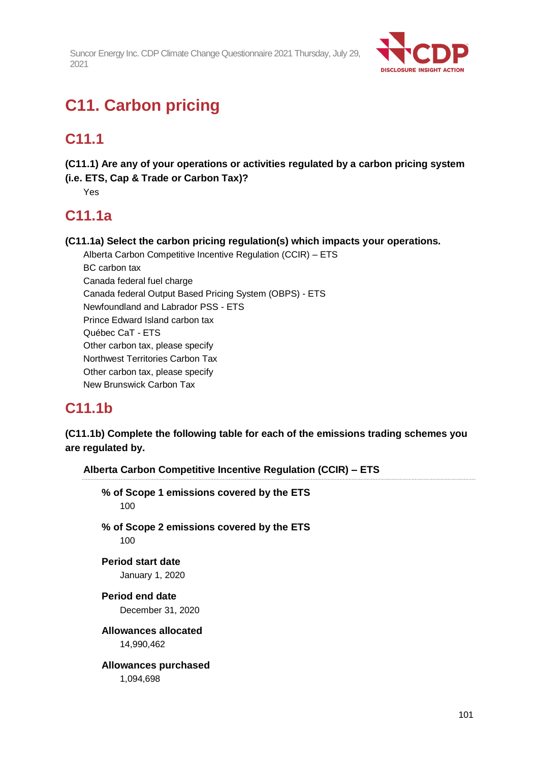

# **C11. Carbon pricing**

# **C11.1**

**(C11.1) Are any of your operations or activities regulated by a carbon pricing system (i.e. ETS, Cap & Trade or Carbon Tax)?**

Yes

# **C11.1a**

**(C11.1a) Select the carbon pricing regulation(s) which impacts your operations.**

Alberta Carbon Competitive Incentive Regulation (CCIR) – ETS BC carbon tax Canada federal fuel charge Canada federal Output Based Pricing System (OBPS) - ETS Newfoundland and Labrador PSS - ETS Prince Edward Island carbon tax Québec CaT - ETS Other carbon tax, please specify Northwest Territories Carbon Tax Other carbon tax, please specify New Brunswick Carbon Tax

# **C11.1b**

**(C11.1b) Complete the following table for each of the emissions trading schemes you are regulated by.**

**Alberta Carbon Competitive Incentive Regulation (CCIR) – ETS % of Scope 1 emissions covered by the ETS** 100 **% of Scope 2 emissions covered by the ETS** 100 **Period start date** January 1, 2020 **Period end date** December 31, 2020 **Allowances allocated** 14,990,462 **Allowances purchased** 1,094,698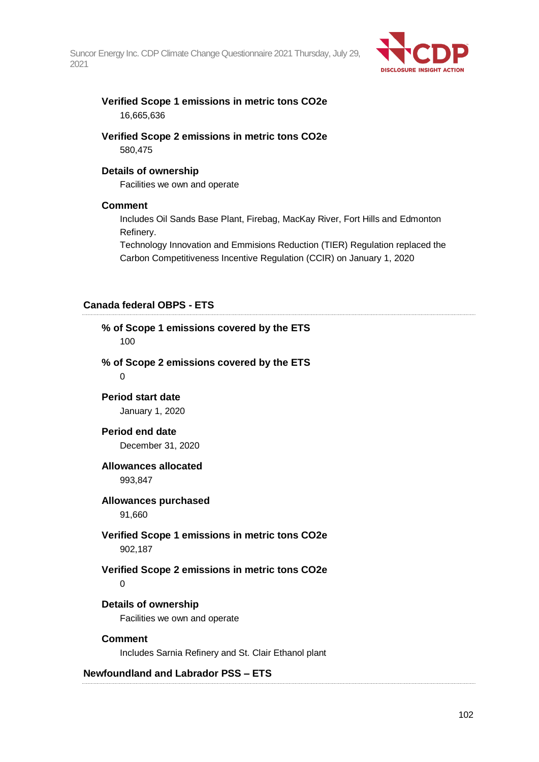

#### **Verified Scope 1 emissions in metric tons CO2e** 16,665,636

### **Verified Scope 2 emissions in metric tons CO2e** 580,475

#### **Details of ownership**

Facilities we own and operate

#### **Comment**

Includes Oil Sands Base Plant, Firebag, MacKay River, Fort Hills and Edmonton Refinery.

Technology Innovation and Emmisions Reduction (TIER) Regulation replaced the Carbon Competitiveness Incentive Regulation (CCIR) on January 1, 2020

#### **Canada federal OBPS - ETS**

| % of Scope 1 emissions covered by the ETS<br>100                       |
|------------------------------------------------------------------------|
| % of Scope 2 emissions covered by the ETS<br>0                         |
| <b>Period start date</b><br>January 1, 2020                            |
| <b>Period end date</b><br>December 31, 2020                            |
| <b>Allowances allocated</b><br>993,847                                 |
| <b>Allowances purchased</b><br>91,660                                  |
| Verified Scope 1 emissions in metric tons CO2e<br>902,187              |
| Verified Scope 2 emissions in metric tons CO2e<br>0                    |
| Details of ownership<br>Facilities we own and operate                  |
| <b>Comment</b><br>Includes Sarnia Refinery and St. Clair Ethanol plant |
| <b>Newfoundland and Labrador PSS - ETS</b>                             |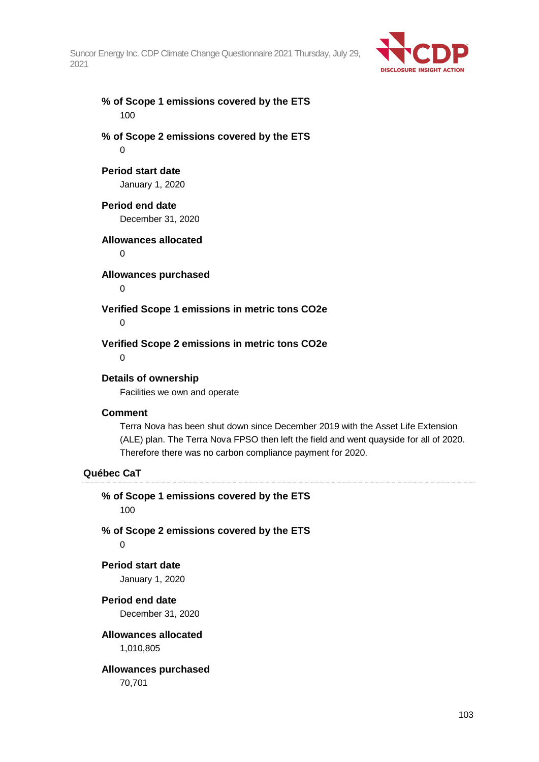

### **% of Scope 1 emissions covered by the ETS** 100

**% of Scope 2 emissions covered by the ETS**  $\Omega$ 

#### **Period start date**

January 1, 2020

#### **Period end date**

December 31, 2020

#### **Allowances allocated**

 $\Omega$ 

### **Allowances purchased**

 $\Omega$ 

### **Verified Scope 1 emissions in metric tons CO2e**

0

### **Verified Scope 2 emissions in metric tons CO2e**

 $\Omega$ 

### **Details of ownership**

Facilities we own and operate

#### **Comment**

Terra Nova has been shut down since December 2019 with the Asset Life Extension (ALE) plan. The Terra Nova FPSO then left the field and went quayside for all of 2020. Therefore there was no carbon compliance payment for 2020.

### **Québec CaT**

**% of Scope 1 emissions covered by the ETS** 100 **% of Scope 2 emissions covered by the ETS**  $\Omega$ **Period start date** January 1, 2020 **Period end date** December 31, 2020 **Allowances allocated** 1,010,805

### **Allowances purchased**

70,701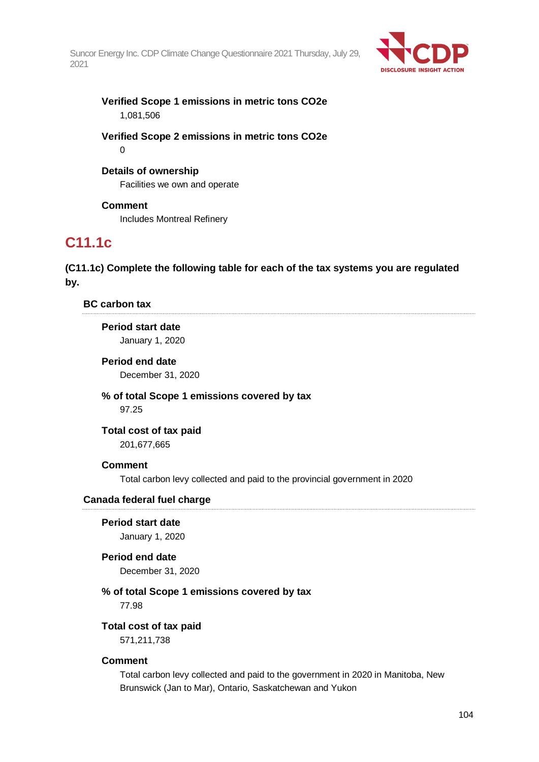

**Verified Scope 1 emissions in metric tons CO2e** 1,081,506

**Verified Scope 2 emissions in metric tons CO2e**  $\Omega$ 

#### **Details of ownership**

Facilities we own and operate

**Comment** Includes Montreal Refinery

# **C11.1c**

**(C11.1c) Complete the following table for each of the tax systems you are regulated by.**

**BC carbon tax**

#### **Period start date**

January 1, 2020

**Period end date** December 31, 2020

**% of total Scope 1 emissions covered by tax** 97.25

**Total cost of tax paid**

201,677,665

#### **Comment**

Total carbon levy collected and paid to the provincial government in 2020

#### **Canada federal fuel charge**

**Period start date** January 1, 2020

#### **Period end date**

December 31, 2020

### **% of total Scope 1 emissions covered by tax**

77.98

#### **Total cost of tax paid**

571,211,738

#### **Comment**

Total carbon levy collected and paid to the government in 2020 in Manitoba, New Brunswick (Jan to Mar), Ontario, Saskatchewan and Yukon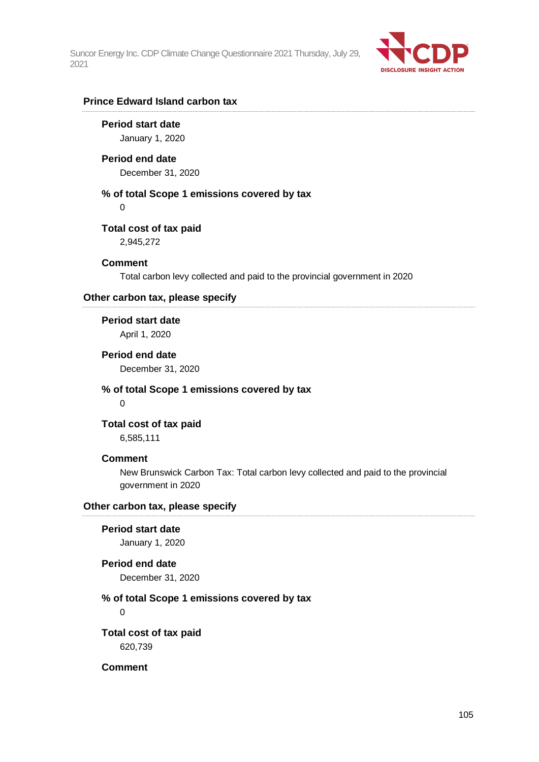

#### **Prince Edward Island carbon tax**

**Period start date** January 1, 2020

#### **Period end date**

December 31, 2020

### **% of total Scope 1 emissions covered by tax**

0

#### **Total cost of tax paid**

2,945,272

#### **Comment**

Total carbon levy collected and paid to the provincial government in 2020

#### **Other carbon tax, please specify**

**Period start date** April 1, 2020

### **Period end date**

December 31, 2020

#### **% of total Scope 1 emissions covered by tax**  $\Omega$

**Total cost of tax paid**

6,585,111

#### **Comment**

New Brunswick Carbon Tax: Total carbon levy collected and paid to the provincial government in 2020

#### **Other carbon tax, please specify**

### **Period start date**

January 1, 2020

### **Period end date**

December 31, 2020

#### **% of total Scope 1 emissions covered by tax**

 $\Omega$ 

**Total cost of tax paid** 620,739

**Comment**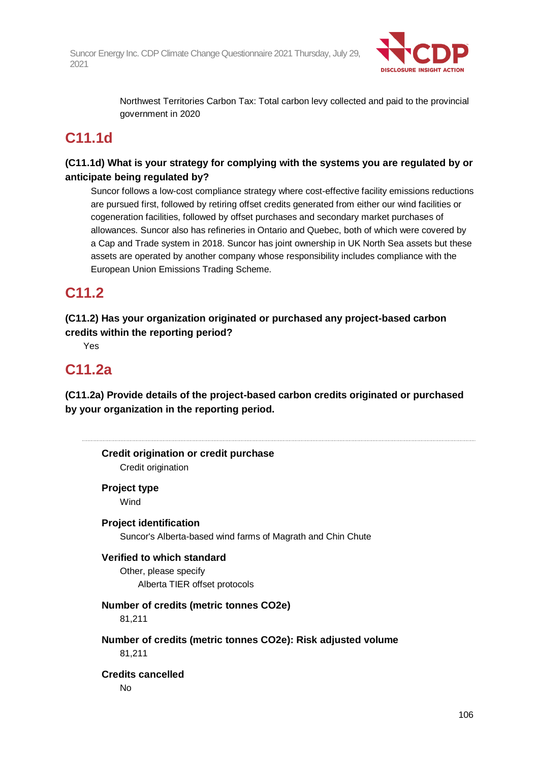

Northwest Territories Carbon Tax: Total carbon levy collected and paid to the provincial government in 2020

# **C11.1d**

### **(C11.1d) What is your strategy for complying with the systems you are regulated by or anticipate being regulated by?**

Suncor follows a low-cost compliance strategy where cost-effective facility emissions reductions are pursued first, followed by retiring offset credits generated from either our wind facilities or cogeneration facilities, followed by offset purchases and secondary market purchases of allowances. Suncor also has refineries in Ontario and Quebec, both of which were covered by a Cap and Trade system in 2018. Suncor has joint ownership in UK North Sea assets but these assets are operated by another company whose responsibility includes compliance with the European Union Emissions Trading Scheme.

# **C11.2**

**(C11.2) Has your organization originated or purchased any project-based carbon credits within the reporting period?**

Yes

# **C11.2a**

**(C11.2a) Provide details of the project-based carbon credits originated or purchased by your organization in the reporting period.**

| <b>Project type</b>                                          |
|--------------------------------------------------------------|
| Wind                                                         |
| <b>Project identification</b>                                |
| Suncor's Alberta-based wind farms of Magrath and Chin Chute  |
| Verified to which standard                                   |
| Other, please specify                                        |
| Alberta TIER offset protocols                                |
| Number of credits (metric tonnes CO2e)                       |
| 81,211                                                       |
| Number of credits (metric tonnes CO2e): Risk adjusted volume |
| 81,211                                                       |
| <b>Credits cancelled</b>                                     |
| No                                                           |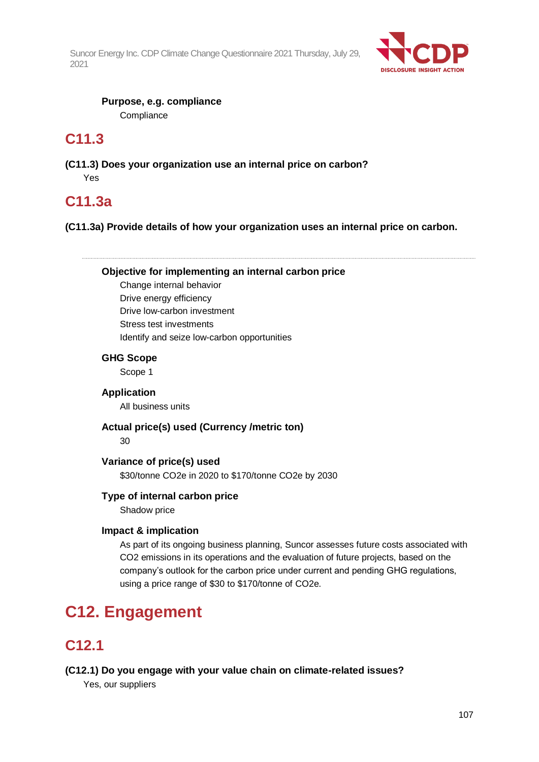

**Purpose, e.g. compliance Compliance** 

# **C11.3**

**(C11.3) Does your organization use an internal price on carbon?** Yes

# **C11.3a**

**(C11.3a) Provide details of how your organization uses an internal price on carbon.**

**Objective for implementing an internal carbon price**

Change internal behavior Drive energy efficiency Drive low-carbon investment Stress test investments Identify and seize low-carbon opportunities

### **GHG Scope**

Scope 1

#### **Application**

All business units

#### **Actual price(s) used (Currency /metric ton)**

30

#### **Variance of price(s) used**

\$30/tonne CO2e in 2020 to \$170/tonne CO2e by 2030

### **Type of internal carbon price**

Shadow price

### **Impact & implication**

As part of its ongoing business planning, Suncor assesses future costs associated with CO2 emissions in its operations and the evaluation of future projects, based on the company's outlook for the carbon price under current and pending GHG regulations, using a price range of \$30 to \$170/tonne of CO2e.

# **C12. Engagement**

# **C12.1**

### **(C12.1) Do you engage with your value chain on climate-related issues?**

Yes, our suppliers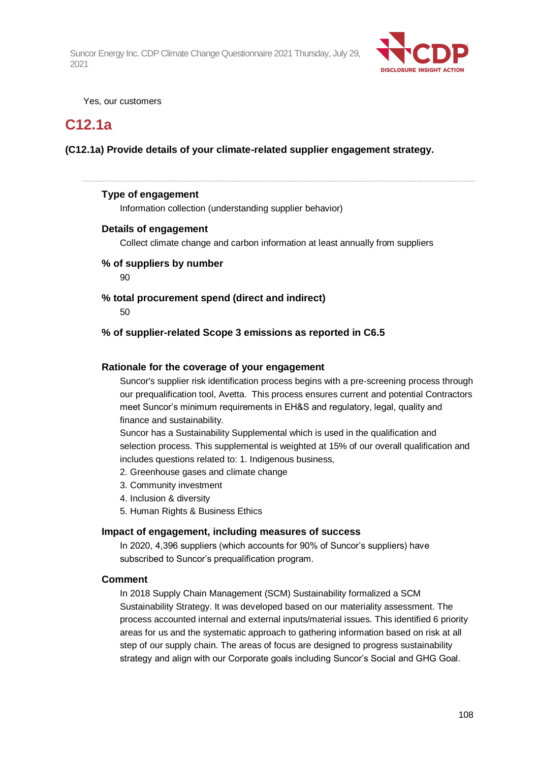

Yes, our customers

# **C12.1a**

### **(C12.1a) Provide details of your climate-related supplier engagement strategy.**

#### **Type of engagement**

Information collection (understanding supplier behavior)

#### **Details of engagement**

Collect climate change and carbon information at least annually from suppliers

### **% of suppliers by number**

90

### **% total procurement spend (direct and indirect)**

50

#### **% of supplier-related Scope 3 emissions as reported in C6.5**

#### **Rationale for the coverage of your engagement**

Suncor's supplier risk identification process begins with a pre-screening process through our prequalification tool, Avetta. This process ensures current and potential Contractors meet Suncor's minimum requirements in EH&S and regulatory, legal, quality and finance and sustainability.

Suncor has a Sustainability Supplemental which is used in the qualification and selection process. This supplemental is weighted at 15% of our overall qualification and includes questions related to: 1. Indigenous business,

- 2. Greenhouse gases and climate change
- 3. Community investment
- 4. Inclusion & diversity
- 5. Human Rights & Business Ethics

#### **Impact of engagement, including measures of success**

In 2020, 4,396 suppliers (which accounts for 90% of Suncor's suppliers) have subscribed to Suncor's prequalification program.

#### **Comment**

In 2018 Supply Chain Management (SCM) Sustainability formalized a SCM Sustainability Strategy. It was developed based on our materiality assessment. The process accounted internal and external inputs/material issues. This identified 6 priority areas for us and the systematic approach to gathering information based on risk at all step of our supply chain. The areas of focus are designed to progress sustainability strategy and align with our Corporate goals including Suncor's Social and GHG Goal.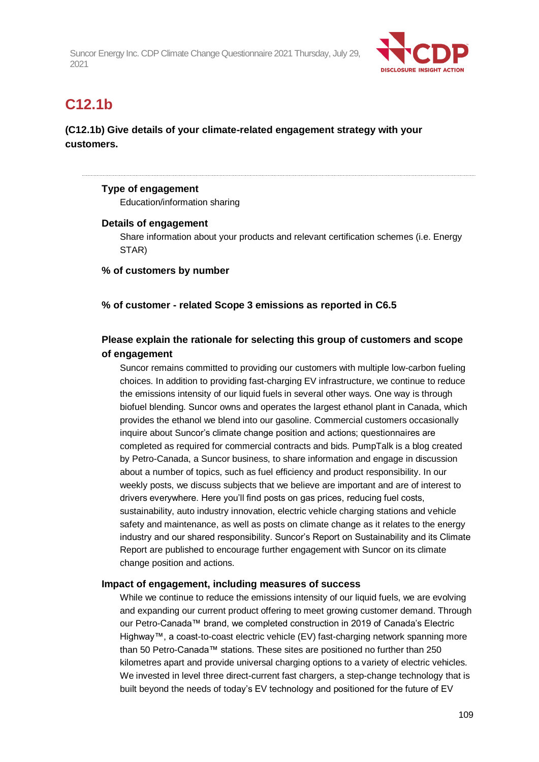

## **C12.1b**

### **(C12.1b) Give details of your climate-related engagement strategy with your customers.**

#### **Type of engagement**

Education/information sharing

#### **Details of engagement**

Share information about your products and relevant certification schemes (i.e. Energy STAR)

**% of customers by number**

#### **% of customer - related Scope 3 emissions as reported in C6.5**

### **Please explain the rationale for selecting this group of customers and scope of engagement**

Suncor remains committed to providing our customers with multiple low-carbon fueling choices. In addition to providing fast-charging EV infrastructure, we continue to reduce the emissions intensity of our liquid fuels in several other ways. One way is through biofuel blending. Suncor owns and operates the largest ethanol plant in Canada, which provides the ethanol we blend into our gasoline. Commercial customers occasionally inquire about Suncor's climate change position and actions; questionnaires are completed as required for commercial contracts and bids. PumpTalk is a blog created by Petro-Canada, a Suncor business, to share information and engage in discussion about a number of topics, such as fuel efficiency and product responsibility. In our weekly posts, we discuss subjects that we believe are important and are of interest to drivers everywhere. Here you'll find posts on gas prices, reducing fuel costs, sustainability, auto industry innovation, electric vehicle charging stations and vehicle safety and maintenance, as well as posts on climate change as it relates to the energy industry and our shared responsibility. Suncor's Report on Sustainability and its Climate Report are published to encourage further engagement with Suncor on its climate change position and actions.

#### **Impact of engagement, including measures of success**

While we continue to reduce the emissions intensity of our liquid fuels, we are evolving and expanding our current product offering to meet growing customer demand. Through our Petro-Canada™ brand, we completed construction in 2019 of Canada's Electric Highway™, a coast-to-coast electric vehicle (EV) fast-charging network spanning more than 50 Petro-Canada™ stations. These sites are positioned no further than 250 kilometres apart and provide universal charging options to a variety of electric vehicles. We invested in level three direct-current fast chargers, a step-change technology that is built beyond the needs of today's EV technology and positioned for the future of EV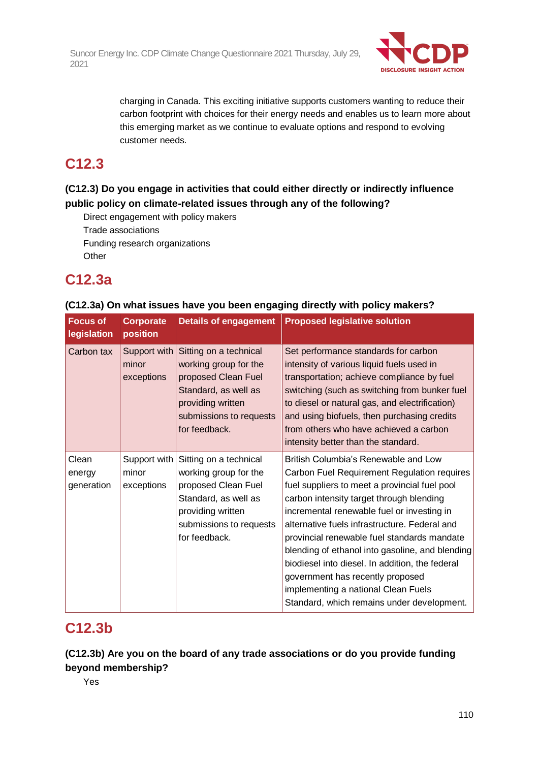

charging in Canada. This exciting initiative supports customers wanting to reduce their carbon footprint with choices for their energy needs and enables us to learn more about this emerging market as we continue to evaluate options and respond to evolving customer needs.

## **C12.3**

## **(C12.3) Do you engage in activities that could either directly or indirectly influence public policy on climate-related issues through any of the following?**

Direct engagement with policy makers Trade associations Funding research organizations **Other** 

## **C12.3a**

### **(C12.3a) On what issues have you been engaging directly with policy makers?**

| <b>Focus of</b><br>legislation | <b>Corporate</b><br>position        | <b>Details of engagement</b>                                                                                                                                    | <b>Proposed legislative solution</b>                                                                                                                                                                                                                                                                                                                                                                                                                                                                                                                          |
|--------------------------------|-------------------------------------|-----------------------------------------------------------------------------------------------------------------------------------------------------------------|---------------------------------------------------------------------------------------------------------------------------------------------------------------------------------------------------------------------------------------------------------------------------------------------------------------------------------------------------------------------------------------------------------------------------------------------------------------------------------------------------------------------------------------------------------------|
| Carbon tax                     | Support with<br>minor<br>exceptions | Sitting on a technical<br>working group for the<br>proposed Clean Fuel<br>Standard, as well as<br>providing written<br>submissions to requests<br>for feedback. | Set performance standards for carbon<br>intensity of various liquid fuels used in<br>transportation; achieve compliance by fuel<br>switching (such as switching from bunker fuel<br>to diesel or natural gas, and electrification)<br>and using biofuels, then purchasing credits<br>from others who have achieved a carbon<br>intensity better than the standard.                                                                                                                                                                                            |
| Clean<br>energy<br>generation  | Support with<br>minor<br>exceptions | Sitting on a technical<br>working group for the<br>proposed Clean Fuel<br>Standard, as well as<br>providing written<br>submissions to requests<br>for feedback. | British Columbia's Renewable and Low<br>Carbon Fuel Requirement Regulation requires<br>fuel suppliers to meet a provincial fuel pool<br>carbon intensity target through blending<br>incremental renewable fuel or investing in<br>alternative fuels infrastructure. Federal and<br>provincial renewable fuel standards mandate<br>blending of ethanol into gasoline, and blending<br>biodiesel into diesel. In addition, the federal<br>government has recently proposed<br>implementing a national Clean Fuels<br>Standard, which remains under development. |

## **C12.3b**

## **(C12.3b) Are you on the board of any trade associations or do you provide funding beyond membership?**

Yes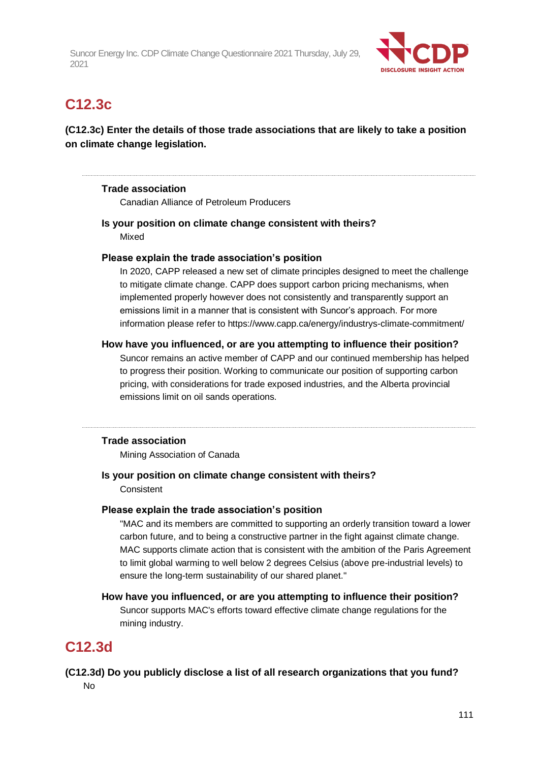

## **C12.3c**

## **(C12.3c) Enter the details of those trade associations that are likely to take a position on climate change legislation.**

#### **Trade association**

Canadian Alliance of Petroleum Producers

**Is your position on climate change consistent with theirs?** Mixed

### **Please explain the trade association's position**

In 2020, CAPP released a new set of climate principles designed to meet the challenge to mitigate climate change. CAPP does support carbon pricing mechanisms, when implemented properly however does not consistently and transparently support an emissions limit in a manner that is consistent with Suncor's approach. For more information please refer to https://www.capp.ca/energy/industrys-climate-commitment/

#### **How have you influenced, or are you attempting to influence their position?**

Suncor remains an active member of CAPP and our continued membership has helped to progress their position. Working to communicate our position of supporting carbon pricing, with considerations for trade exposed industries, and the Alberta provincial emissions limit on oil sands operations.

#### **Trade association**

Mining Association of Canada

### **Is your position on climate change consistent with theirs?**

**Consistent** 

#### **Please explain the trade association's position**

"MAC and its members are committed to supporting an orderly transition toward a lower carbon future, and to being a constructive partner in the fight against climate change. MAC supports climate action that is consistent with the ambition of the Paris Agreement to limit global warming to well below 2 degrees Celsius (above pre-industrial levels) to ensure the long-term sustainability of our shared planet."

#### **How have you influenced, or are you attempting to influence their position?**

Suncor supports MAC's efforts toward effective climate change regulations for the mining industry.

## **C12.3d**

### **(C12.3d) Do you publicly disclose a list of all research organizations that you fund?** No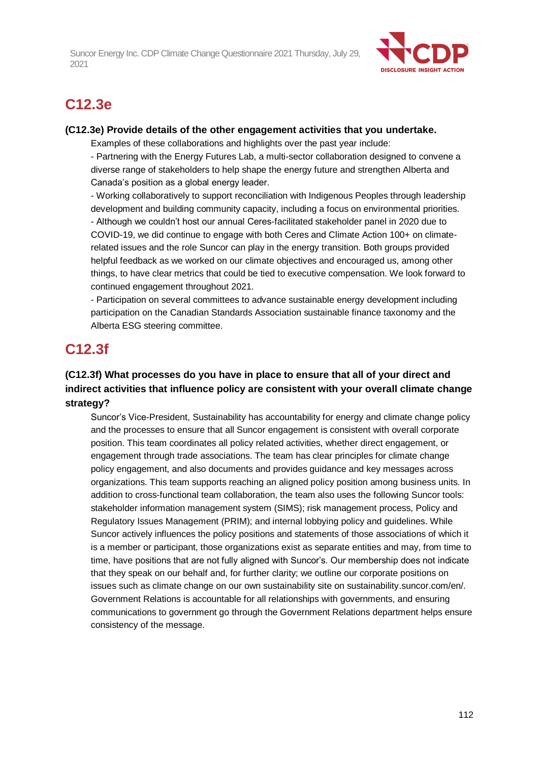

## **C12.3e**

#### **(C12.3e) Provide details of the other engagement activities that you undertake.**

Examples of these collaborations and highlights over the past year include:

- Partnering with the Energy Futures Lab, a multi-sector collaboration designed to convene a diverse range of stakeholders to help shape the energy future and strengthen Alberta and Canada's position as a global energy leader.

- Working collaboratively to support reconciliation with Indigenous Peoples through leadership development and building community capacity, including a focus on environmental priorities. - Although we couldn't host our annual Ceres-facilitated stakeholder panel in 2020 due to COVID-19, we did continue to engage with both Ceres and Climate Action 100+ on climaterelated issues and the role Suncor can play in the energy transition. Both groups provided helpful feedback as we worked on our climate objectives and encouraged us, among other things, to have clear metrics that could be tied to executive compensation. We look forward to continued engagement throughout 2021.

- Participation on several committees to advance sustainable energy development including participation on the Canadian Standards Association sustainable finance taxonomy and the Alberta ESG steering committee.

## **C12.3f**

## **(C12.3f) What processes do you have in place to ensure that all of your direct and indirect activities that influence policy are consistent with your overall climate change strategy?**

Suncor's Vice-President, Sustainability has accountability for energy and climate change policy and the processes to ensure that all Suncor engagement is consistent with overall corporate position. This team coordinates all policy related activities, whether direct engagement, or engagement through trade associations. The team has clear principles for climate change policy engagement, and also documents and provides guidance and key messages across organizations. This team supports reaching an aligned policy position among business units. In addition to cross-functional team collaboration, the team also uses the following Suncor tools: stakeholder information management system (SIMS); risk management process, Policy and Regulatory Issues Management (PRIM); and internal lobbying policy and guidelines. While Suncor actively influences the policy positions and statements of those associations of which it is a member or participant, those organizations exist as separate entities and may, from time to time, have positions that are not fully aligned with Suncor's. Our membership does not indicate that they speak on our behalf and, for further clarity; we outline our corporate positions on issues such as climate change on our own sustainability site on sustainability.suncor.com/en/. Government Relations is accountable for all relationships with governments, and ensuring communications to government go through the Government Relations department helps ensure consistency of the message.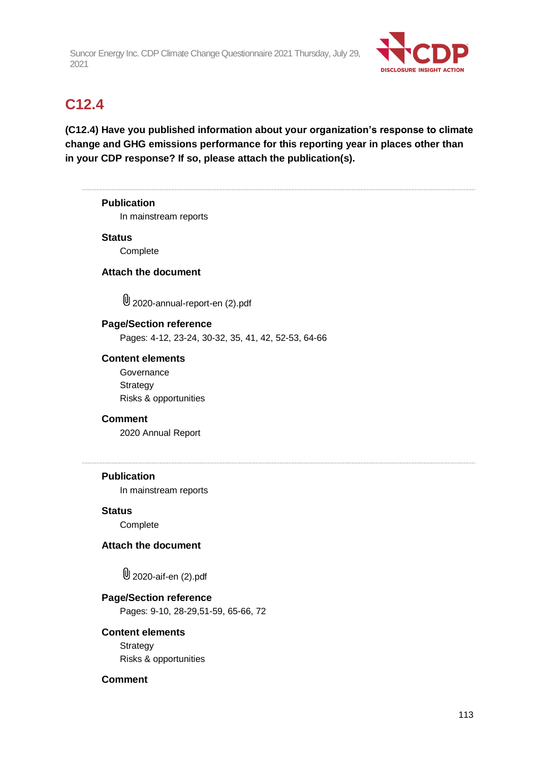

## **C12.4**

**(C12.4) Have you published information about your organization's response to climate change and GHG emissions performance for this reporting year in places other than in your CDP response? If so, please attach the publication(s).**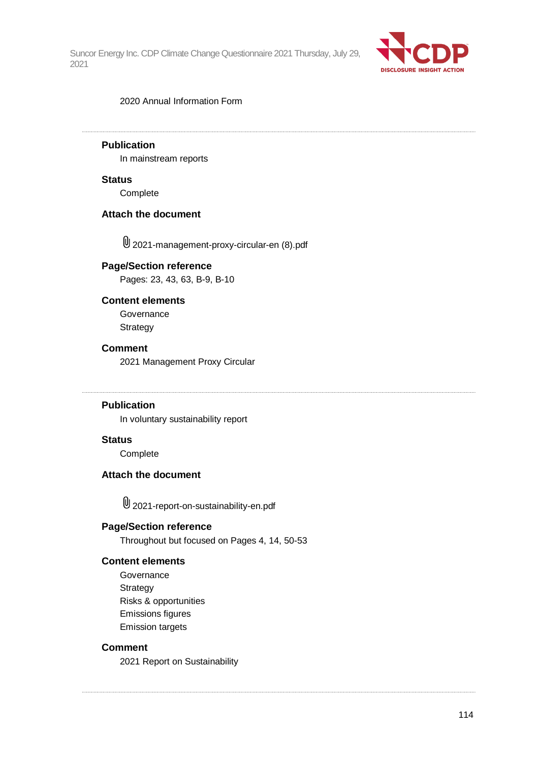

#### 2020 Annual Information Form

### **Publication**

In mainstream reports

#### **Status**

Complete

#### **Attach the document**

2021-management-proxy-circular-en (8).pdf

#### **Page/Section reference**

Pages: 23, 43, 63, B-9, B-10

#### **Content elements**

**Governance Strategy** 

#### **Comment**

2021 Management Proxy Circular

#### **Publication**

In voluntary sustainability report

#### **Status**

**Complete** 

#### **Attach the document**

2021-report-on-sustainability-en.pdf

#### **Page/Section reference**

Throughout but focused on Pages 4, 14, 50-53

#### **Content elements**

**Governance Strategy** Risks & opportunities Emissions figures Emission targets

#### **Comment**

2021 Report on Sustainability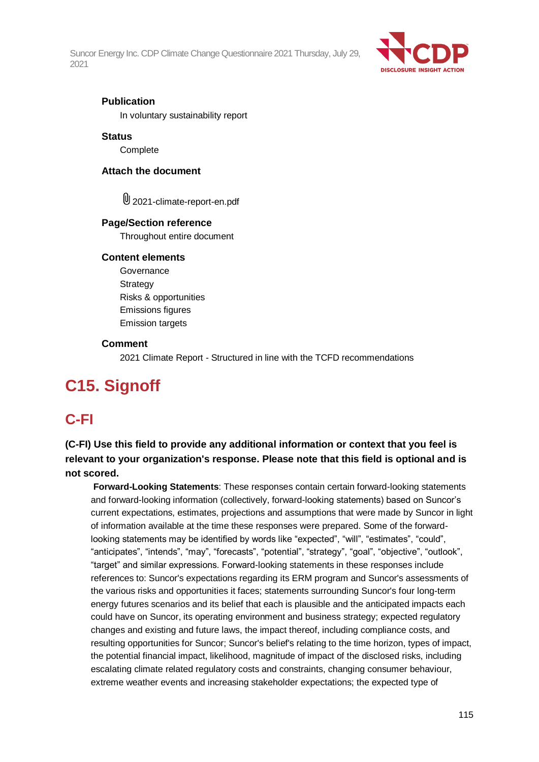

#### **Publication**

In voluntary sustainability report

#### **Status**

**Complete** 

#### **Attach the document**

U 2021-climate-report-en.pdf

#### **Page/Section reference**

Throughout entire document

#### **Content elements**

**Governance Strategy** Risks & opportunities Emissions figures Emission targets

#### **Comment**

2021 Climate Report - Structured in line with the TCFD recommendations

# **C15. Signoff**

## **C-FI**

## **(C-FI) Use this field to provide any additional information or context that you feel is relevant to your organization's response. Please note that this field is optional and is not scored.**

**Forward-Looking Statements**: These responses contain certain forward-looking statements and forward-looking information (collectively, forward-looking statements) based on Suncor's current expectations, estimates, projections and assumptions that were made by Suncor in light of information available at the time these responses were prepared. Some of the forwardlooking statements may be identified by words like "expected", "will", "estimates", "could", "anticipates", "intends", "may", "forecasts", "potential", "strategy", "goal", "objective", "outlook", "target" and similar expressions. Forward-looking statements in these responses include references to: Suncor's expectations regarding its ERM program and Suncor's assessments of the various risks and opportunities it faces; statements surrounding Suncor's four long-term energy futures scenarios and its belief that each is plausible and the anticipated impacts each could have on Suncor, its operating environment and business strategy; expected regulatory changes and existing and future laws, the impact thereof, including compliance costs, and resulting opportunities for Suncor; Suncor's belief's relating to the time horizon, types of impact, the potential financial impact, likelihood, magnitude of impact of the disclosed risks, including escalating climate related regulatory costs and constraints, changing consumer behaviour, extreme weather events and increasing stakeholder expectations; the expected type of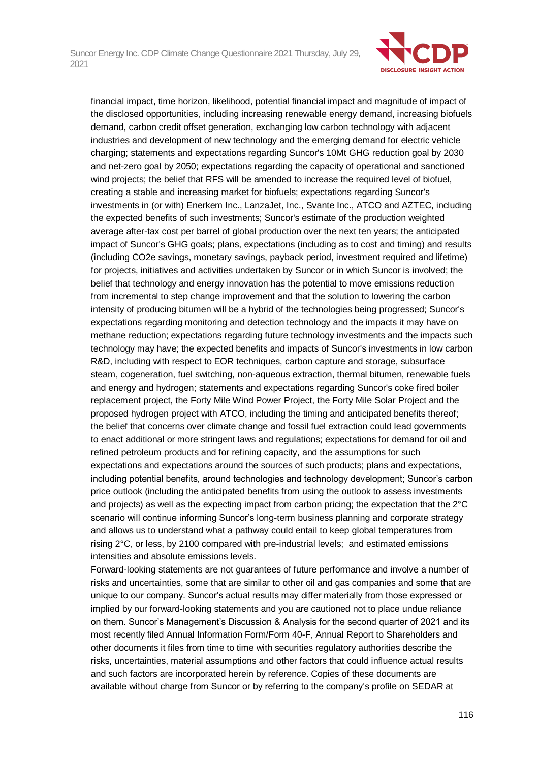

financial impact, time horizon, likelihood, potential financial impact and magnitude of impact of the disclosed opportunities, including increasing renewable energy demand, increasing biofuels demand, carbon credit offset generation, exchanging low carbon technology with adjacent industries and development of new technology and the emerging demand for electric vehicle charging; statements and expectations regarding Suncor's 10Mt GHG reduction goal by 2030 and net-zero goal by 2050; expectations regarding the capacity of operational and sanctioned wind projects; the belief that RFS will be amended to increase the required level of biofuel, creating a stable and increasing market for biofuels; expectations regarding Suncor's investments in (or with) Enerkem Inc., LanzaJet, Inc., Svante Inc., ATCO and AZTEC, including the expected benefits of such investments; Suncor's estimate of the production weighted average after-tax cost per barrel of global production over the next ten years; the anticipated impact of Suncor's GHG goals; plans, expectations (including as to cost and timing) and results (including CO2e savings, monetary savings, payback period, investment required and lifetime) for projects, initiatives and activities undertaken by Suncor or in which Suncor is involved; the belief that technology and energy innovation has the potential to move emissions reduction from incremental to step change improvement and that the solution to lowering the carbon intensity of producing bitumen will be a hybrid of the technologies being progressed; Suncor's expectations regarding monitoring and detection technology and the impacts it may have on methane reduction; expectations regarding future technology investments and the impacts such technology may have; the expected benefits and impacts of Suncor's investments in low carbon R&D, including with respect to EOR techniques, carbon capture and storage, subsurface steam, cogeneration, fuel switching, non-aqueous extraction, thermal bitumen, renewable fuels and energy and hydrogen; statements and expectations regarding Suncor's coke fired boiler replacement project, the Forty Mile Wind Power Project, the Forty Mile Solar Project and the proposed hydrogen project with ATCO, including the timing and anticipated benefits thereof; the belief that concerns over climate change and fossil fuel extraction could lead governments to enact additional or more stringent laws and regulations; expectations for demand for oil and refined petroleum products and for refining capacity, and the assumptions for such expectations and expectations around the sources of such products; plans and expectations, including potential benefits, around technologies and technology development; Suncor's carbon price outlook (including the anticipated benefits from using the outlook to assess investments and projects) as well as the expecting impact from carbon pricing; the expectation that the 2°C scenario will continue informing Suncor's long-term business planning and corporate strategy and allows us to understand what a pathway could entail to keep global temperatures from rising 2°C, or less, by 2100 compared with pre-industrial levels; and estimated emissions intensities and absolute emissions levels.

Forward-looking statements are not guarantees of future performance and involve a number of risks and uncertainties, some that are similar to other oil and gas companies and some that are unique to our company. Suncor's actual results may differ materially from those expressed or implied by our forward-looking statements and you are cautioned not to place undue reliance on them. Suncor's Management's Discussion & Analysis for the second quarter of 2021 and its most recently filed Annual Information Form/Form 40-F, Annual Report to Shareholders and other documents it files from time to time with securities regulatory authorities describe the risks, uncertainties, material assumptions and other factors that could influence actual results and such factors are incorporated herein by reference. Copies of these documents are available without charge from Suncor or by referring to the company's profile on SEDAR at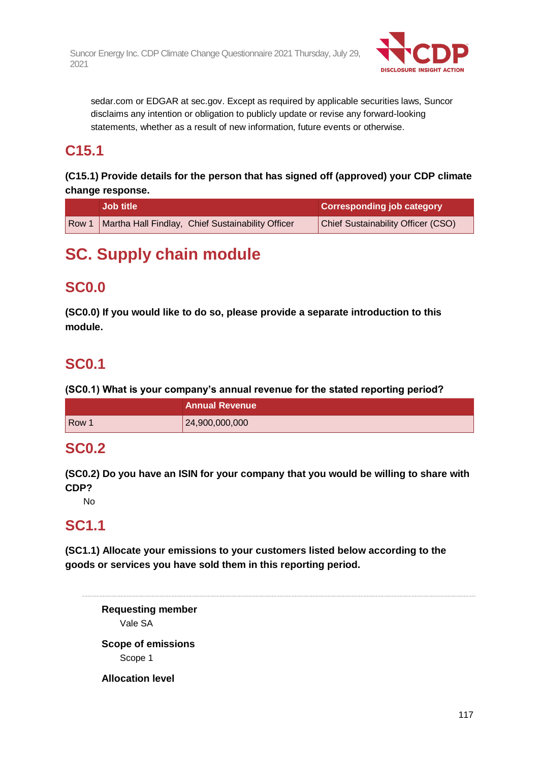

sedar.com or EDGAR at sec.gov. Except as required by applicable securities laws, Suncor disclaims any intention or obligation to publicly update or revise any forward-looking statements, whether as a result of new information, future events or otherwise.

## **C15.1**

## **(C15.1) Provide details for the person that has signed off (approved) your CDP climate change response.**

| <b>Job title</b>                                          | <b>Corresponding job category</b>         |
|-----------------------------------------------------------|-------------------------------------------|
| Row 1   Martha Hall Findlay, Chief Sustainability Officer | <b>Chief Sustainability Officer (CSO)</b> |

# **SC. Supply chain module**

## **SC0.0**

**(SC0.0) If you would like to do so, please provide a separate introduction to this module.**

## **SC0.1**

**(SC0.1) What is your company's annual revenue for the stated reporting period?**

|       | <b>Annual Revenue</b> |
|-------|-----------------------|
| Row 1 | 24,900,000,000        |

## **SC0.2**

**(SC0.2) Do you have an ISIN for your company that you would be willing to share with CDP?**

No

## **SC1.1**

**(SC1.1) Allocate your emissions to your customers listed below according to the goods or services you have sold them in this reporting period.**

**Requesting member** Vale SA **Scope of emissions** Scope 1 **Allocation level**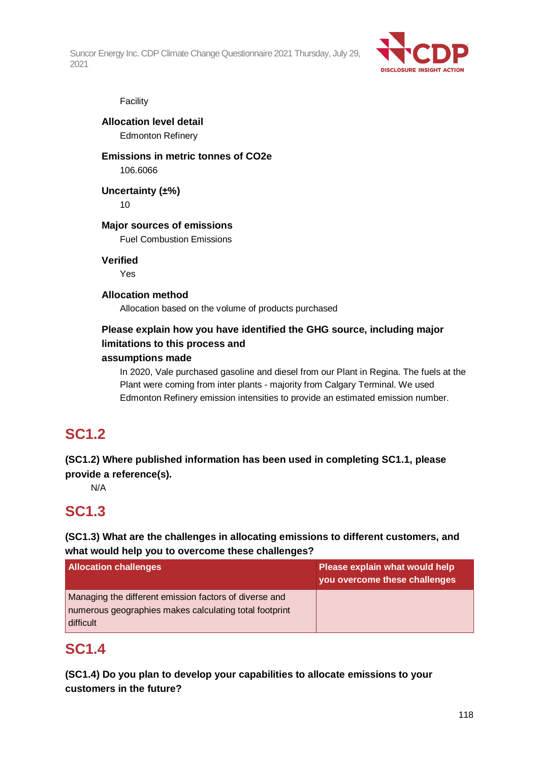

#### Facility

#### **Allocation level detail** Edmonton Refinery

### **Emissions in metric tonnes of CO2e** 106.6066

**Uncertainty (±%)**

10

### **Major sources of emissions**

Fuel Combustion Emissions

**Verified**

Yes

### **Allocation method**

Allocation based on the volume of products purchased

## **Please explain how you have identified the GHG source, including major limitations to this process and**

#### **assumptions made**

In 2020, Vale purchased gasoline and diesel from our Plant in Regina. The fuels at the Plant were coming from inter plants - majority from Calgary Terminal. We used Edmonton Refinery emission intensities to provide an estimated emission number.

## **SC1.2**

**(SC1.2) Where published information has been used in completing SC1.1, please provide a reference(s).**

N/A

## **SC1.3**

### **(SC1.3) What are the challenges in allocating emissions to different customers, and what would help you to overcome these challenges?**

| <b>Allocation challenges</b>                                                                                                  | Please explain what would help<br>you overcome these challenges |
|-------------------------------------------------------------------------------------------------------------------------------|-----------------------------------------------------------------|
| Managing the different emission factors of diverse and<br>numerous geographies makes calculating total footprint<br>difficult |                                                                 |

## **SC1.4**

**(SC1.4) Do you plan to develop your capabilities to allocate emissions to your customers in the future?**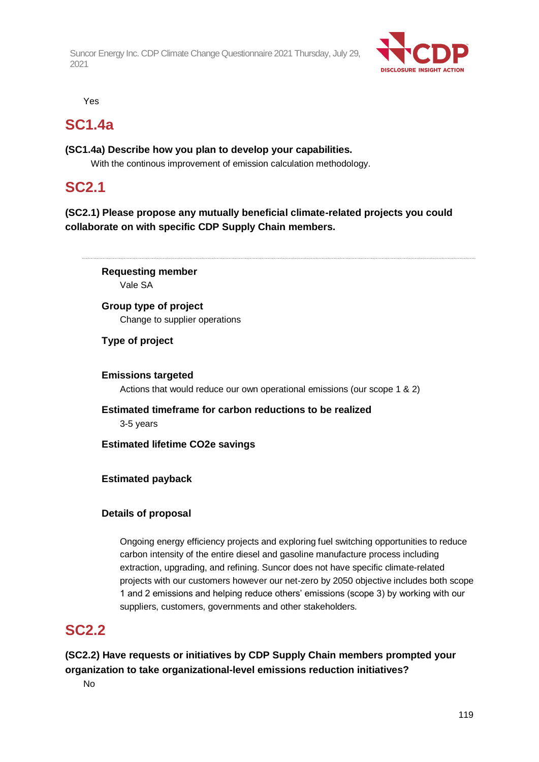

Yes

## **SC1.4a**

### **(SC1.4a) Describe how you plan to develop your capabilities.**

With the continous improvement of emission calculation methodology.

## **SC2.1**

### **(SC2.1) Please propose any mutually beneficial climate-related projects you could collaborate on with specific CDP Supply Chain members.**

**Requesting member** Vale SA

**Group type of project** Change to supplier operations

### **Type of project**

**Emissions targeted** Actions that would reduce our own operational emissions (our scope 1 & 2)

**Estimated timeframe for carbon reductions to be realized** 3-5 years

**Estimated lifetime CO2e savings**

### **Estimated payback**

### **Details of proposal**

Ongoing energy efficiency projects and exploring fuel switching opportunities to reduce carbon intensity of the entire diesel and gasoline manufacture process including extraction, upgrading, and refining. Suncor does not have specific climate-related projects with our customers however our net-zero by 2050 objective includes both scope 1 and 2 emissions and helping reduce others' emissions (scope 3) by working with our suppliers, customers, governments and other stakeholders.

## **SC2.2**

**(SC2.2) Have requests or initiatives by CDP Supply Chain members prompted your organization to take organizational-level emissions reduction initiatives?**

No